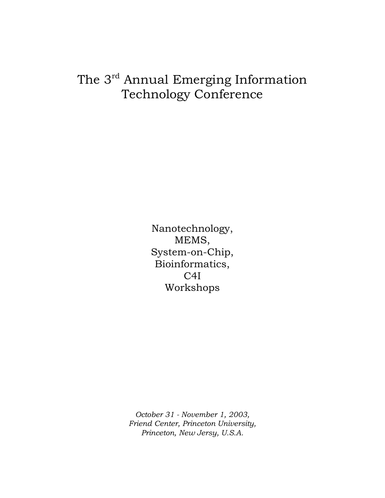## The 3<sup>rd</sup> Annual Emerging Information Technology Conference

Nanotechnology, MEMS, System-on-Chip, Bioinformatics, C4I Workshops

*October 31 - November 1, 2003, Friend Center, Princeton University, Princeton, New Jersy, U.S.A.*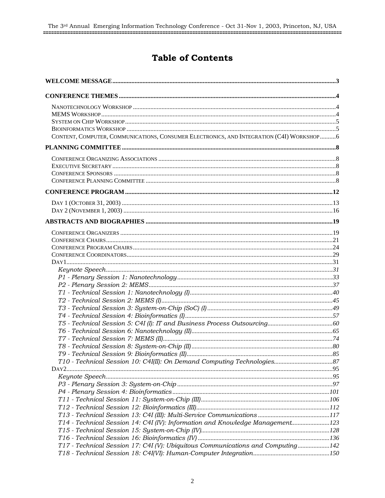## **Table of Contents**

| CONTENT, COMPUTER, COMMUNICATIONS, CONSUMER ELECTRONICS, AND INTEGRATION (C4I) WORKSHOP6 |  |
|------------------------------------------------------------------------------------------|--|
|                                                                                          |  |
|                                                                                          |  |
|                                                                                          |  |
|                                                                                          |  |
|                                                                                          |  |
|                                                                                          |  |
|                                                                                          |  |
|                                                                                          |  |
|                                                                                          |  |
|                                                                                          |  |
|                                                                                          |  |
|                                                                                          |  |
|                                                                                          |  |
|                                                                                          |  |
|                                                                                          |  |
|                                                                                          |  |
|                                                                                          |  |
|                                                                                          |  |
|                                                                                          |  |
|                                                                                          |  |
|                                                                                          |  |
|                                                                                          |  |
|                                                                                          |  |
|                                                                                          |  |
|                                                                                          |  |
|                                                                                          |  |
|                                                                                          |  |
|                                                                                          |  |
|                                                                                          |  |
|                                                                                          |  |
|                                                                                          |  |
|                                                                                          |  |
|                                                                                          |  |
| T14 - Technical Session 14: C4I (IV): Information and Knowledge Management123            |  |
|                                                                                          |  |
|                                                                                          |  |
| T17 - Technical Session 17: C4I (V): Ubiquitous Communications and Computing142          |  |
|                                                                                          |  |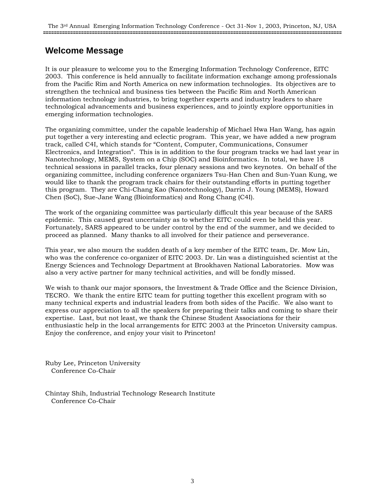## **Welcome Message**

It is our pleasure to welcome you to the Emerging Information Technology Conference, EITC 2003. This conference is held annually to facilitate information exchange among professionals from the Pacific Rim and North America on new information technologies. Its objectives are to strengthen the technical and business ties between the Pacific Rim and North American information technology industries, to bring together experts and industry leaders to share technological advancements and business experiences, and to jointly explore opportunities in emerging information technologies.

The organizing committee, under the capable leadership of Michael Hwa Han Wang, has again put together a very interesting and eclectic program. This year, we have added a new program track, called C4I, which stands for "Content, Computer, Communications, Consumer Electronics, and Integration". This is in addition to the four program tracks we had last year in Nanotechnology, MEMS, System on a Chip (SOC) and Bioinformatics. In total, we have 18 technical sessions in parallel tracks, four plenary sessions and two keynotes. On behalf of the organizing committee, including conference organizers Tsu-Han Chen and Sun-Yuan Kung, we would like to thank the program track chairs for their outstanding efforts in putting together this program. They are Chi-Chang Kao (Nanotechnology), Darrin J. Young (MEMS), Howard Chen (SoC), Sue-Jane Wang (Bioinformatics) and Rong Chang (C4I).

The work of the organizing committee was particularly difficult this year because of the SARS epidemic. This caused great uncertainty as to whether EITC could even be held this year. Fortunately, SARS appeared to be under control by the end of the summer, and we decided to proceed as planned. Many thanks to all involved for their patience and perseverance.

This year, we also mourn the sudden death of a key member of the EITC team, Dr. Mow Lin, who was the conference co-organizer of EITC 2003. Dr. Lin was a distinguished scientist at the Energy Sciences and Technology Department at Brookhaven National Laboratories. Mow was also a very active partner for many technical activities, and will be fondly missed.

We wish to thank our major sponsors, the Investment & Trade Office and the Science Division, TECRO. We thank the entire EITC team for putting together this excellent program with so many technical experts and industrial leaders from both sides of the Pacific. We also want to express our appreciation to all the speakers for preparing their talks and coming to share their expertise. Last, but not least, we thank the Chinese Student Associations for their enthusiastic help in the local arrangements for EITC 2003 at the Princeton University campus. Enjoy the conference, and enjoy your visit to Princeton!

Ruby Lee, Princeton University Conference Co-Chair

Chintay Shih, Industrial Technology Research Institute Conference Co-Chair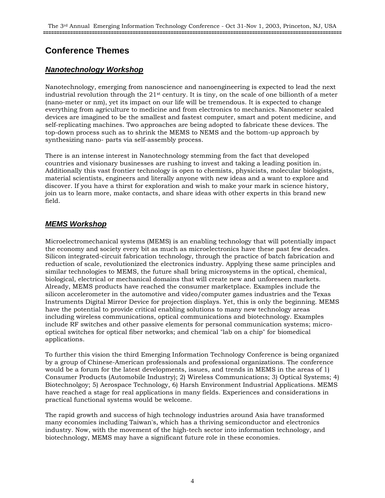## **Conference Themes**

## *Nanotechnology Workshop*

Nanotechnology, emerging from nanoscience and nanoengineering is expected to lead the next industrial revolution through the 21st century. It is tiny, on the scale of one billionth of a meter (nano-meter or nm), yet its impact on our life will be tremendous. It is expected to change everything from agriculture to medicine and from electronics to mechanics. Nanometer scaled devices are imagined to be the smallest and fastest computer, smart and potent medicine, and self-replicating machines. Two approaches are being adopted to fabricate these devices. The top-down process such as to shrink the MEMS to NEMS and the bottom-up approach by synthesizing nano- parts via self-assembly process.

There is an intense interest in Nanotechnology stemming from the fact that developed countries and visionary businesses are rushing to invest and taking a leading position in. Additionally this vast frontier technology is open to chemists, physicists, molecular biologists, material scientists, engineers and literally anyone with new ideas and a want to explore and discover. If you have a thirst for exploration and wish to make your mark in science history, join us to learn more, make contacts, and share ideas with other experts in this brand new field.

### *MEMS Workshop*

Microelectromechanical systems (MEMS) is an enabling technology that will potentially impact the economy and society every bit as much as microelectronics have these past few decades. Silicon integrated-circuit fabrication technology, through the practice of batch fabrication and reduction of scale, revolutionized the electronics industry. Applying these same principles and similar technologies to MEMS, the future shall bring microsystems in the optical, chemical, biological, electrical or mechanical domains that will create new and unforeseen markets. Already, MEMS products have reached the consumer marketplace. Examples include the silicon accelerometer in the automotive and video/computer games industries and the Texas Instruments Digital Mirror Device for projection displays. Yet, this is only the beginning. MEMS have the potential to provide critical enabling solutions to many new technology areas including wireless communications, optical communications and biotechnology. Examples include RF switches and other passive elements for personal communication systems; microoptical switches for optical fiber networks; and chemical "lab on a chip" for biomedical applications.

To further this vision the third Emerging Information Technology Conference is being organized by a group of Chinese-American professionals and professional organizations. The conference would be a forum for the latest developments, issues, and trends in MEMS in the areas of 1) Consumer Products (Automobile Industry); 2) Wireless Communications; 3) Optical Systems; 4) Biotechnolgoy; 5) Aerospace Technology, 6) Harsh Environment Industrial Applications. MEMS have reached a stage for real applications in many fields. Experiences and considerations in practical functional systems would be welcome.

The rapid growth and success of high technology industries around Asia have transformed many economies including Taiwan's, which has a thriving semiconductor and electronics industry. Now, with the movement of the high-tech sector into information technology, and biotechnology, MEMS may have a significant future role in these economies.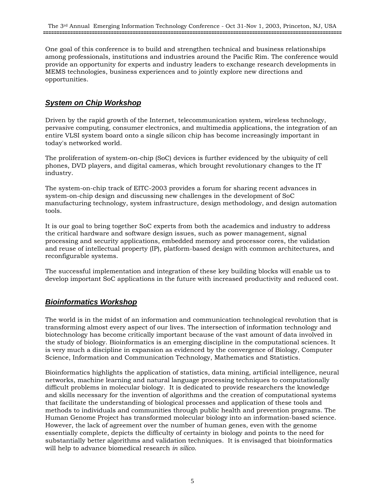One goal of this conference is to build and strengthen technical and business relationships among professionals, institutions and industries around the Pacific Rim. The conference would provide an opportunity for experts and industry leaders to exchange research developments in MEMS technologies, business experiences and to jointly explore new directions and opportunities.

## *System on Chip Workshop*

Driven by the rapid growth of the Internet, telecommunication system, wireless technology, pervasive computing, consumer electronics, and multimedia applications, the integration of an entire VLSI system board onto a single silicon chip has become increasingly important in today's networked world.

The proliferation of system-on-chip (SoC) devices is further evidenced by the ubiquity of cell phones, DVD players, and digital cameras, which brought revolutionary changes to the IT industry.

The system-on-chip track of EITC-2003 provides a forum for sharing recent advances in system-on-chip design and discussing new challenges in the development of SoC manufacturing technology, system infrastructure, design methodology, and design automation tools.

It is our goal to bring together SoC experts from both the academics and industry to address the critical hardware and software design issues, such as power management, signal processing and security applications, embedded memory and processor cores, the validation and reuse of intellectual property (IP), platform-based design with common architectures, and reconfigurable systems.

The successful implementation and integration of these key building blocks will enable us to develop important SoC applications in the future with increased productivity and reduced cost.

## *Bioinformatics Workshop*

The world is in the midst of an information and communication technological revolution that is transforming almost every aspect of our lives. The intersection of information technology and biotechnology has become critically important because of the vast amount of data involved in the study of biology. Bioinformatics is an emerging discipline in the computational sciences. It is very much a discipline in expansion as evidenced by the convergence of Biology, Computer Science, Information and Communication Technology, Mathematics and Statistics.

Bioinformatics highlights the application of statistics, data mining, artificial intelligence, neural networks, machine learning and natural language processing techniques to computationally difficult problems in molecular biology. It is dedicated to provide researchers the knowledge and skills necessary for the invention of algorithms and the creation of computational systems that facilitate the understanding of biological processes and application of these tools and methods to individuals and communities through public health and prevention programs. The Human Genome Project has transformed molecular biology into an information-based science. However, the lack of agreement over the number of human genes, even with the genome essentially complete, depicts the difficulty of certainty in biology and points to the need for substantially better algorithms and validation techniques. It is envisaged that bioinformatics will help to advance biomedical research *in silico*.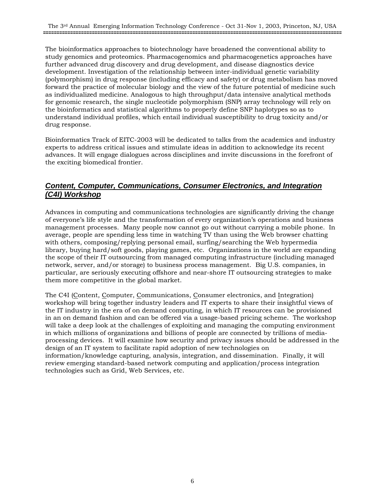The bioinformatics approaches to biotechnology have broadened the conventional ability to study genomics and proteomics. Pharmacogenomics and pharmacogenetics approaches have further advanced drug discovery and drug development, and disease diagnostics device development. Investigation of the relationship between inter-individual genetic variability (polymorphism) in drug response (including efficacy and safety) or drug metabolism has moved forward the practice of molecular biology and the view of the future potential of medicine such as individualized medicine. Analogous to high throughput/data intensive analytical methods for genomic research, the single nucleotide polymorphism (SNP) array technology will rely on the bioinformatics and statistical algorithms to properly define SNP haplotypes so as to understand individual profiles, which entail individual susceptibility to drug toxicity and/or drug response.

Bioinformatics Track of EITC-2003 will be dedicated to talks from the academics and industry experts to address critical issues and stimulate ideas in addition to acknowledge its recent advances. It will engage dialogues across disciplines and invite discussions in the forefront of the exciting biomedical frontier.

## *Content, Computer, Communications, Consumer Electronics, and Integration (C4I) Workshop*

Advances in computing and communications technologies are significantly driving the change of everyone's life style and the transformation of every organization's operations and business management processes. Many people now cannot go out without carrying a mobile phone. In average, people are spending less time in watching TV than using the Web browser chatting with others, composing/replying personal email, surfing/searching the Web hypermedia library, buying hard/soft goods, playing games, etc. Organizations in the world are expanding the scope of their IT outsourcing from managed computing infrastructure (including managed network, server, and/or storage) to business process management. Big U.S. companies, in particular, are seriously executing offshore and near-shore IT outsourcing strategies to make them more competitive in the global market.

The C4I (Content, Computer, Communications, Consumer electronics, and Integration) workshop will bring together industry leaders and IT experts to share their insightful views of the IT industry in the era of on demand computing, in which IT resources can be provisioned in an on demand fashion and can be offered via a usage-based pricing scheme. The workshop will take a deep look at the challenges of exploiting and managing the computing environment in which millions of organizations and billions of people are connected by trillions of mediaprocessing devices. It will examine how security and privacy issues should be addressed in the design of an IT system to facilitate rapid adoption of new technologies on information/knowledge capturing, analysis, integration, and dissemination. Finally, it will review emerging standard-based network computing and application/process integration technologies such as Grid, Web Services, etc.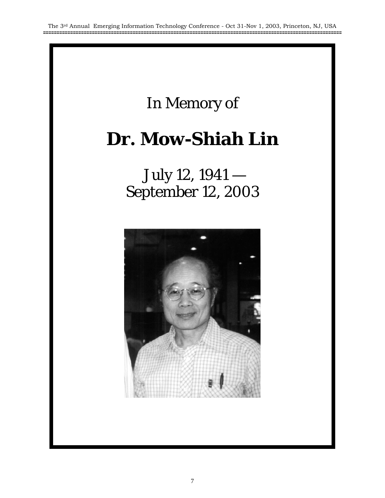## In Memory of

# **Dr. Mow-Shiah Lin**

 July 12, 1941 — September 12, 2003

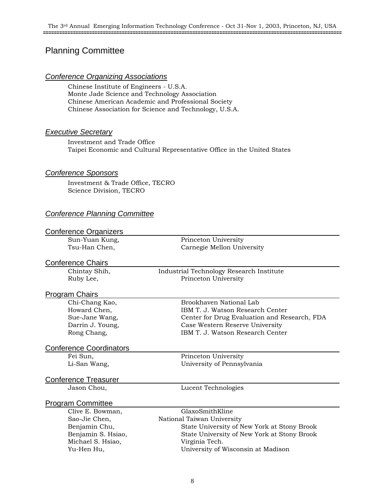## Planning Committee

#### *Conference Organizing Associations*

Chinese Institute of Engineers - U.S.A. Monte Jade Science and Technology Association Chinese American Academic and Professional Society Chinese Association for Science and Technology, U.S.A.

#### *Executive Secretary*

Investment and Trade Office Taipei Economic and Cultural Representative Office in the United States

#### *Conference Sponsors*

Investment & Trade Office, TECRO Science Division, TECRO

### *Conference Planning Committee*

| <b>Conference Organizers</b>   |                                              |
|--------------------------------|----------------------------------------------|
| Sun-Yuan Kung,                 | Princeton University                         |
| Tsu-Han Chen,                  | Carnegie Mellon University                   |
|                                |                                              |
| <b>Conference Chairs</b>       |                                              |
| Chintay Shih,                  | Industrial Technology Research Institute     |
| Ruby Lee,                      | Princeton University                         |
| <b>Program Chairs</b>          |                                              |
| Chi-Chang Kao,                 | Brookhaven National Lab                      |
| Howard Chen,                   | IBM T. J. Watson Research Center             |
| Sue-Jane Wang,                 | Center for Drug Evaluation and Research, FDA |
| Darrin J. Young,               | Case Western Reserve University              |
| Rong Chang,                    | IBM T. J. Watson Research Center             |
| <b>Conference Coordinators</b> |                                              |
| Fei Sun,                       | Princeton University                         |
| Li-San Wang,                   | University of Pennsylvania                   |
| <b>Conference Treasurer</b>    |                                              |
| Jason Chou,                    | Lucent Technologies                          |
| <b>Program Committee</b>       |                                              |
| Clive E. Bowman,               | GlaxoSmithKline                              |
| Sao-Jie Chen,                  | National Taiwan University                   |
| Benjamin Chu,                  | State University of New York at Stony Brook  |
| Benjamin S. Hsiao,             | State University of New York at Stony Brook  |
| Michael S. Hsiao,              | Virginia Tech.                               |
| Yu-Hen Hu,                     | University of Wisconsin at Madison           |
|                                |                                              |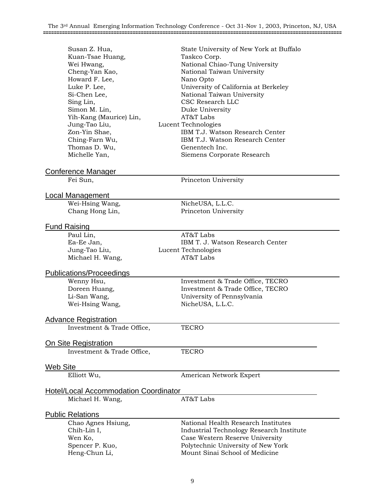| Susan Z. Hua,<br>Kuan-Tsae Huang,<br>Wei Hwang,<br>Cheng-Yan Kao,<br>Howard F. Lee,<br>Luke P. Lee,<br>Si-Chen Lee,<br>Sing Lin,<br>Simon M. Lin,<br>Yih-Kang (Maurice) Lin,<br>Jung-Tao Liu,<br>Zon-Yin Shae,<br>Ching-Farn Wu,<br>Thomas D. Wu,<br>Michelle Yan, | State University of New York at Buffalo<br>Taskco Corp.<br>National Chiao-Tung University<br>National Taiwan University<br>Nano Opto<br>University of California at Berkeley<br>National Taiwan University<br>CSC Research LLC<br>Duke University<br>AT&T Labs<br>Lucent Technologies<br>IBM T.J. Watson Research Center<br>IBM T.J. Watson Research Center<br>Genentech Inc.<br>Siemens Corporate Research |
|--------------------------------------------------------------------------------------------------------------------------------------------------------------------------------------------------------------------------------------------------------------------|-------------------------------------------------------------------------------------------------------------------------------------------------------------------------------------------------------------------------------------------------------------------------------------------------------------------------------------------------------------------------------------------------------------|
| Conference Manager                                                                                                                                                                                                                                                 |                                                                                                                                                                                                                                                                                                                                                                                                             |
| Fei Sun,                                                                                                                                                                                                                                                           | Princeton University                                                                                                                                                                                                                                                                                                                                                                                        |
| Local Management                                                                                                                                                                                                                                                   |                                                                                                                                                                                                                                                                                                                                                                                                             |
| Wei-Hsing Wang,                                                                                                                                                                                                                                                    | NicheUSA, L.L.C.                                                                                                                                                                                                                                                                                                                                                                                            |
| Chang Hong Lin,                                                                                                                                                                                                                                                    | Princeton University                                                                                                                                                                                                                                                                                                                                                                                        |
| Fund Raising                                                                                                                                                                                                                                                       |                                                                                                                                                                                                                                                                                                                                                                                                             |
| Paul Lin,                                                                                                                                                                                                                                                          | AT&T Labs                                                                                                                                                                                                                                                                                                                                                                                                   |
| Ea-Ee Jan,                                                                                                                                                                                                                                                         | IBM T. J. Watson Research Center                                                                                                                                                                                                                                                                                                                                                                            |
| Jung-Tao Liu,                                                                                                                                                                                                                                                      | Lucent Technologies                                                                                                                                                                                                                                                                                                                                                                                         |
| Michael H. Wang,                                                                                                                                                                                                                                                   | AT&T Labs                                                                                                                                                                                                                                                                                                                                                                                                   |
| <b>Publications/Proceedings</b>                                                                                                                                                                                                                                    |                                                                                                                                                                                                                                                                                                                                                                                                             |
| Wenny Hsu,                                                                                                                                                                                                                                                         | Investment & Trade Office, TECRO                                                                                                                                                                                                                                                                                                                                                                            |
| Doreen Huang,                                                                                                                                                                                                                                                      | Investment & Trade Office, TECRO                                                                                                                                                                                                                                                                                                                                                                            |
| Li-San Wang,                                                                                                                                                                                                                                                       | University of Pennsylvania                                                                                                                                                                                                                                                                                                                                                                                  |
| Wei-Hsing Wang,                                                                                                                                                                                                                                                    | NicheUSA, L.L.C.                                                                                                                                                                                                                                                                                                                                                                                            |
| <b>Advance Registration</b>                                                                                                                                                                                                                                        |                                                                                                                                                                                                                                                                                                                                                                                                             |
| Investment & Trade Office,                                                                                                                                                                                                                                         | <b>TECRO</b>                                                                                                                                                                                                                                                                                                                                                                                                |
|                                                                                                                                                                                                                                                                    |                                                                                                                                                                                                                                                                                                                                                                                                             |
| <b>On Site Registration</b>                                                                                                                                                                                                                                        |                                                                                                                                                                                                                                                                                                                                                                                                             |
| Investment & Trade Office,                                                                                                                                                                                                                                         | <b>TECRO</b>                                                                                                                                                                                                                                                                                                                                                                                                |
| Web Site                                                                                                                                                                                                                                                           |                                                                                                                                                                                                                                                                                                                                                                                                             |
| Elliott Wu,                                                                                                                                                                                                                                                        | American Network Expert                                                                                                                                                                                                                                                                                                                                                                                     |
| <u> Hotel/Local Accommodation Coordinator</u>                                                                                                                                                                                                                      |                                                                                                                                                                                                                                                                                                                                                                                                             |
| Michael H. Wang,                                                                                                                                                                                                                                                   | AT&T Labs                                                                                                                                                                                                                                                                                                                                                                                                   |
|                                                                                                                                                                                                                                                                    |                                                                                                                                                                                                                                                                                                                                                                                                             |
| <b>Public Relations</b>                                                                                                                                                                                                                                            | National Health Research Institutes                                                                                                                                                                                                                                                                                                                                                                         |
| Chao Agnes Hsiung,<br>Chih-Lin I,                                                                                                                                                                                                                                  | Industrial Technology Research Institute                                                                                                                                                                                                                                                                                                                                                                    |
| Wen Ko,                                                                                                                                                                                                                                                            | Case Western Reserve University                                                                                                                                                                                                                                                                                                                                                                             |
| Spencer P. Kuo,                                                                                                                                                                                                                                                    | Polytechnic University of New York                                                                                                                                                                                                                                                                                                                                                                          |
| Heng-Chun Li,                                                                                                                                                                                                                                                      | Mount Sinai School of Medicine                                                                                                                                                                                                                                                                                                                                                                              |
|                                                                                                                                                                                                                                                                    |                                                                                                                                                                                                                                                                                                                                                                                                             |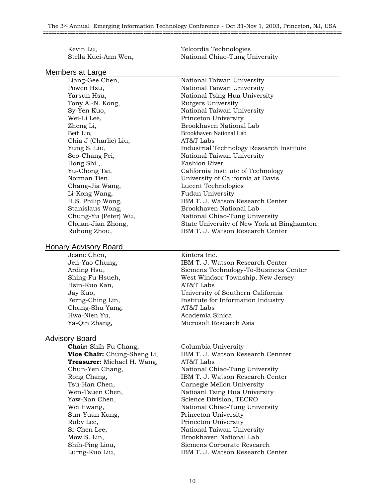Kevin Lu, Telcordia Technologies Stella Kuei-Ann Wen, National Chiao-Tung University

#### Members at Large

Liang-Gee Chen, National Taiwan University Powen Hsu, National Taiwan University Yarsun Hsu, National Tsing Hua University Tony A.-N. Kong, Rutgers University Sy-Yen Kuo, National Taiwan University Wei-Li Lee, Princeton University Zheng Li, Brookhaven National Lab Beth Lin, Brookhaven National Lab Chia J (Charlie) Liu, AT&T Labs Yung S. Liu, Industrial Technology Research Institute Soo-Chang Pei, National Taiwan University Hong Shi, Fashion River Yu-Chong Tai, California Institute of Technology Norman Tien, University of California at Davis Chang-Jia Wang, Lucent Technologies Li-Kong Wang, Fudan University H.S. Philip Wong, **IBM T. J. Watson Research Center** Stanislaus Wong, Brookhaven National Lab Chung-Yu (Peter) Wu, National Chiao-Tung University Chuan-Jian Zhong, State University of New York at Binghamton Ruhong Zhou, **IBM T. J. Watson Research Center** 

#### Honary Advisory Board

Jeane Chen, Kintera Inc. Hsin-Kuo Kan, and AT&T Labs Chung-Shu Yang, AT&T Labs Hwa-Nien Yu, and a cademia Sinica

Jen-Yao Chung, IBM T. J. Watson Research Center Arding Hsu, The Siemens Technology-To-Business Center Shing-Fu Hsueh, West Windsor Township, New Jersey Jay Kuo, University of Southern California Ferng-Ching Lin, Institute for Information Industry Ya-Qin Zhang, Microsoft Research Asia

#### Advisory Board

**Chair:** Shih-Fu Chang, Columbia University **Treasurer:** Michael H. Wang,  $AT&T$  Labs Tsu-Han Chen, Carnegie Mellon University Yaw-Nan Chen, Science Division, TECRO Sun-Yuan Kung, Princeton University Ruby Lee, Princeton University Si-Chen Lee, National Taiwan University Mow S. Lin, Sandy Brookhaven National Lab Shih-Ping Liou, Siemens Corporate Research

**Vice Chair:** Chung-Sheng Li, **IBM T. J. Watson Research Cennter** Chun-Yen Chang, The Mational Chiao-Tung University Rong Chang, **IBM T. J. Watson Research Center** Wen-Tsuen Chen, Natioanl Tsing Hua University Wei Hwang, The Mational Chiao-Tung University Lurng-Kuo Liu, **IBM T. J. Watson Research Center**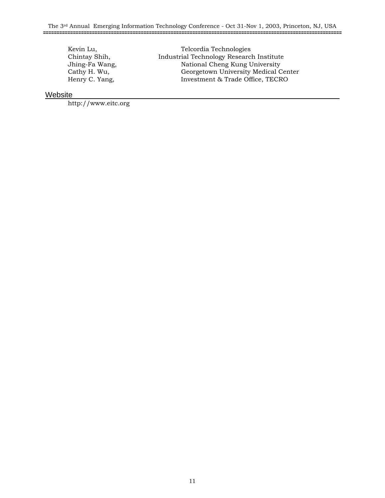Kevin Lu, Telcordia Technologies Chintay Shih, Industrial Technology Research Institute Jhing-Fa Wang, National Cheng Kung University Cathy H. Wu, Georgetown University Medical Center<br>Henry C. Yang, Kanada Investment & Trade Office, TECRO Investment & Trade Office, TECRO

#### **Website**

http://www.eitc.org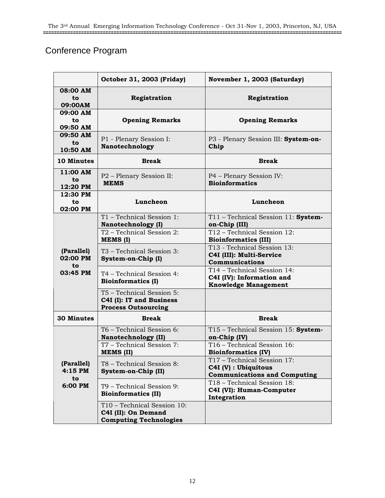## Conference Program

|                               | October 31, 2003 (Friday)                                                           | November 1, 2003 (Saturday)                                                                |  |
|-------------------------------|-------------------------------------------------------------------------------------|--------------------------------------------------------------------------------------------|--|
| 08:00 AM<br>to<br>09:00AM     | Registration                                                                        | Registration                                                                               |  |
| 09:00 AM<br>to<br>09:50 AM    | <b>Opening Remarks</b>                                                              | <b>Opening Remarks</b>                                                                     |  |
| 09:50 AM<br>to<br>10:50 AM    | P1 - Plenary Session I:<br>Nanotechnology                                           | P3 - Plenary Session III: System-on-<br>Chip                                               |  |
| 10 Minutes                    | <b>Break</b>                                                                        | <b>Break</b>                                                                               |  |
| 11:00 AM<br>to<br>12:20 PM    | P2 - Plenary Session II:<br><b>MEMS</b>                                             | P4 - Plenary Session IV:<br><b>Bioinformatics</b>                                          |  |
| 12:30 PM<br>to<br>02:00 PM    | Luncheon                                                                            | Luncheon                                                                                   |  |
|                               | T1 - Technical Session 1:<br>Nanotechnology (I)                                     | T11 - Technical Session 11: System-<br>on-Chip (III)                                       |  |
|                               | T2 - Technical Session 2:<br>MEMS (I)                                               | T12 - Technical Session 12:<br><b>Bioinformatics (III)</b>                                 |  |
| (Parallel)<br>02:00 PM<br>to  | T <sub>3</sub> – Technical Session 3:<br>System-on-Chip (I)                         | T13 - Technical Session 13:<br>C4I (III): Multi-Service<br>Communications                  |  |
| 03:45 PM                      | T4 - Technical Session 4:<br><b>Bioinformatics (I)</b>                              | T14 - Technical Session 14:<br>C4I (IV): Information and<br><b>Knowledge Management</b>    |  |
|                               | T5 - Technical Session 5:<br>C4I (I): IT and Business<br><b>Process Outsourcing</b> |                                                                                            |  |
| <b>30 Minutes</b>             | <b>Break</b>                                                                        | <b>Break</b>                                                                               |  |
|                               | T6 - Technical Session 6:<br>Nanotechnology (II)                                    | T15 - Technical Session 15: System-<br>on-Chip (IV)                                        |  |
|                               | T7 - Technical Session 7:<br><b>MEMS (II)</b>                                       | T16 - Technical Session 16:<br><b>Bioinformatics (IV)</b>                                  |  |
| (Parallel)<br>$4:15$ PM<br>to | T8 - Technical Session 8:<br>System-on-Chip (II)                                    | T17 - Technical Session 17:<br>C4I (V) : Ubiquitous<br><b>Communications and Computing</b> |  |
| 6:00 PM                       | T9 - Technical Session 9:<br><b>Bioinformatics (II)</b>                             | T18 - Technical Session 18:<br>C4I (VI): Human-Computer<br>Integration                     |  |
|                               | T10 - Technical Session 10:<br>C4I (II): On Demand<br><b>Computing Technologies</b> |                                                                                            |  |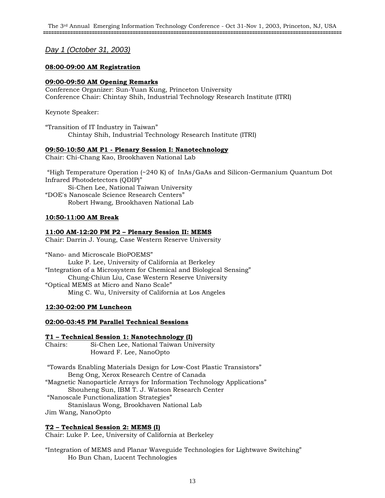#### *Day 1 (October 31, 2003)*

#### **08:00-09:00 AM Registration**

#### **09:00-09:50 AM Opening Remarks**

Conference Organizer: Sun-Yuan Kung, Princeton University Conference Chair: Chintay Shih, Industrial Technology Research Institute (ITRI)

Keynote Speaker:

"Transition of IT Industry in Taiwan" Chintay Shih, Industrial Technology Research Institute (ITRI)

#### **09:50-10:50 AM P1 - Plenary Session I: Nanotechnology**

Chair: Chi-Chang Kao, Brookhaven National Lab

 "High Temperature Operation (~240 K) of InAs/GaAs and Silicon-Germanium Quantum Dot Infrared Photodetectors (QDIP)"

Si-Chen Lee, National Taiwan University "DOE's Nanoscale Science Research Centers" Robert Hwang, Brookhaven National Lab

#### **10:50-11:00 AM Break**

#### **11:00 AM-12:20 PM P2 – Plenary Session II: MEMS**

Chair: Darrin J. Young, Case Western Reserve University

"Nano- and Microscale BioPOEMS" Luke P. Lee, University of California at Berkeley "Integration of a Microsystem for Chemical and Biological Sensing" Chung-Chiun Liu, Case Western Reserve University "Optical MEMS at Micro and Nano Scale" Ming C. Wu, University of California at Los Angeles

#### **12:30-02:00 PM Luncheon**

#### **02:00-03:45 PM Parallel Technical Sessions**

#### **T1 – Technical Session 1: Nanotechnology (I)**

| Chairs: | Si-Chen Lee, National Taiwan University                              |
|---------|----------------------------------------------------------------------|
|         | Howard F. Lee, NanoOpto                                              |
|         |                                                                      |
|         | "Towards Enabling Materials Design for Low-Cost Plastic Transistors" |
|         | Beng Ong, Xerox Research Centre of Canada                            |

"Magnetic Nanoparticle Arrays for Information Technology Applications" Shouheng Sun, IBM T. J. Watson Research Center

"Nanoscale Functionalization Strategies"

Stanislaus Wong, Brookhaven National Lab Jim Wang, NanoOpto

#### **T2 – Technical Session 2: MEMS (I)**

Chair: Luke P. Lee, University of California at Berkeley

"Integration of MEMS and Planar Waveguide Technologies for Lightwave Switching" Ho Bun Chan, Lucent Technologies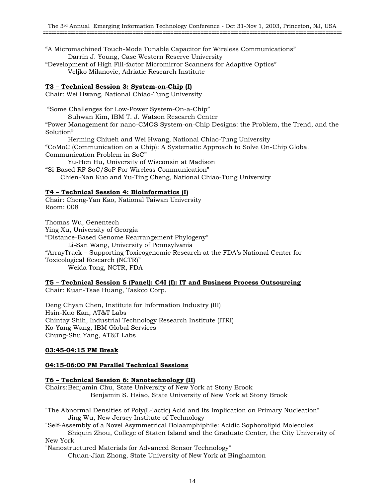"A Micromachined Touch-Mode Tunable Capacitor for Wireless Communications" Darrin J. Young, Case Western Reserve University

"Development of High Fill-factor Micromirror Scanners for Adaptive Optics" Veljko Milanovic, Adriatic Research Institute

#### **T3 – Technical Session 3: System-on-Chip (I)**

Chair: Wei Hwang, National Chiao-Tung University

"Some Challenges for Low-Power System-On-a-Chip"

Suhwan Kim, IBM T. J. Watson Research Center

"Power Management for nano-CMOS System-on-Chip Designs: the Problem, the Trend, and the Solution"

Herming Chiueh and Wei Hwang, National Chiao-Tung University "CoMoC (Communication on a Chip): A Systematic Approach to Solve On-Chip Global Communication Problem in SoC"

Yu-Hen Hu, University of Wisconsin at Madison

"Si-Based RF SoC/SoP For Wireless Communication"

Chien-Nan Kuo and Yu-Ting Cheng, National Chiao-Tung University

#### **T4 – Technical Session 4: Bioinformatics (I)**

Chair: Cheng-Yan Kao, National Taiwan University Room: 008

Thomas Wu, Genentech

Ying Xu, University of Georgia "Distance-Based Genome Rearrangement Phylogeny" Li-San Wang, University of Pennsylvania "ArrayTrack – Supporting Toxicogenomic Research at the FDA's National Center for Toxicological Research (NCTR)" Weida Tong, NCTR, FDA

## **T5 – Technical Session 5 (Panel): C4I (I): IT and Business Process Outsourcing**

Chair: Kuan-Tsae Huang, Taskco Corp.

Deng Chyan Chen, Institute for Information Industry (III) Hsin-Kuo Kan, AT&T Labs Chintay Shih, Industrial Technology Research Institute (ITRI) Ko-Yang Wang, IBM Global Services Chung-Shu Yang, AT&T Labs

#### **03:45-04:15 PM Break**

#### **04:15-06:00 PM Parallel Technical Sessions**

#### **T6 – Technical Session 6: Nanotechnology (II)**

Chairs: Benjamin Chu, State University of New York at Stony Brook Benjamin S. Hsiao, State University of New York at Stony Brook

"The Abnormal Densities of Poly(L-lactic) Acid and Its Implication on Primary Nucleation" Jing Wu, New Jersey Institute of Technology

"Self-Assembly of a Novel Asymmetrical Bolaamphiphile: Acidic Sophorolipid Molecules"

Shiquin Zhou, College of Staten Island and the Graduate Center, the City University of New York

"Nanostructured Materials for Advanced Sensor Technology" Chuan-Jian Zhong, State University of New York at Binghamton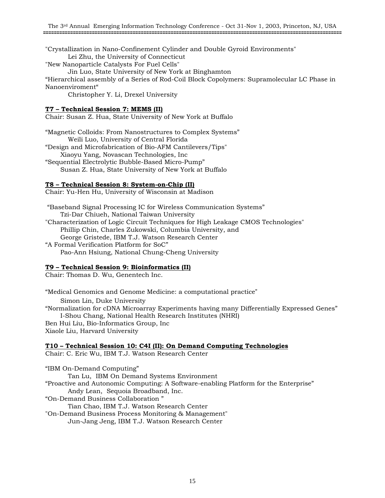"Crystallization in Nano-Confinement Cylinder and Double Gyroid Environments" Lei Zhu, the University of Connecticut

"New Nanoparticle Catalysts For Fuel Cells"

Jin Luo, State University of New York at Binghamton

"Hierarchical assembly of a Series of Rod-Coil Block Copolymers: Supramolecular LC Phase in Nanoenviroment"

Christopher Y. Li, Drexel University

#### **T7 – Technical Session 7: MEMS (II)**

Chair: Susan Z. Hua, State University of New York at Buffalo

"Magnetic Colloids: From Nanostructures to Complex Systems" Weili Luo, University of Central Florida "Design and Microfabrication of Bio-AFM Cantilevers/Tips"

Xiaoyu Yang, Novascan Technologies, Inc "Sequential Electrolytic Bubble-Based Micro-Pump"

Susan Z. Hua, State University of New York at Buffalo

#### **T8 – Technical Session 8: System-on-Chip (II)**

Chair: Yu-Hen Hu, University of Wisconsin at Madison

 "Baseband Signal Processing IC for Wireless Communication Systems" Tzi-Dar Chiueh, National Taiwan University "Characterization of Logic Circuit Techniques for High Leakage CMOS Technologies" Phillip Chin, Charles Zukowski, Columbia University, and

George Gristede, IBM T.J. Watson Research Center

"A Formal Verification Platform for SoC" Pao-Ann Hsiung, National Chung-Cheng University

#### **T9 – Technical Session 9: Bioinformatics (II)**

Chair: Thomas D. Wu, Genentech Inc.

"Medical Genomics and Genome Medicine: a computational practice"

Simon Lin, Duke University "Normalization for cDNA Microarray Experiments having many Differentially Expressed Genes" I-Shou Chang, National Health Research Institutes (NHRI) Ben Hui Liu, Bio-Informatics Group, Inc

Xiaole Liu, Harvard University

#### **T10 – Technical Session 10: C4I (II): On Demand Computing Technologies**

Chair: C. Eric Wu, IBM T.J. Watson Research Center

"IBM On-Demand Computing"

Tan Lu, IBM On Demand Systems Environment

"Proactive and Autonomic Computing: A Software-enabling Platform for the Enterprise" Andy Lean, Sequoia Broadband, Inc.

"On-Demand Business Collaboration "

Tian Chao, IBM T.J. Watson Research Center

"On-Demand Business Process Monitoring & Management" Jun-Jang Jeng, IBM T.J. Watson Research Center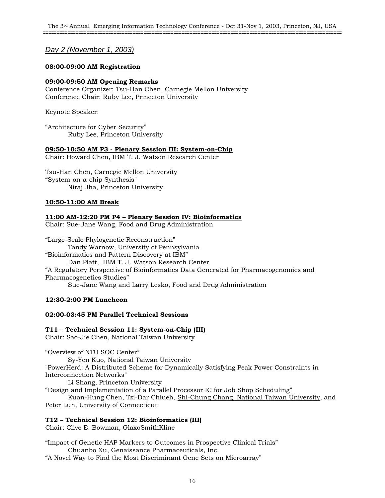#### *Day 2 (November 1, 2003)*

#### **08:00-09:00 AM Registration**

#### **09:00-09:50 AM Opening Remarks**

Conference Organizer: Tsu-Han Chen, Carnegie Mellon University Conference Chair: Ruby Lee, Princeton University

Keynote Speaker:

"Architecture for Cyber Security" Ruby Lee, Princeton University

#### **09:50-10:50 AM P3 - Plenary Session III: System-on-Chip**

Chair: Howard Chen, IBM T. J. Watson Research Center

Tsu-Han Chen, Carnegie Mellon University "System-on-a-chip Synthesis" Niraj Jha, Princeton University

#### **10:50-11:00 AM Break**

#### **11:00 AM-12:20 PM P4 – Plenary Session IV: Bioinformatics**

Chair: Sue-Jane Wang, Food and Drug Administration

"Large-Scale Phylogenetic Reconstruction" Tandy Warnow, University of Pennsylvania "Bioinformatics and Pattern Discovery at IBM" Dan Platt, IBM T. J. Watson Research Center "A Regulatory Perspective of Bioinformatics Data Generated for Pharmacogenomics and Pharmacogenetics Studies" Sue-Jane Wang and Larry Lesko, Food and Drug Administration

#### **12:30-2:00 PM Luncheon**

#### **02:00-03:45 PM Parallel Technical Sessions**

#### **T11 – Technical Session 11: System-on-Chip (III)**

Chair: Sao-Jie Chen, National Taiwan University

"Overview of NTU SOC Center"

Sy-Yen Kuo, National Taiwan University "PowerHerd: A Distributed Scheme for Dynamically Satisfying Peak Power Constraints in Interconnection Networks"

Li Shang, Princeton University

"Design and Implementation of a Parallel Processor IC for Job Shop Scheduling"

Kuan-Hung Chen, Tzi-Dar Chiueh, Shi-Chung Chang, National Taiwan University, and Peter Luh, University of Connecticut

#### **T12 – Technical Session 12: Bioinformatics (III)**

Chair: Clive E. Bowman, GlaxoSmithKline

"Impact of Genetic HAP Markers to Outcomes in Prospective Clinical Trials" Chuanbo Xu, Genaissance Pharmaceuticals, Inc.

"A Novel Way to Find the Most Discriminant Gene Sets on Microarray"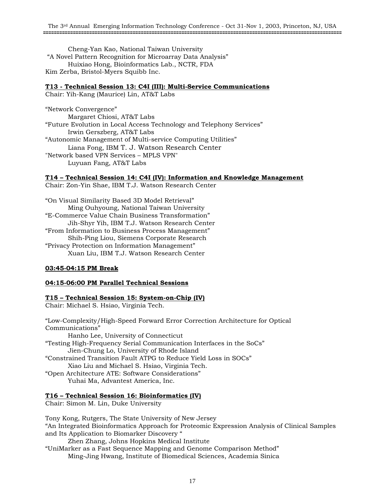Cheng-Yan Kao, National Taiwan University "A Novel Pattern Recognition for Microarray Data Analysis" Huixiao Hong, Bioinformatics Lab., NCTR, FDA Kim Zerba, Bristol-Myers Squibb Inc.

#### **T13 - Technical Session 13: C4I (III): Multi-Service Communications**

Chair: Yih-Kang (Maurice) Lin, AT&T Labs

"Network Convergence" Margaret Chiosi, AT&T Labs "Future Evolution in Local Access Technology and Telephony Services" Irwin Gerszberg, AT&T Labs "Autonomic Management of Multi-service Computing Utilities" Liana Fong, IBM T. J. Watson Research Center "Network based VPN Services – MPLS VPN" Luyuan Fang, AT&T Labs

#### **T14 – Technical Session 14: C4I (IV): Information and Knowledge Management**

Chair: Zon-Yin Shae, IBM T.J. Watson Research Center

"On Visual Similarity Based 3D Model Retrieval" Ming Ouhyoung, National Taiwan University "E-Commerce Value Chain Business Transformation" Jih-Shyr Yih, IBM T.J. Watson Research Center "From Information to Business Process Management" Shih-Ping Liou, Siemens Corporate Research "Privacy Protection on Information Management" Xuan Liu, IBM T.J. Watson Research Center

#### **03:45-04:15 PM Break**

#### **04:15-06:00 PM Parallel Technical Sessions**

#### **T15 – Technical Session 15: System-on-Chip (IV)**

Chair: Michael S. Hsiao, Virginia Tech.

"Low-Complexity/High-Speed Forward Error Correction Architecture for Optical Communications" Hanho Lee, University of Connecticut "Testing High-Frequency Serial Communication Interfaces in the SoCs" Jien-Chung Lo, University of Rhode Island "Constrained Transition Fault ATPG to Reduce Yield Loss in SOCs" Xiao Liu and Michael S. Hsiao, Virginia Tech. "Open Architecture ATE: Software Considerations" Yuhai Ma, Advantest America, Inc.

#### **T16 – Technical Session 16: Bioinformatics (IV)**

Chair: Simon M. Lin, Duke University

Tony Kong, Rutgers, The State University of New Jersey "An Integrated Bioinformatics Approach for Proteomic Expression Analysis of Clinical Samples and Its Application to Biomarker Discovery " Zhen Zhang, Johns Hopkins Medical Institute "UniMarker as a Fast Sequence Mapping and Genome Comparison Method" Ming-Jing Hwang, Institute of Biomedical Sciences, Academia Sinica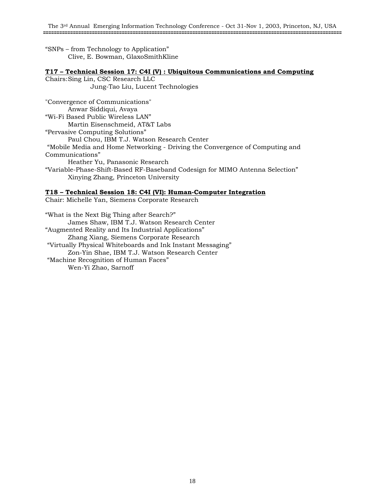"SNPs – from Technology to Application" Clive, E. Bowman, GlaxoSmithKline

#### **T17 – Technical Session 17: C4I (V) : Ubiquitous Communications and Computing**

Chairs: Sing Lin, CSC Research LLC Jung-Tao Liu, Lucent Technologies "Convergence of Communications" Anwar Siddiqui, Avaya "Wi-Fi Based Public Wireless LAN" Martin Eisenschmeid, AT&T Labs "Pervasive Computing Solutions" Paul Chou, IBM T.J. Watson Research Center "Mobile Media and Home Networking - Driving the Convergence of Computing and Communications" Heather Yu, Panasonic Research "Variable-Phase-Shift-Based RF-Baseband Codesign for MIMO Antenna Selection" Xinying Zhang, Princeton University

#### **T18 – Technical Session 18: C4I (VI): Human-Computer Integration**

Chair: Michelle Yan, Siemens Corporate Research

"What is the Next Big Thing after Search?" James Shaw, IBM T.J. Watson Research Center "Augmented Reality and Its Industrial Applications" Zhang Xiang, Siemens Corporate Research "Virtually Physical Whiteboards and Ink Instant Messaging" Zon-Yin Shae, IBM T.J. Watson Research Center "Machine Recognition of Human Faces" Wen-Yi Zhao, Sarnoff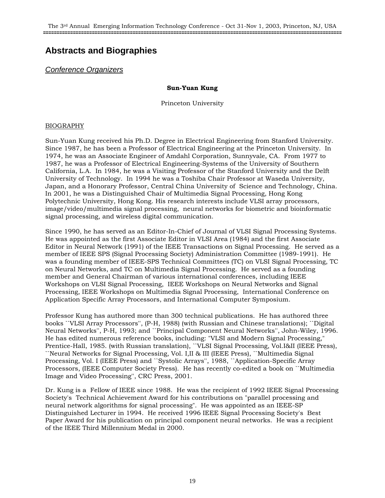## **Abstracts and Biographies**

#### *Conference Organizers*

#### **Sun-Yuan Kung**

Princeton University

#### BIOGRAPHY

Sun-Yuan Kung received his Ph.D. Degree in Electrical Engineering from Stanford University. Since 1987, he has been a Professor of Electrical Engineering at the Princeton University. In 1974, he was an Associate Engineer of Amdahl Corporation, Sunnyvale, CA. From 1977 to 1987, he was a Professor of Electrical Engineering-Systems of the University of Southern California, L.A. In 1984, he was a Visiting Professor of the Stanford University and the Delft University of Technology. In 1994 he was a Toshiba Chair Professor at Waseda University, Japan, and a Honorary Professor, Central China University of Science and Technology, China. In 2001, he was a Distinguished Chair of Multimedia Signal Processing, Hong Kong Polytechnic University, Hong Kong. His research interests include VLSI array processors, image/video/multimedia signal processing, neural networks for biometric and bioinformatic signal processing, and wireless digital communication.

Since 1990, he has served as an Editor-In-Chief of Journal of VLSI Signal Processing Systems. He was appointed as the first Associate Editor in VLSI Area (1984) and the first Associate Editor in Neural Network (1991) of the IEEE Transactions on Signal Processing. He served as a member of IEEE SPS (Signal Processing Society) Administration Committee (1989-1991). He was a founding member of IEEE-SPS Technical Committees (TC) on VLSI Signal Processing, TC on Neural Networks, and TC on Multimedia Signal Processing. He served as a founding member and General Chairman of various international conferences, including IEEE Workshops on VLSI Signal Processing, IEEE Workshops on Neural Networks and Signal Processing, IEEE Workshops on Multimedia Signal Processing, International Conference on Application Specific Array Processors, and International Computer Symposium.

Professor Kung has authored more than 300 technical publications. He has authored three books ``VLSI Array Processors'', (P-H, 1988) (with Russian and Chinese translations); ``Digital Neural Networks'', P-H, 1993; and ``Principal Component Neural Networks'', John-Wiley, 1996. He has edited numerous reference books, including: "VLSI and Modern Signal Processing," Prentice-Hall, 1985. (with Russian translation), ``VLSI Signal Processing, Vol.I&II (IEEE Press), ``Neural Networks for Signal Processing, Vol. I,II & III (IEEE Press), ``Multimedia Signal Processing, Vol. I (IEEE Press) and ``Systolic Arrays'', 1988, ``Application-Specific Array Processors, (IEEE Computer Society Press). He has recently co-edited a book on ``Multimedia Image and Video Processing'', CRC Press, 2001.

Dr. Kung is a Fellow of IEEE since 1988. He was the recipient of 1992 IEEE Signal Processing Society's Technical Achievement Award for his contributions on "parallel processing and neural network algorithms for signal processing". He was appointed as an IEEE-SP Distinguished Lecturer in 1994. He received 1996 IEEE Signal Processing Society's Best Paper Award for his publication on principal component neural networks. He was a recipient of the IEEE Third Millennium Medal in 2000.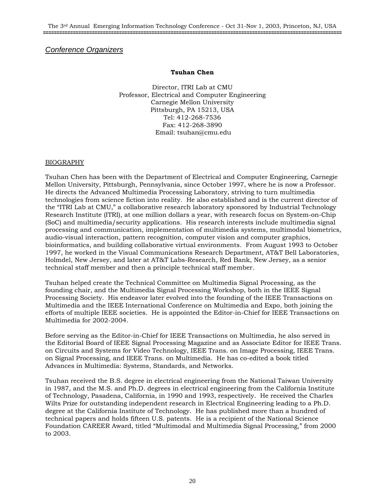#### *Conference Organizers*

#### **Tsuhan Chen**

Director, ITRI Lab at CMU Professor, Electrical and Computer Engineering Carnegie Mellon University Pittsburgh, PA 15213, USA Tel: 412-268-7536 Fax: 412-268-3890 Email: tsuhan@cmu.edu

#### BIOGRAPHY

Tsuhan Chen has been with the Department of Electrical and Computer Engineering, Carnegie Mellon University, Pittsburgh, Pennsylvania, since October 1997, where he is now a Professor. He directs the Advanced Multimedia Processing Laboratory, striving to turn multimedia technologies from science fiction into reality. He also established and is the current director of the "ITRI Lab at CMU," a collaborative research laboratory sponsored by Industrial Technology Research Institute (ITRI), at one million dollars a year, with research focus on System-on-Chip (SoC) and multimedia/security applications. His research interests include multimedia signal processing and communication, implementation of multimedia systems, multimodal biometrics, audio-visual interaction, pattern recognition, computer vision and computer graphics, bioinformatics, and building collaborative virtual environments. From August 1993 to October 1997, he worked in the Visual Communications Research Department, AT&T Bell Laboratories, Holmdel, New Jersey, and later at AT&T Labs-Research, Red Bank, New Jersey, as a senior technical staff member and then a principle technical staff member.

Tsuhan helped create the Technical Committee on Multimedia Signal Processing, as the founding chair, and the Multimedia Signal Processing Workshop, both in the IEEE Signal Processing Society. His endeavor later evolved into the founding of the IEEE Transactions on Multimedia and the IEEE International Conference on Multimedia and Expo, both joining the efforts of multiple IEEE societies. He is appointed the Editor-in-Chief for IEEE Transactions on Multimedia for 2002-2004.

Before serving as the Editor-in-Chief for IEEE Transactions on Multimedia, he also served in the Editorial Board of IEEE Signal Processing Magazine and as Associate Editor for IEEE Trans. on Circuits and Systems for Video Technology, IEEE Trans. on Image Processing, IEEE Trans. on Signal Processing, and IEEE Trans. on Multimedia. He has co-edited a book titled Advances in Multimedia: Systems, Standards, and Networks.

Tsuhan received the B.S. degree in electrical engineering from the National Taiwan University in 1987, and the M.S. and Ph.D. degrees in electrical engineering from the California Institute of Technology, Pasadena, California, in 1990 and 1993, respectively. He received the Charles Wilts Prize for outstanding independent research in Electrical Engineering leading to a Ph.D. degree at the California Institute of Technology. He has published more than a hundred of technical papers and holds fifteen U.S. patents. He is a recipient of the National Science Foundation CAREER Award, titled "Multimodal and Multimedia Signal Processing," from 2000 to 2003.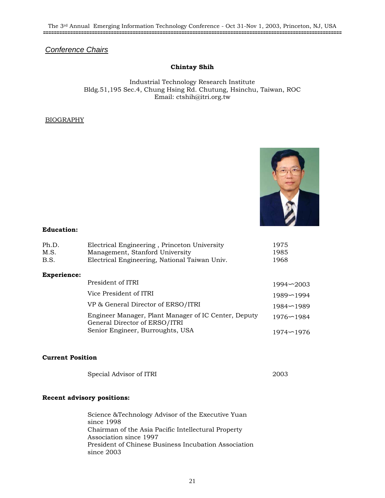### *Conference Chairs*

#### **Chintay Shih**

Industrial Technology Research Institute Bldg.51,195 Sec.4, Chung Hsing Rd. Chutung, Hsinchu, Taiwan, ROC Email: ctshih@itri.org.tw

#### BIOGRAPHY



#### **Education:**

| Ph.D.<br>M.S.<br>B.S. | Electrical Engineering, Princeton University<br>Management, Stanford University<br>Electrical Engineering, National Taiwan Univ. | 1975<br>1985<br>1968 |
|-----------------------|----------------------------------------------------------------------------------------------------------------------------------|----------------------|
| <b>Experience:</b>    |                                                                                                                                  |                      |
|                       | President of ITRI                                                                                                                | $1994 - 2003$        |
|                       | Vice President of ITRI                                                                                                           | $1989 - 1994$        |
|                       | VP & General Director of ERSO/ITRI                                                                                               | $1984 - 1989$        |
|                       | Engineer Manager, Plant Manager of IC Center, Deputy<br>General Director of ERSO/ITRI                                            | $1976 - 1984$        |
|                       | Senior Engineer, Burroughts, USA                                                                                                 | $1974 - 1976$        |

#### **Current Position**

| Special Advisor of ITRI | 2003 |
|-------------------------|------|
|-------------------------|------|

#### **Recent advisory positions:**

Science &Technology Advisor of the Executive Yuan since 1998 Chairman of the Asia Pacific Intellectural Property Association since 1997 President of Chinese Business Incubation Association since 2003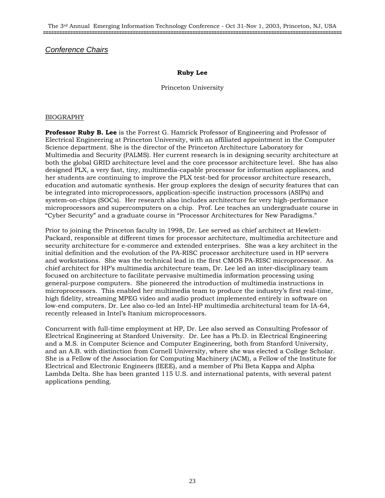#### *Conference Chairs*

#### **Ruby Lee**

Princeton University

#### BIOGRAPHY

**Professor Ruby B. Lee** is the Forrest G. Hamrick Professor of Engineering and Professor of Electrical Engineering at Princeton University, with an affiliated appointment in the Computer Science department. She is the director of the Princeton Architecture Laboratory for Multimedia and Security (PALMS). Her current research is in designing security architecture at both the global GRID architecture level and the core processor architecture level. She has also designed PLX, a very fast, tiny, multimedia-capable processor for information appliances, and her students are continuing to improve the PLX test-bed for processor architecture research, education and automatic synthesis. Her group explores the design of security features that can be integrated into microprocessors, application-specific instruction processors (ASIPs) and system-on-chips (SOCs). Her research also includes architecture for very high-performance microprocessors and supercomputers on a chip. Prof. Lee teaches an undergraduate course in "Cyber Security" and a graduate course in "Processor Architectures for New Paradigms."

Prior to joining the Princeton faculty in 1998, Dr. Lee served as chief architect at Hewlett-Packard, responsible at different times for processor architecture, multimedia architecture and security architecture for e-commerce and extended enterprises. She was a key architect in the initial definition and the evolution of the PA-RISC processor architecture used in HP servers and workstations. She was the technical lead in the first CMOS PA-RISC microprocessor. As chief architect for HP's multimedia architecture team, Dr. Lee led an inter-disciplinary team focused on architecture to facilitate pervasive multimedia information processing using general-purpose computers. She pioneered the introduction of multimedia instructions in microprocessors. This enabled her multimedia team to produce the industry's first real-time, high fidelity, streaming MPEG video and audio product implemented entirely in software on low-end computers. Dr. Lee also co-led an Intel-HP multimedia architectural team for IA-64, recently released in Intel's Itanium microprocessors.

Concurrent with full-time employment at HP, Dr. Lee also served as Consulting Professor of Electrical Engineering at Stanford University. Dr. Lee has a Ph.D. in Electrical Engineering and a M.S. in Computer Science and Computer Engineering, both from Stanford University, and an A.B. with distinction from Cornell University, where she was elected a College Scholar. She is a Fellow of the Association for Computing Machinery (ACM), a Fellow of the Institute for Electrical and Electronic Engineers (IEEE), and a member of Phi Beta Kappa and Alpha Lambda Delta. She has been granted 115 U.S. and international patents, with several patent applications pending.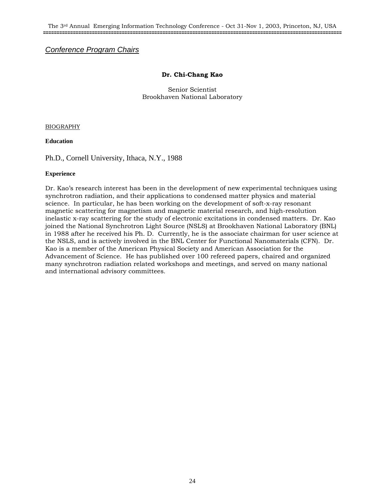#### **Dr. Chi-Chang Kao**

Senior Scientist Brookhaven National Laboratory

BIOGRAPHY

**Education** 

Ph.D., Cornell University, Ithaca, N.Y., 1988

#### **Experience**

Dr. Kao's research interest has been in the development of new experimental techniques using synchrotron radiation, and their applications to condensed matter physics and material science. In particular, he has been working on the development of soft-x-ray resonant magnetic scattering for magnetism and magnetic material research, and high-resolution inelastic x-ray scattering for the study of electronic excitations in condensed matters. Dr. Kao joined the National Synchrotron Light Source (NSLS) at Brookhaven National Laboratory (BNL) in 1988 after he received his Ph. D. Currently, he is the associate chairman for user science at the NSLS, and is actively involved in the BNL Center for Functional Nanomaterials (CFN). Dr. Kao is a member of the American Physical Society and American Association for the Advancement of Science. He has published over 100 refereed papers, chaired and organized many synchrotron radiation related workshops and meetings, and served on many national and international advisory committees.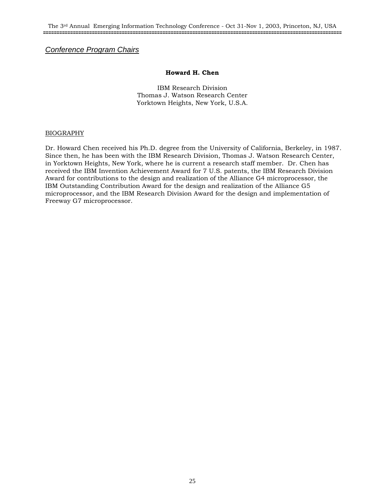#### **Howard H. Chen**

IBM Research Division Thomas J. Watson Research Center Yorktown Heights, New York, U.S.A.

#### BIOGRAPHY

Dr. Howard Chen received his Ph.D. degree from the University of California, Berkeley, in 1987. Since then, he has been with the IBM Research Division, Thomas J. Watson Research Center, in Yorktown Heights, New York, where he is current a research staff member. Dr. Chen has received the IBM Invention Achievement Award for 7 U.S. patents, the IBM Research Division Award for contributions to the design and realization of the Alliance G4 microprocessor, the IBM Outstanding Contribution Award for the design and realization of the Alliance G5 microprocessor, and the IBM Research Division Award for the design and implementation of Freeway G7 microprocessor.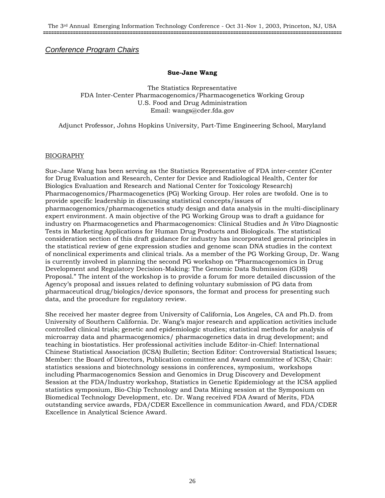#### **Sue-Jane Wang**

The Statistics Representative FDA Inter-Center Pharmacogenomics/Pharmacogenetics Working Group U.S. Food and Drug Administration Email: wangs@cder.fda.gov

Adjunct Professor, Johns Hopkins University, Part-Time Engineering School, Maryland

#### BIOGRAPHY

Sue-Jane Wang has been serving as the Statistics Representative of FDA inter-center (Center for Drug Evaluation and Research, Center for Device and Radiological Health, Center for Biologics Evaluation and Research and National Center for Toxicology Research) Pharmacogenomics/Pharmacogenetics (PG) Working Group. Her roles are twofold. One is to provide specific leadership in discussing statistical concepts/issues of pharmacogenomics/pharmacogenetics study design and data analysis in the multi-disciplinary expert environment. A main objective of the PG Working Group was to draft a guidance for industry on Pharmacogenetics and Pharmacogenomics: Clinical Studies and *In Vitro* Diagnostic Tests in Marketing Applications for Human Drug Products and Biologicals. The statistical consideration section of this draft guidance for industry has incorporated general principles in the statistical review of gene expression studies and genome scan DNA studies in the context of nonclinical experiments and clinical trials. As a member of the PG Working Group, Dr. Wang is currently involved in planning the second PG workshop on "Pharmacogenomics in Drug Development and Regulatory Decision-Making: The Genomic Data Submission (GDS) Proposal." The intent of the workshop is to provide a forum for more detailed discussion of the Agency's proposal and issues related to defining voluntary submission of PG data from pharmaceutical drug/biologics/device sponsors, the format and process for presenting such data, and the procedure for regulatory review.

She received her master degree from University of California, Los Angeles, CA and Ph.D. from University of Southern California. Dr. Wang's major research and application activities include controlled clinical trials; genetic and epidemiologic studies; statistical methods for analysis of microarray data and pharmacogenomics/ pharmacogenetics data in drug development; and teaching in biostatistics. Her professional activities include Editor-in-Chief: International Chinese Statistical Association (ICSA) Bulletin; Section Editor: Controversial Statistical Issues; Member: the Board of Directors, Publication committee and Award committee of ICSA; Chair: statistics sessions and biotechnology sessions in conferences, symposium, workshops including Pharmacogenomics Session and Genomics in Drug Discovery and Development Session at the FDA/Industry workshop, Statistics in Genetic Epidemiology at the ICSA applied statistics symposium, Bio-Chip Technology and Data Mining session at the Symposium on Biomedical Technology Development, etc. Dr. Wang received FDA Award of Merits, FDA outstanding service awards, FDA/CDER Excellence in communication Award, and FDA/CDER Excellence in Analytical Science Award.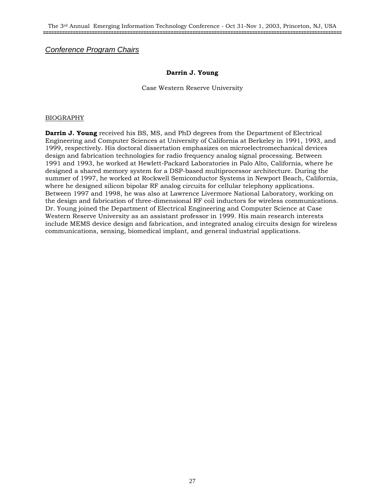#### **Darrin J. Young**

Case Western Reserve University

#### BIOGRAPHY

**Darrin J. Young** received his BS, MS, and PhD degrees from the Department of Electrical Engineering and Computer Sciences at University of California at Berkeley in 1991, 1993, and 1999, respectively. His doctoral dissertation emphasizes on microelectromechanical devices design and fabrication technologies for radio frequency analog signal processing. Between 1991 and 1993, he worked at Hewlett-Packard Laboratories in Palo Alto, California, where he designed a shared memory system for a DSP-based multiprocessor architecture. During the summer of 1997, he worked at Rockwell Semiconductor Systems in Newport Beach, California, where he designed silicon bipolar RF analog circuits for cellular telephony applications. Between 1997 and 1998, he was also at Lawrence Livermore National Laboratory, working on the design and fabrication of three-dimensional RF coil inductors for wireless communications. Dr. Young joined the Department of Electrical Engineering and Computer Science at Case Western Reserve University as an assistant professor in 1999. His main research interests include MEMS device design and fabrication, and integrated analog circuits design for wireless communications, sensing, biomedical implant, and general industrial applications.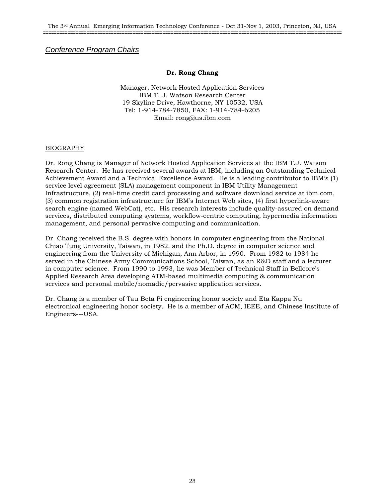#### **Dr. Rong Chang**

Manager, Network Hosted Application Services IBM T. J. Watson Research Center 19 Skyline Drive, Hawthorne, NY 10532, USA Tel: 1-914-784-7850, FAX: 1-914-784-6205 Email: rong@us.ibm.com

#### BIOGRAPHY

Dr. Rong Chang is Manager of Network Hosted Application Services at the IBM T.J. Watson Research Center. He has received several awards at IBM, including an Outstanding Technical Achievement Award and a Technical Excellence Award. He is a leading contributor to IBM's (1) service level agreement (SLA) management component in IBM Utility Management Infrastructure, (2) real-time credit card processing and software download service at ibm.com, (3) common registration infrastructure for IBM's Internet Web sites, (4) first hyperlink-aware search engine (named WebCat), etc. His research interests include quality-assured on demand services, distributed computing systems, workflow-centric computing, hypermedia information management, and personal pervasive computing and communication.

Dr. Chang received the B.S. degree with honors in computer engineering from the National Chiao Tung University, Taiwan, in 1982, and the Ph.D. degree in computer science and engineering from the University of Michigan, Ann Arbor, in 1990. From 1982 to 1984 he served in the Chinese Army Communications School, Taiwan, as an R&D staff and a lecturer in computer science. From 1990 to 1993, he was Member of Technical Staff in Bellcore's Applied Research Area developing ATM-based multimedia computing & communication services and personal mobile/nomadic/pervasive application services.

Dr. Chang is a member of Tau Beta Pi engineering honor society and Eta Kappa Nu electronical engineering honor society. He is a member of ACM, IEEE, and Chinese Institute of Engineers---USA.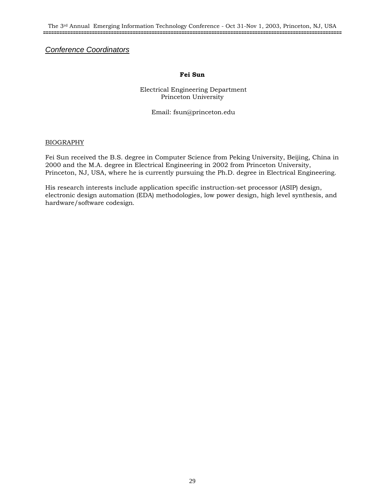The 3rd Annual Emerging Information Technology Conference - Oct 31-Nov 1, 2003, Princeton, NJ, USA **==============================================================================================================**

#### *Conference Coordinators*

#### **Fei Sun**

 Electrical Engineering Department Princeton University

Email: fsun@princeton.edu

#### BIOGRAPHY

Fei Sun received the B.S. degree in Computer Science from Peking University, Beijing, China in 2000 and the M.A. degree in Electrical Engineering in 2002 from Princeton University, Princeton, NJ, USA, where he is currently pursuing the Ph.D. degree in Electrical Engineering.

His research interests include application specific instruction-set processor (ASIP) design, electronic design automation (EDA) methodologies, low power design, high level synthesis, and hardware/software codesign.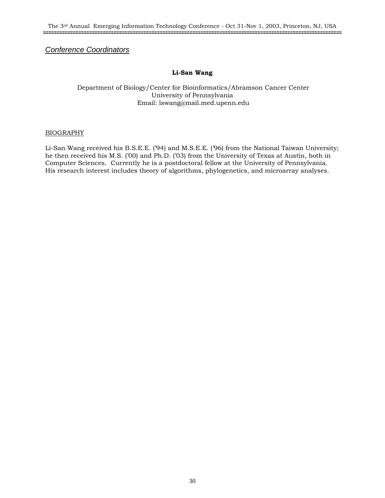#### *Conference Coordinators*

#### **Li-San Wang**

#### Department of Biology/Center for Bioinformatics/Abramson Cancer Center University of Pennsylvania Email: lswang@mail.med.upenn.edu

#### BIOGRAPHY

Li-San Wang received his B.S.E.E. ('94) and M.S.E.E. ('96) from the National Taiwan University; he then received his M.S. ('00) and Ph.D. ('03) from the University of Texas at Austin, both in Computer Sciences. Currently he is a postdoctoral fellow at the University of Pennsylvania. His research interest includes theory of algorithms, phylogenetics, and microarray analyses.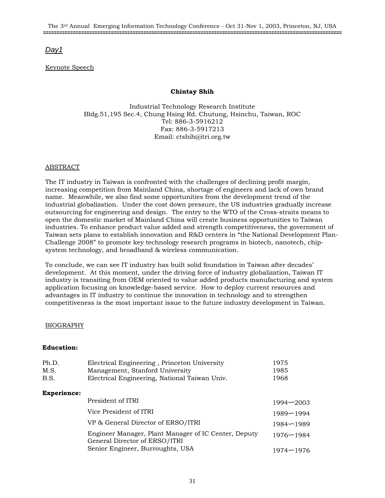### *Day1*

#### Keynote Speech

#### **Chintay Shih**

Industrial Technology Research Institute Bldg.51,195 Sec.4, Chung Hsing Rd. Chutung, Hsinchu, Taiwan, ROC Tel: 886-3-5916212 Fax: 886-3-5917213 Email: ctshih@itri.org.tw

#### ABSTRACT

The IT industry in Taiwan is confronted with the challenges of declining profit margin, increasing competition from Mainland China, shortage of engineers and lack of own brand name. Meanwhile, we also find some opportunities from the development trend of the industrial globalization. Under the cost down pressure, the US industries gradually increase outsourcing for engineering and design. The entry to the WTO of the Cross-straits means to open the domestic market of Mainland China will create business opportunities to Taiwan industries. To enhance product value added and strength competitiveness, the government of Taiwan sets plans to establish innovation and R&D centers in "the National Development Plan-Challenge 2008" to promote key technology research programs in biotech, nanotech, chipsystem technology, and broadband & wireless communication.

To conclude, we can see IT industry has built solid foundation in Taiwan after decades' development. At this moment, under the driving force of industry globalization, Taiwan IT industry is transiting from OEM oriented to value added products manufacturing and system application focusing on knowledge-based service. How to deploy current resources and advantages in IT industry to continue the innovation in technology and to strengthen competitiveness is the most important issue to the future industry development in Taiwan.

#### BIOGRAPHY

#### **Education:**

| Ph.D.<br>M.S.<br>B.S. | Electrical Engineering, Princeton University<br>Management, Stanford University<br>Electrical Engineering, National Taiwan Univ. | 1975<br>1985<br>1968 |
|-----------------------|----------------------------------------------------------------------------------------------------------------------------------|----------------------|
| <b>Experience:</b>    |                                                                                                                                  |                      |
|                       | President of ITRI                                                                                                                | $1994 - 2003$        |
|                       | Vice President of ITRI                                                                                                           | $1989 - 1994$        |
|                       | VP & General Director of ERSO/ITRI                                                                                               | $1984 - 1989$        |
|                       | Engineer Manager, Plant Manager of IC Center, Deputy<br>General Director of ERSO/ITRI                                            | $1976 - 1984$        |
|                       | Senior Engineer, Burroughts, USA                                                                                                 | 1974~1976            |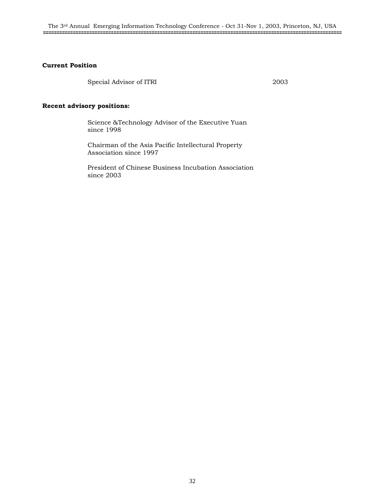#### **Current Position**

Special Advisor of ITRI 2003

#### **Recent advisory positions:**

Science &Technology Advisor of the Executive Yuan since 1998

Chairman of the Asia Pacific Intellectural Property Association since 1997

President of Chinese Business Incubation Association since 2003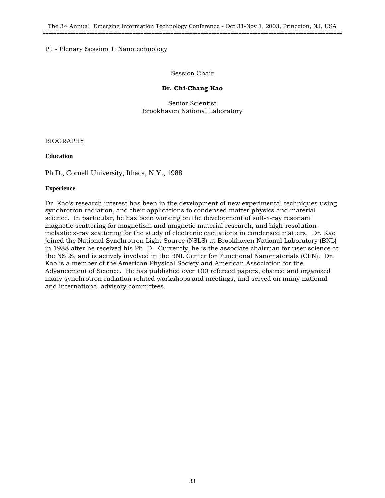The 3rd Annual Emerging Information Technology Conference - Oct 31-Nov 1, 2003, Princeton, NJ, USA **==============================================================================================================**

#### P1 - Plenary Session 1: Nanotechnology

#### Session Chair

#### **Dr. Chi-Chang Kao**

Senior Scientist Brookhaven National Laboratory

#### BIOGRAPHY

#### **Education**

Ph.D., Cornell University, Ithaca, N.Y., 1988

#### **Experience**

Dr. Kao's research interest has been in the development of new experimental techniques using synchrotron radiation, and their applications to condensed matter physics and material science. In particular, he has been working on the development of soft-x-ray resonant magnetic scattering for magnetism and magnetic material research, and high-resolution inelastic x-ray scattering for the study of electronic excitations in condensed matters. Dr. Kao joined the National Synchrotron Light Source (NSLS) at Brookhaven National Laboratory (BNL) in 1988 after he received his Ph. D. Currently, he is the associate chairman for user science at the NSLS, and is actively involved in the BNL Center for Functional Nanomaterials (CFN). Dr. Kao is a member of the American Physical Society and American Association for the Advancement of Science. He has published over 100 refereed papers, chaired and organized many synchrotron radiation related workshops and meetings, and served on many national and international advisory committees.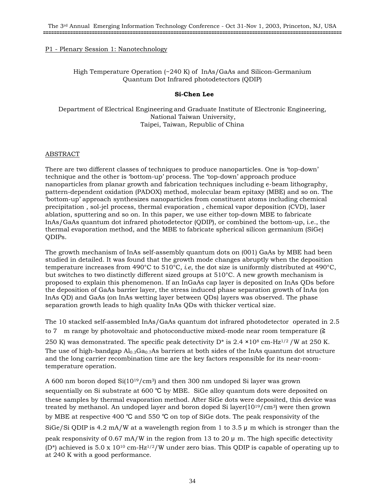#### P1 - Plenary Session 1: Nanotechnology

#### High Temperature Operation (~240 K) of InAs/GaAs and Silicon-Germanium Quantum Dot Infrared photodetectors (QDIP)

#### **Si-Chen Lee**

Department of Electrical Engineering and Graduate Institute of Electronic Engineering, National Taiwan University, Taipei, Taiwan, Republic of China

#### ABSTRACT

There are two different classes of techniques to produce nanoparticles. One is 'top-down' technique and the other is 'bottom-up' process. The 'top-down' approach produce nanoparticles from planar growth and fabrication techniques including e-beam lithography, pattern-dependent oxidation (PADOX) method, molecular beam epitaxy (MBE) and so on. The 'bottom-up' approach synthesizes nanoparticles from constituent atoms including chemical precipitation , sol-jel process, thermal evaporation , chemical vapor deposition (CVD), laser ablation, sputtering and so on. In this paper, we use either top-down MBE to fabricate InAs/GaAs quantum dot infrared photodetector (QDIP), or combined the bottom-up, i.e., the thermal evaporation method, and the MBE to fabricate spherical silicon germanium (SiGe) QDIPs.

The growth mechanism of InAs self-assembly quantum dots on (001) GaAs by MBE had been studied in detailed. It was found that the growth mode changes abruptly when the deposition temperature increases from 490°C to 510°C*, i.e*, the dot size is uniformly distributed at 490°C, but switches to two distinctly different sized groups at 510°C. A new growth mechanism is proposed to explain this phenomenon. If an InGaAs cap layer is deposited on InAs QDs before the deposition of GaAs barrier layer, the stress induced phase separation growth of InAs (on InAs QD) and GaAs (on InAs wetting layer between QDs) layers was observed. The phase separation growth leads to high quality InAs QDs with thicker vertical size.

The 10 stacked self-assembled InAs/GaAs quantum dot infrared photodetector operated in 2.5 to 7 m range by photovoltaic and photoconductive mixed-mode near room temperature (≧

250 K) was demonstrated. The specific peak detectivity  $D^*$  is 2.4  $\times$  10<sup>8</sup> cm-Hz<sup>1/2</sup> /W at 250 K. The use of high-bandgap  $Al<sub>0.3</sub>Ga<sub>0.7</sub>As barriers at both sides of the InAs quantum dot structure$ and the long carrier recombination time are the key factors responsible for its near-roomtemperature operation.

A 600 nm boron doped  $Si(10^{19}/cm^3)$  and then 300 nm undoped Si layer was grown sequentially on Si substrate at 600 ℃ by MBE. SiGe alloy quantum dots were deposited on these samples by thermal evaporation method. After SiGe dots were deposited, this device was treated by methanol. An undoped layer and boron doped Si layer $(10^{19}/\text{cm}^3)$  were then grown by MBE at respective 400 ℃ and 550 ℃ on top of SiGe dots. The peak responsivity of the SiGe/Si QDIP is 4.2 mA/W at a wavelength region from 1 to 3.5  $\mu$  m which is stronger than the peak responsivity of 0.67 mA/W in the region from 13 to 20  $\mu$  m. The high specific detectivity (D<sup>\*</sup>) achieved is 5.0 x 10<sup>10</sup> cm-Hz<sup>1/2</sup>/W under zero bias. This ODIP is capable of operating up to at 240 K with a good performance.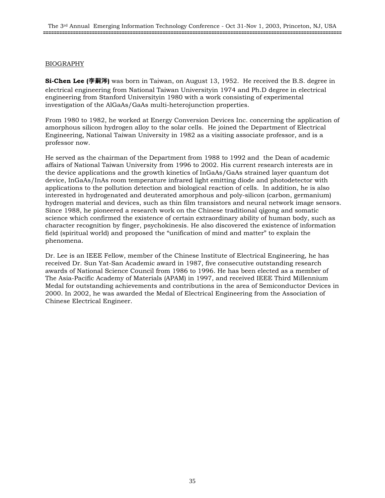#### BIOGRAPHY

**Si-Chen Lee (**李嗣涔**)** was born in Taiwan, on August 13, 1952. He received the B.S. degree in electrical engineering from National Taiwan Universityin 1974 and Ph.D degree in electrical engineering from Stanford Universityin 1980 with a work consisting of experimental investigation of the AlGaAs/GaAs multi-heterojunction properties.

From 1980 to 1982, he worked at Energy Conversion Devices Inc. concerning the application of amorphous silicon hydrogen alloy to the solar cells. He joined the Department of Electrical Engineering, National Taiwan University in 1982 as a visiting associate professor, and is a professor now.

He served as the chairman of the Department from 1988 to 1992 and the Dean of academic affairs of National Taiwan University from 1996 to 2002. His current research interests are in the device applications and the growth kinetics of InGaAs/GaAs strained layer quantum dot device, InGaAs/InAs room temperature infrared light emitting diode and photodetector with applications to the pollution detection and biological reaction of cells. In addition, he is also interested in hydrogenated and deuterated amorphous and poly-silicon (carbon, germanium) hydrogen material and devices, such as thin film transistors and neural network image sensors. Since 1988, he pioneered a research work on the Chinese traditional qigong and somatic science which confirmed the existence of certain extraordinary ability of human body, such as character recognition by finger, psychokinesis. He also discovered the existence of information field (spiritual world) and proposed the "unification of mind and matter" to explain the phenomena.

Dr. Lee is an IEEE Fellow, member of the Chinese Institute of Electrical Engineering, he has received Dr. Sun Yat-San Academic award in 1987, five consecutive outstanding research awards of National Science Council from 1986 to 1996. He has been elected as a member of The Asia-Pacific Academy of Materials (APAM) in 1997, and received IEEE Third Millennium Medal for outstanding achievements and contributions in the area of Semiconductor Devices in 2000. In 2002, he was awarded the Medal of Electrical Engineering from the Association of Chinese Electrical Engineer.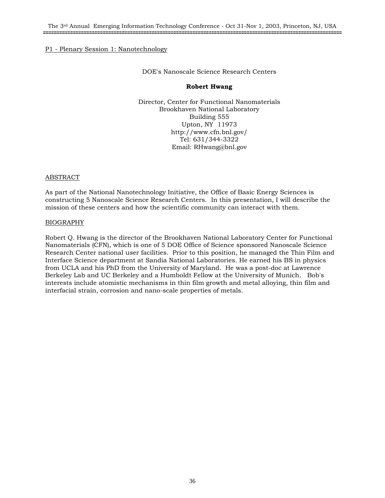#### P1 - Plenary Session 1: Nanotechnology

#### DOE's Nanoscale Science Research Centers

#### **Robert Hwang**

Director, Center for Functional Nanomaterials Brookhaven National Laboratory Building 555 Upton, NY 11973 http://www.cfn.bnl.gov/ Tel: 631/344-3322 Email: RHwang@bnl.gov

#### ABSTRACT

As part of the National Nanotechnology Initiative, the Office of Basic Energy Sciences is constructing 5 Nanoscale Science Research Centers. In this presentation, I will describe the mission of these centers and how the scientific community can interact with them.

#### BIOGRAPHY

Robert Q. Hwang is the director of the Brookhaven National Laboratory Center for Functional Nanomaterials (CFN), which is one of 5 DOE Office of Science sponsored Nanoscale Science Research Center national user facilities. Prior to this position, he managed the Thin Film and Interface Science department at Sandia National Laboratories. He earned his BS in physics from UCLA and his PhD from the University of Maryland. He was a post-doc at Lawrence Berkeley Lab and UC Berkeley and a Humboldt Fellow at the University of Munich. Bob's interests include atomistic mechanisms in thin film growth and metal alloying, thin film and interfacial strain, corrosion and nano-scale properties of metals.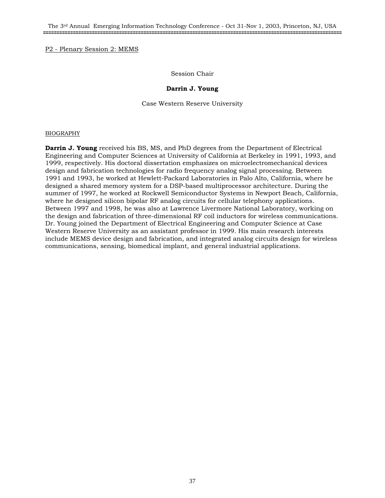#### P2 - Plenary Session 2: MEMS

#### Session Chair

#### **Darrin J. Young**

Case Western Reserve University

#### BIOGRAPHY

**Darrin J. Young** received his BS, MS, and PhD degrees from the Department of Electrical Engineering and Computer Sciences at University of California at Berkeley in 1991, 1993, and 1999, respectively. His doctoral dissertation emphasizes on microelectromechanical devices design and fabrication technologies for radio frequency analog signal processing. Between 1991 and 1993, he worked at Hewlett-Packard Laboratories in Palo Alto, California, where he designed a shared memory system for a DSP-based multiprocessor architecture. During the summer of 1997, he worked at Rockwell Semiconductor Systems in Newport Beach, California, where he designed silicon bipolar RF analog circuits for cellular telephony applications. Between 1997 and 1998, he was also at Lawrence Livermore National Laboratory, working on the design and fabrication of three-dimensional RF coil inductors for wireless communications. Dr. Young joined the Department of Electrical Engineering and Computer Science at Case Western Reserve University as an assistant professor in 1999. His main research interests include MEMS device design and fabrication, and integrated analog circuits design for wireless communications, sensing, biomedical implant, and general industrial applications.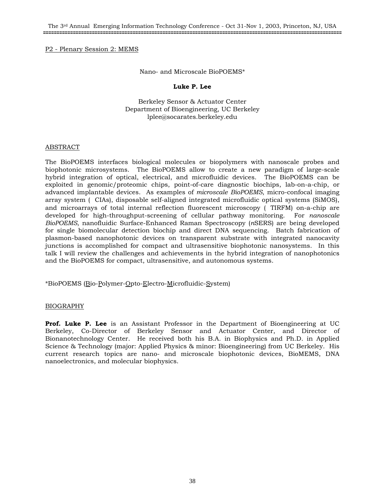#### P2 - Plenary Session 2: MEMS

#### Nano- and Microscale BioPOEMS\*

#### **Luke P. Lee**

Berkeley Sensor & Actuator Center Department of Bioengineering, UC Berkeley lplee@socarates.berkeley.edu

#### ABSTRACT

The BioPOEMS interfaces biological molecules or biopolymers with nanoscale probes and biophotonic microsystems. The BioPOEMS allow to create a new paradigm of large-scale hybrid integration of optical, electrical, and microfluidic devices. The BioPOEMS can be exploited in genomic/proteomic chips, point-of-care diagnostic biochips, lab-on-a-chip, or advanced implantable devices. As examples of *microscale BioPOEMS*, micro-confocal imaging array system (CIAs), disposable self-aligned integrated microfluidic optical systems (SiMOS), and microarrays of total internal reflection fluorescent microscopy (TIRFM) on-a-chip are developed for high-throughput-screening of cellular pathway monitoring. For *nanoscale BioPOEMS*, nanofluidic Surface-Enhanced Raman Spectroscopy (*n*SERS) are being developed for single biomolecular detection biochip and direct DNA sequencing. Batch fabrication of plasmon-based nanophotonic devices on transparent substrate with integrated nanocavity junctions is accomplished for compact and ultrasensitive biophotonic nanosystems. In this talk I will review the challenges and achievements in the hybrid integration of nanophotonics and the BioPOEMS for compact, ultrasensitive, and autonomous systems.

\*BioPOEMS (Bio-Polymer-Opto-Electro-Microfluidic-System)

### BIOGRAPHY

**Prof. Luke P. Lee** is an Assistant Professor in the Department of Bioengineering at UC Berkeley, Co-Director of Berkeley Sensor and Actuator Center, and Director of Bionanotechnology Center. He received both his B.A. in Biophysics and Ph.D. in Applied Science & Technology (major: Applied Physics & minor: Bioengineering) from UC Berkeley. His current research topics are nano- and microscale biophotonic devices, BioMEMS, DNA nanoelectronics, and molecular biophysics.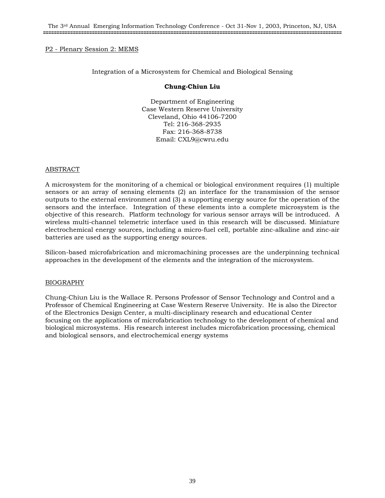### P2 - Plenary Session 2: MEMS

### Integration of a Microsystem for Chemical and Biological Sensing

#### **Chung-Chiun Liu**

Department of Engineering Case Western Reserve University Cleveland, Ohio 44106-7200 Tel: 216-368-2935 Fax: 216-368-8738 Email: CXL9@cwru.edu

#### ABSTRACT

A microsystem for the monitoring of a chemical or biological environment requires (1) multiple sensors or an array of sensing elements (2) an interface for the transmission of the sensor outputs to the external environment and (3) a supporting energy source for the operation of the sensors and the interface. Integration of these elements into a complete microsystem is the objective of this research. Platform technology for various sensor arrays will be introduced. A wireless multi-channel telemetric interface used in this research will be discussed. Miniature electrochemical energy sources, including a micro-fuel cell, portable zinc-alkaline and zinc-air batteries are used as the supporting energy sources.

Silicon-based microfabrication and micromachining processes are the underpinning technical approaches in the development of the elements and the integration of the microsystem.

### BIOGRAPHY

Chung-Chiun Liu is the Wallace R. Persons Professor of Sensor Technology and Control and a Professor of Chemical Engineering at Case Western Reserve University. He is also the Director of the Electronics Design Center, a multi-disciplinary research and educational Center focusing on the applications of microfabrication technology to the development of chemical and biological microsystems. His research interest includes microfabrication processing, chemical and biological sensors, and electrochemical energy systems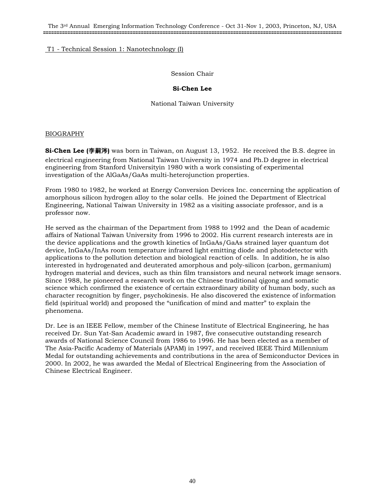The 3rd Annual Emerging Information Technology Conference - Oct 31-Nov 1, 2003, Princeton, NJ, USA **==============================================================================================================**

## T1 - Technical Session 1: Nanotechnology (I)

Session Chair

## **Si-Chen Lee**

National Taiwan University

## BIOGRAPHY

**Si-Chen Lee (李嗣涔)** was born in Taiwan, on August 13, 1952. He received the B.S. degree in electrical engineering from National Taiwan University in 1974 and Ph.D degree in electrical engineering from Stanford Universityin 1980 with a work consisting of experimental investigation of the AlGaAs/GaAs multi-heterojunction properties.

From 1980 to 1982, he worked at Energy Conversion Devices Inc. concerning the application of amorphous silicon hydrogen alloy to the solar cells. He joined the Department of Electrical Engineering, National Taiwan University in 1982 as a visiting associate professor, and is a professor now.

He served as the chairman of the Department from 1988 to 1992 and the Dean of academic affairs of National Taiwan University from 1996 to 2002. His current research interests are in the device applications and the growth kinetics of InGaAs/GaAs strained layer quantum dot device, InGaAs/InAs room temperature infrared light emitting diode and photodetector with applications to the pollution detection and biological reaction of cells. In addition, he is also interested in hydrogenated and deuterated amorphous and poly-silicon (carbon, germanium) hydrogen material and devices, such as thin film transistors and neural network image sensors. Since 1988, he pioneered a research work on the Chinese traditional qigong and somatic science which confirmed the existence of certain extraordinary ability of human body, such as character recognition by finger, psychokinesis. He also discovered the existence of information field (spiritual world) and proposed the "unification of mind and matter" to explain the phenomena.

Dr. Lee is an IEEE Fellow, member of the Chinese Institute of Electrical Engineering, he has received Dr. Sun Yat-San Academic award in 1987, five consecutive outstanding research awards of National Science Council from 1986 to 1996. He has been elected as a member of The Asia-Pacific Academy of Materials (APAM) in 1997, and received IEEE Third Millennium Medal for outstanding achievements and contributions in the area of Semiconductor Devices in 2000. In 2002, he was awarded the Medal of Electrical Engineering from the Association of Chinese Electrical Engineer.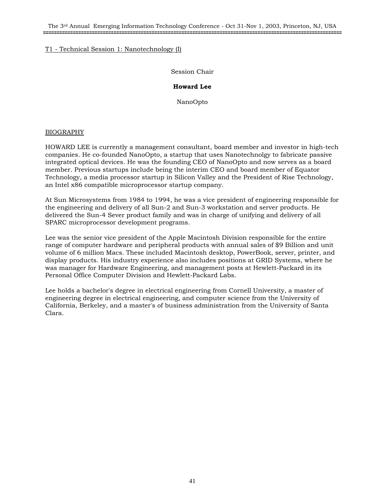The 3rd Annual Emerging Information Technology Conference - Oct 31-Nov 1, 2003, Princeton, NJ, USA **==============================================================================================================**

### T1 - Technical Session 1: Nanotechnology (I)

Session Chair

## **Howard Lee**

NanoOpto

## BIOGRAPHY

HOWARD LEE is currently a management consultant, board member and investor in high-tech companies. He co-founded NanoOpto, a startup that uses Nanotechnolgy to fabricate passive integrated optical devices. He was the founding CEO of NanoOpto and now serves as a board member. Previous startups include being the interim CEO and board member of Equator Technology, a media processor startup in Silicon Valley and the President of Rise Technology, an Intel x86 compatible microprocessor startup company.

At Sun Microsystems from 1984 to 1994, he was a vice president of engineering responsible for the engineering and delivery of all Sun-2 and Sun-3 workstation and server products. He delivered the Sun-4 Sever product family and was in charge of unifying and delivery of all SPARC microprocessor development programs.

Lee was the senior vice president of the Apple Macintosh Division responsible for the entire range of computer hardware and peripheral products with annual sales of \$9 Billion and unit volume of 6 million Macs. These included Macintosh desktop, PowerBook, server, printer, and display products. His industry experience also includes positions at GRID Systems, where he was manager for Hardware Engineering, and management posts at Hewlett-Packard in its Personal Office Computer Division and Hewlett-Packard Labs.

Lee holds a bachelor's degree in electrical engineering from Cornell University, a master of engineering degree in electrical engineering, and computer science from the University of California, Berkeley, and a master's of business administration from the University of Santa Clara.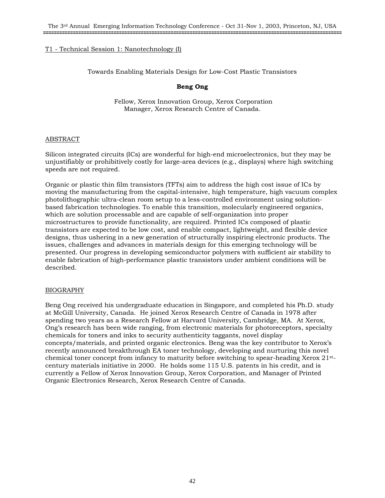Towards Enabling Materials Design for Low-Cost Plastic Transistors

# **Beng Ong**

 Fellow, Xerox Innovation Group, Xerox Corporation Manager, Xerox Research Centre of Canada.

## ABSTRACT

Silicon integrated circuits (ICs) are wonderful for high-end microelectronics, but they may be unjustifiably or prohibitively costly for large-area devices (e.g., displays) where high switching speeds are not required.

Organic or plastic thin film transistors (TFTs) aim to address the high cost issue of ICs by moving the manufacturing from the capital-intensive, high temperature, high vacuum complex photolithographic ultra-clean room setup to a less-controlled environment using solutionbased fabrication technologies. To enable this transition, molecularly engineered organics, which are solution processable and are capable of self-organization into proper microstructures to provide functionality, are required. Printed ICs composed of plastic transistors are expected to be low cost, and enable compact, lightweight, and flexible device designs, thus ushering in a new generation of structurally inspiring electronic products. The issues, challenges and advances in materials design for this emerging technology will be presented. Our progress in developing semiconductor polymers with sufficient air stability to enable fabrication of high-performance plastic transistors under ambient conditions will be described.

### BIOGRAPHY

Beng Ong received his undergraduate education in Singapore, and completed his Ph.D. study at McGill University, Canada. He joined Xerox Research Centre of Canada in 1978 after spending two years as a Research Fellow at Harvard University, Cambridge, MA. At Xerox, Ong's research has been wide ranging, from electronic materials for photoreceptors, specialty chemicals for toners and inks to security authenticity taggants, novel display concepts/materials, and printed organic electronics. Beng was the key contributor to Xerox's recently announced breakthrough EA toner technology, developing and nurturing this novel chemical toner concept from infancy to maturity before switching to spear-heading Xerox 21stcentury materials initiative in 2000. He holds some 115 U.S. patents in his credit, and is currently a Fellow of Xerox Innovation Group, Xerox Corporation, and Manager of Printed Organic Electronics Research, Xerox Research Centre of Canada.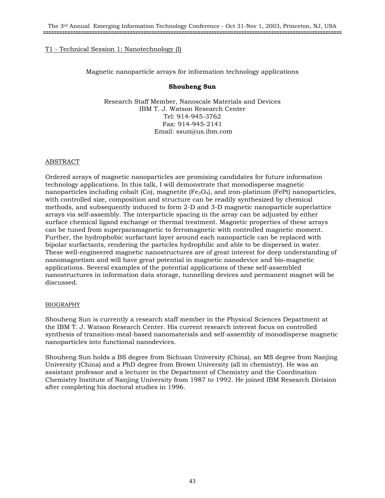Magnetic nanoparticle arrays for information technology applications

### **Shouheng Sun**

Research Staff Member, Nanoscale Materials and Devices IBM T. J. Watson Research Center Tel: 914-945-3762 Fax: 914-945-2141 Email: ssun@us.ibm.com

## ABSTRACT

Ordered arrays of magnetic nanoparticles are promising candidates for future information technology applications. In this talk, I will demonstrate that monodisperse magnetic nanoparticles including cobalt  $(Co)$ , magnetite  $(Fe_3O_4)$ , and iron-platinum (FePt) nanoparticles, with controlled size, composition and structure can be readily synthesized by chemical methods, and subsequently induced to form 2-D and 3-D magnetic nanoparticle superlattice arrays via self-assembly. The interparticle spacing in the array can be adjusted by either surface chemical ligand exchange or thermal treatment. Magnetic properties of these arrays can be tuned from superparamagnetic to ferromagnetic with controlled magnetic moment. Further, the hydrophobic surfactant layer around each nanoparticle can be replaced with bipolar surfactants, rendering the particles hydrophilic and able to be dispersed in water. These well-engineered magnetic nanostructures are of great interest for deep understanding of nanomagnetism and will have great potential in magnetic nanodevice and bio-magnetic applications. Several examples of the potential applications of these self-assembled nanostructures in information data storage, tunnelling devices and permanent magnet will be discussed.

### BIOGRAPHY

Shouheng Sun is currently a research staff member in the Physical Sciences Department at the IBM T. J. Watson Research Center. His current research interest focus on controlled synthesis of transition-meal-based nanomaterials and self-assembly of monodisperse magnetic nanoparticles into functional nanodevices.

Shouheng Sun holds a BS degree from Sichuan University (China), an MS degree from Nanjing University (China) and a PhD degree from Brown University (all in chemistry). He was an assistant professor and a lecturer in the Department of Chemistry and the Coordination Chemistry Institute of Nanjing University from 1987 to 1992. He joined IBM Research Division after completing his doctoral studies in 1996.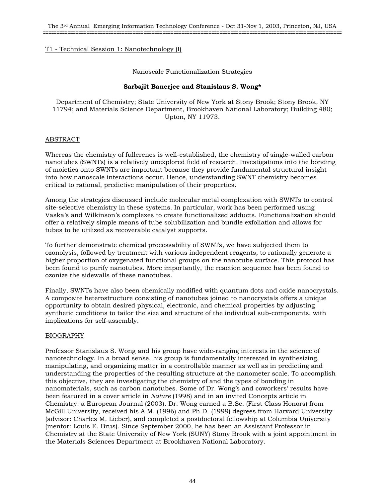### Nanoscale Functionalization Strategies

# **Sarbajit Banerjee and Stanislaus S. Wong\***

Department of Chemistry; State University of New York at Stony Brook; Stony Brook, NY 11794; and Materials Science Department, Brookhaven National Laboratory; Building 480; Upton, NY 11973.

## ABSTRACT

Whereas the chemistry of fullerenes is well-established, the chemistry of single-walled carbon nanotubes (SWNTs) is a relatively unexplored field of research. Investigations into the bonding of moieties onto SWNTs are important because they provide fundamental structural insight into how nanoscale interactions occur. Hence, understanding SWNT chemistry becomes critical to rational, predictive manipulation of their properties.

Among the strategies discussed include molecular metal complexation with SWNTs to control site-selective chemistry in these systems. In particular, work has been performed using Vaska's and Wilkinson's complexes to create functionalized adducts. Functionalization should offer a relatively simple means of tube solubilization and bundle exfoliation and allows for tubes to be utilized as recoverable catalyst supports.

To further demonstrate chemical processability of SWNTs, we have subjected them to ozonolysis, followed by treatment with various independent reagents, to rationally generate a higher proportion of oxygenated functional groups on the nanotube surface. This protocol has been found to purify nanotubes. More importantly, the reaction sequence has been found to ozonize the sidewalls of these nanotubes.

Finally, SWNTs have also been chemically modified with quantum dots and oxide nanocrystals. A composite heterostructure consisting of nanotubes joined to nanocrystals offers a unique opportunity to obtain desired physical, electronic, and chemical properties by adjusting synthetic conditions to tailor the size and structure of the individual sub-components, with implications for self-assembly.

### BIOGRAPHY

Professor Stanislaus S. Wong and his group have wide-ranging interests in the science of nanotechnology. In a broad sense, his group is fundamentally interested in synthesizing, manipulating, and organizing matter in a controllable manner as well as in predicting and understanding the properties of the resulting structure at the nanometer scale. To accomplish this objective, they are investigating the chemistry of and the types of bonding in nanomaterials, such as carbon nanotubes. Some of Dr. Wong's and coworkers' results have been featured in a cover article in *Nature* (1998) and in an invited Concepts article in Chemistry: a European Journal (2003). Dr. Wong earned a B.Sc. (First Class Honors) from McGill University, received his A.M. (1996) and Ph.D. (1999) degrees from Harvard University (advisor: Charles M. Lieber), and completed a postdoctoral fellowship at Columbia University (mentor: Louis E. Brus). Since September 2000, he has been an Assistant Professor in Chemistry at the State University of New York (SUNY) Stony Brook with a joint appointment in the Materials Sciences Department at Brookhaven National Laboratory.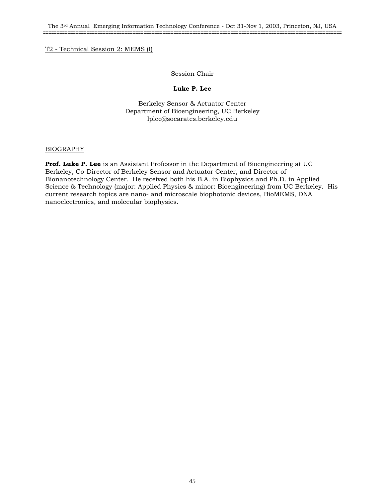### Session Chair

## **Luke P. Lee**

Berkeley Sensor & Actuator Center Department of Bioengineering, UC Berkeley lplee@socarates.berkeley.edu

## BIOGRAPHY

**Prof. Luke P. Lee** is an Assistant Professor in the Department of Bioengineering at UC Berkeley, Co-Director of Berkeley Sensor and Actuator Center, and Director of Bionanotechnology Center. He received both his B.A. in Biophysics and Ph.D. in Applied Science & Technology (major: Applied Physics & minor: Bioengineering) from UC Berkeley. His current research topics are nano- and microscale biophotonic devices, BioMEMS, DNA nanoelectronics, and molecular biophysics.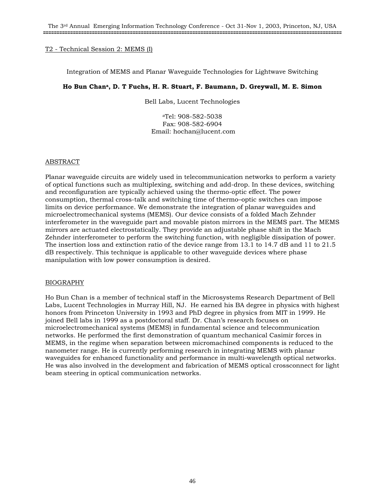### Integration of MEMS and Planar Waveguide Technologies for Lightwave Switching

# **Ho Bun Chana, D. T Fuchs, H. R. Stuart, F. Baumann, D. Greywall, M. E. Simon**

Bell Labs, Lucent Technologies

aTel: 908-582-5038 Fax: 908-582-6904 Email: hochan@lucent.com

### ABSTRACT

Planar waveguide circuits are widely used in telecommunication networks to perform a variety of optical functions such as multiplexing, switching and add-drop. In these devices, switching and reconfiguration are typically achieved using the thermo-optic effect. The power consumption, thermal cross-talk and switching time of thermo–optic switches can impose limits on device performance. We demonstrate the integration of planar waveguides and microelectromechanical systems (MEMS). Our device consists of a folded Mach Zehnder interferometer in the waveguide part and movable piston mirrors in the MEMS part. The MEMS mirrors are actuated electrostatically. They provide an adjustable phase shift in the Mach Zehnder interferometer to perform the switching function, with negligible dissipation of power. The insertion loss and extinction ratio of the device range from 13.1 to 14.7 dB and 11 to 21.5 dB respectively. This technique is applicable to other waveguide devices where phase manipulation with low power consumption is desired.

### BIOGRAPHY

Ho Bun Chan is a member of technical staff in the Microsystems Research Department of Bell Labs, Lucent Technologies in Murray Hill, NJ. He earned his BA degree in physics with highest honors from Princeton University in 1993 and PhD degree in physics from MIT in 1999. He joined Bell labs in 1999 as a postdoctoral staff. Dr. Chan's research focuses on microelectromechanical systems (MEMS) in fundamental science and telecommunication networks. He performed the first demonstration of quantum mechanical Casimir forces in MEMS, in the regime when separation between micromachined components is reduced to the nanometer range. He is currently performing research in integrating MEMS with planar waveguides for enhanced functionality and performance in multi-wavelength optical networks. He was also involved in the development and fabrication of MEMS optical crossconnect for light beam steering in optical communication networks.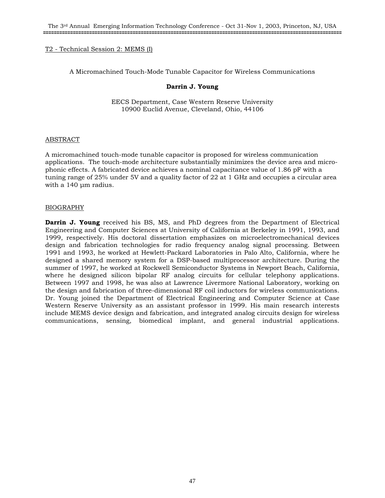A Micromachined Touch-Mode Tunable Capacitor for Wireless Communications

### **Darrin J. Young**

EECS Department, Case Western Reserve University 10900 Euclid Avenue, Cleveland, Ohio, 44106

### ABSTRACT

A micromachined touch-mode tunable capacitor is proposed for wireless communication applications. The touch-mode architecture substantially minimizes the device area and microphonic effects. A fabricated device achieves a nominal capacitance value of 1.86 pF with a tuning range of 25% under 5V and a quality factor of 22 at 1 GHz and occupies a circular area with a 140 um radius.

### BIOGRAPHY

**Darrin J. Young** received his BS, MS, and PhD degrees from the Department of Electrical Engineering and Computer Sciences at University of California at Berkeley in 1991, 1993, and 1999, respectively. His doctoral dissertation emphasizes on microelectromechanical devices design and fabrication technologies for radio frequency analog signal processing. Between 1991 and 1993, he worked at Hewlett-Packard Laboratories in Palo Alto, California, where he designed a shared memory system for a DSP-based multiprocessor architecture. During the summer of 1997, he worked at Rockwell Semiconductor Systems in Newport Beach, California, where he designed silicon bipolar RF analog circuits for cellular telephony applications. Between 1997 and 1998, he was also at Lawrence Livermore National Laboratory, working on the design and fabrication of three-dimensional RF coil inductors for wireless communications. Dr. Young joined the Department of Electrical Engineering and Computer Science at Case Western Reserve University as an assistant professor in 1999. His main research interests include MEMS device design and fabrication, and integrated analog circuits design for wireless communications, sensing, biomedical implant, and general industrial applications.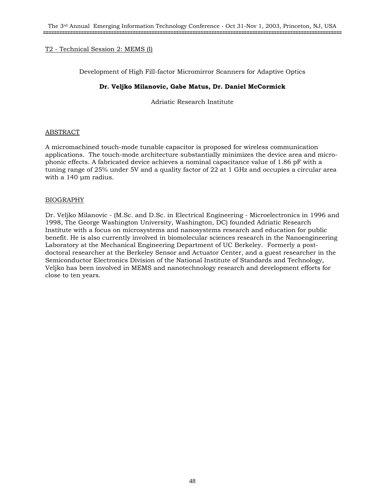Development of High Fill-factor Micromirror Scanners for Adaptive Optics

# **Dr. Veljko Milanovic, Gabe Matus, Dr. Daniel McCormick**

Adriatic Research Institute

## ABSTRACT

A micromachined touch-mode tunable capacitor is proposed for wireless communication applications. The touch-mode architecture substantially minimizes the device area and microphonic effects. A fabricated device achieves a nominal capacitance value of 1.86 pF with a tuning range of 25% under 5V and a quality factor of 22 at 1 GHz and occupies a circular area with a 140 um radius.

## BIOGRAPHY

Dr. Veljko Milanovic - (M.Sc. and D.Sc. in Electrical Engineering - Microelectronics in 1996 and 1998, The George Washington University, Washington, DC) founded Adriatic Research Institute with a focus on microsystems and nanosystems research and education for public benefit. He is also currently involved in biomolecular sciences research in the Nanoengineering Laboratory at the Mechanical Engineering Department of UC Berkeley. Formerly a postdoctoral researcher at the Berkeley Sensor and Actuator Center, and a guest researcher in the Semiconductor Electronics Division of the National Institute of Standards and Technology, Veljko has been involved in MEMS and nanotechnology research and development efforts for close to ten years.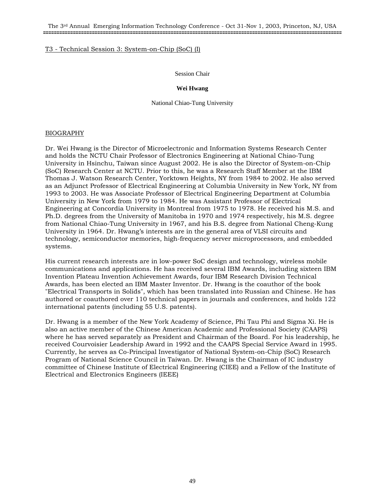The 3rd Annual Emerging Information Technology Conference - Oct 31-Nov 1, 2003, Princeton, NJ, USA **==============================================================================================================**

### T3 - Technical Session 3: System-on-Chip (SoC) (I)

#### Session Chair

#### **Wei Hwang**

National Chiao-Tung University

#### BIOGRAPHY

Dr. Wei Hwang is the Director of Microelectronic and Information Systems Research Center and holds the NCTU Chair Professor of Electronics Engineering at National Chiao-Tung University in Hsinchu, Taiwan since August 2002. He is also the Director of System-on-Chip (SoC) Research Center at NCTU. Prior to this, he was a Research Staff Member at the IBM Thomas J. Watson Research Center, Yorktown Heights, NY from 1984 to 2002. He also served as an Adjunct Professor of Electrical Engineering at Columbia University in New York, NY from 1993 to 2003. He was Associate Professor of Electrical Engineering Department at Columbia University in New York from 1979 to 1984. He was Assistant Professor of Electrical Engineering at Concordia University in Montreal from 1975 to 1978. He received his M.S. and Ph.D. degrees from the University of Manitoba in 1970 and 1974 respectively, his M.S. degree from National Chiao-Tung University in 1967, and his B.S. degree from National Cheng-Kung University in 1964. Dr. Hwang's interests are in the general area of VLSI circuits and technology, semiconductor memories, high-frequency server microprocessors, and embedded systems.

His current research interests are in low-power SoC design and technology, wireless mobile communications and applications. He has received several IBM Awards, including sixteen IBM Invention Plateau Invention Achievement Awards, four IBM Research Division Technical Awards, has been elected an IBM Master Inventor. Dr. Hwang is the coauthor of the book "Electrical Transports in Solids", which has been translated into Russian and Chinese. He has authored or coauthored over 110 technical papers in journals and conferences, and holds 122 international patents (including 55 U.S. patents).

Dr. Hwang is a member of the New York Academy of Science, Phi Tau Phi and Sigma Xi. He is also an active member of the Chinese American Academic and Professional Society (CAAPS) where he has served separately as President and Chairman of the Board. For his leadership, he received Courvoisier Leadership Award in 1992 and the CAAPS Special Service Award in 1995. Currently, he serves as Co-Principal Investigator of National System-on-Chip (SoC) Research Program of National Science Council in Taiwan. Dr. Hwang is the Chairman of IC industry committee of Chinese Institute of Electrical Engineering (CIEE) and a Fellow of the Institute of Electrical and Electronics Engineers (IEEE)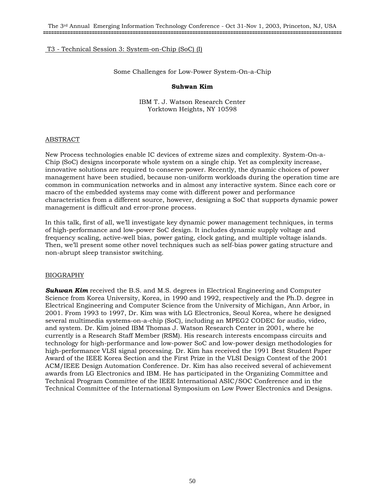## T3 - Technical Session 3: System-on-Chip (SoC) (I)

Some Challenges for Low-Power System-On-a-Chip

#### **Suhwan Kim**

IBM T. J. Watson Research Center Yorktown Heights, NY 10598

### ABSTRACT

New Process technologies enable IC devices of extreme sizes and complexity. System-On-a-Chip (SoC) designs incorporate whole system on a single chip. Yet as complexity increase, innovative solutions are required to conserve power. Recently, the dynamic choices of power management have been studied, because non-uniform workloads during the operation time are common in communication networks and in almost any interactive system. Since each core or macro of the embedded systems may come with different power and performance characteristics from a different source, however, designing a SoC that supports dynamic power management is difficult and error-prone process.

In this talk, first of all, we'll investigate key dynamic power management techniques, in terms of high-performance and low-power SoC design. It includes dynamic supply voltage and frequency scaling, active-well bias, power gating, clock gating, and multiple voltage islands. Then, we'll present some other novel techniques such as self-bias power gating structure and non-abrupt sleep transistor switching.

### BIOGRAPHY

**Suhwan Kim** received the B.S. and M.S. degrees in Electrical Engineering and Computer Science from Korea University, Korea, in 1990 and 1992, respectively and the Ph.D. degree in Electrical Engineering and Computer Science from the University of Michigan, Ann Arbor, in 2001. From 1993 to 1997, Dr. Kim was with LG Electronics, Seoul Korea, where he designed several multimedia systems-on-a-chip (SoC), including an MPEG2 CODEC for audio, video, and system. Dr. Kim joined IBM Thomas J. Watson Research Center in 2001, where he currently is a Research Staff Member (RSM). His research interests encompass circuits and technology for high-performance and low-power SoC and low-power design methodologies for high-performance VLSI signal processing. Dr. Kim has received the 1991 Best Student Paper Award of the IEEE Korea Section and the First Prize in the VLSI Design Contest of the 2001 ACM/IEEE Design Automation Conference. Dr. Kim has also received several of achievement awards from LG Electronics and IBM. He has participated in the Organizing Committee and Technical Program Committee of the IEEE International ASIC/SOC Conference and in the Technical Committee of the International Symposium on Low Power Electronics and Designs.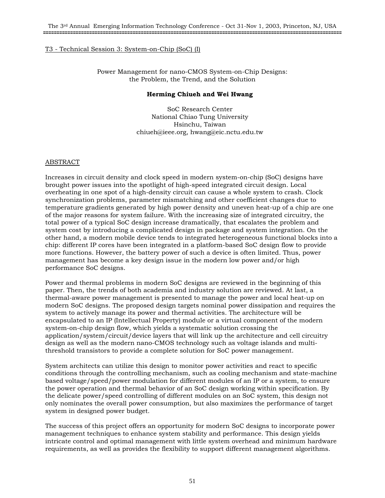## T3 - Technical Session 3: System-on-Chip (SoC) (I)

Power Management for nano-CMOS System-on-Chip Designs: the Problem, the Trend, and the Solution

#### **Herming Chiueh and Wei Hwang**

SoC Research Center National Chiao Tung University Hsinchu, Taiwan chiueh@ieee.org, hwang@eic.nctu.edu.tw

### ABSTRACT

Increases in circuit density and clock speed in modern system-on-chip (SoC) designs have brought power issues into the spotlight of high-speed integrated circuit design. Local overheating in one spot of a high-density circuit can cause a whole system to crash. Clock synchronization problems, parameter mismatching and other coefficient changes due to temperature gradients generated by high power density and uneven heat-up of a chip are one of the major reasons for system failure. With the increasing size of integrated circuitry, the total power of a typical SoC design increase dramatically, that escalates the problem and system cost by introducing a complicated design in package and system integration. On the other hand, a modern mobile device tends to integrated heterogeneous functional blocks into a chip: different IP cores have been integrated in a platform-based SoC design flow to provide more functions. However, the battery power of such a device is often limited. Thus, power management has become a key design issue in the modern low power and/or high performance SoC designs.

Power and thermal problems in modern SoC designs are reviewed in the beginning of this paper. Then, the trends of both academia and industry solution are reviewed. At last, a thermal-aware power management is presented to manage the power and local heat-up on modern SoC designs. The proposed design targets nominal power dissipation and requires the system to actively manage its power and thermal activities. The architecture will be encapsulated to an IP (Intellectual Property) module or a virtual component of the modern system-on-chip design flow, which yields a systematic solution crossing the application/system/circuit/device layers that will link up the architecture and cell circuitry design as well as the modern nano-CMOS technology such as voltage islands and multithreshold transistors to provide a complete solution for SoC power management.

System architects can utilize this design to monitor power activities and react to specific conditions through the controlling mechanism, such as cooling mechanism and state-machine based voltage/speed/power modulation for different modules of an IP or a system, to ensure the power operation and thermal behavior of an SoC design working within specification. By the delicate power/speed controlling of different modules on an SoC system, this design not only nominates the overall power consumption, but also maximizes the performance of target system in designed power budget.

The success of this project offers an opportunity for modern SoC designs to incorporate power management techniques to enhance system stability and performance. This design yields intricate control and optimal management with little system overhead and minimum hardware requirements, as well as provides the flexibility to support different management algorithms.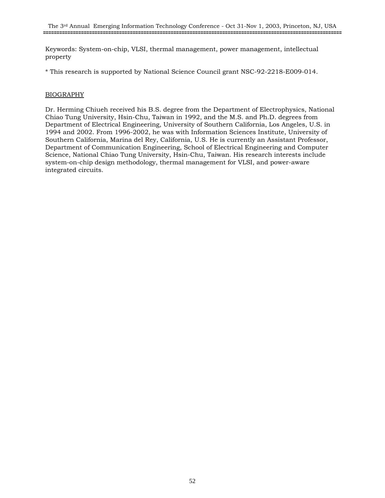Keywords: System-on-chip, VLSI, thermal management, power management, intellectual property

\* This research is supported by National Science Council grant NSC-92-2218-E009-014.

## BIOGRAPHY

Dr. Herming Chiueh received his B.S. degree from the Department of Electrophysics, National Chiao Tung University, Hsin-Chu, Taiwan in 1992, and the M.S. and Ph.D. degrees from Department of Electrical Engineering, University of Southern California, Los Angeles, U.S. in 1994 and 2002. From 1996-2002, he was with Information Sciences Institute, University of Southern California, Marina del Rey, California, U.S. He is currently an Assistant Professor, Department of Communication Engineering, School of Electrical Engineering and Computer Science, National Chiao Tung University, Hsin-Chu, Taiwan. His research interests include system-on-chip design methodology, thermal management for VLSI, and power-aware integrated circuits.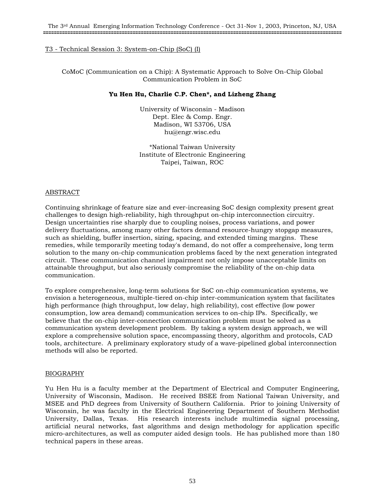## T3 - Technical Session 3: System-on-Chip (SoC) (I)

CoMoC (Communication on a Chip): A Systematic Approach to Solve On-Chip Global Communication Problem in SoC

### **Yu Hen Hu, Charlie C.P. Chen\*, and Lizheng Zhang**

University of Wisconsin - Madison Dept. Elec & Comp. Engr. Madison, WI 53706, USA hu@engr.wisc.edu

\*National Taiwan University Institute of Electronic Engineering Taipei, Taiwan, ROC

## ABSTRACT

Continuing shrinkage of feature size and ever-increasing SoC design complexity present great challenges to design high-reliability, high throughput on-chip interconnection circuitry. Design uncertainties rise sharply due to coupling noises, process variations, and power delivery fluctuations, among many other factors demand resource-hungry stopgap measures, such as shielding, buffer insertion, sizing, spacing, and extended timing margins. These remedies, while temporarily meeting today's demand, do not offer a comprehensive, long term solution to the many on-chip communication problems faced by the next generation integrated circuit. These communication channel impairment not only impose unacceptable limits on attainable throughput, but also seriously compromise the reliability of the on-chip data communication.

To explore comprehensive, long-term solutions for SoC on-chip communication systems, we envision a heterogeneous, multiple-tiered on-chip inter-communication system that facilitates high performance (high throughput, low delay, high reliability), cost effective (low power consumption, low area demand) communication services to on-chip IPs. Specifically, we believe that the on-chip inter-connection communication problem must be solved as a communication system development problem. By taking a system design approach, we will explore a comprehensive solution space, encompassing theory, algorithm and protocols, CAD tools, architecture. A preliminary exploratory study of a wave-pipelined global interconnection methods will also be reported.

### BIOGRAPHY

Yu Hen Hu is a faculty member at the Department of Electrical and Computer Engineering, University of Wisconsin, Madison. He received BSEE from National Taiwan University, and MSEE and PhD degrees from University of Southern California. Prior to joining University of Wisconsin, he was faculty in the Electrical Engineering Department of Southern Methodist University, Dallas, Texas. His research interests include multimedia signal processing, artificial neural networks, fast algorithms and design methodology for application specific micro-architectures, as well as computer aided design tools. He has published more than 180 technical papers in these areas.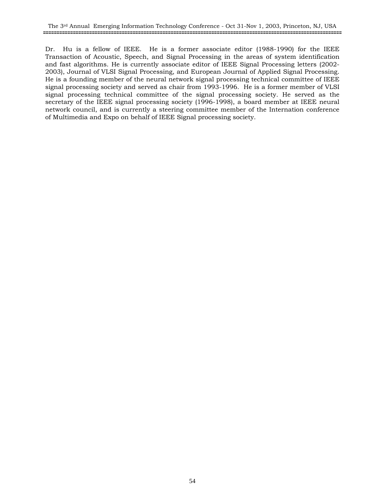Dr. Hu is a fellow of IEEE. He is a former associate editor (1988-1990) for the IEEE Transaction of Acoustic, Speech, and Signal Processing in the areas of system identification and fast algorithms. He is currently associate editor of IEEE Signal Processing letters (2002- 2003), Journal of VLSI Signal Processing, and European Journal of Applied Signal Processing. He is a founding member of the neural network signal processing technical committee of IEEE signal processing society and served as chair from 1993-1996. He is a former member of VLSI signal processing technical committee of the signal processing society. He served as the secretary of the IEEE signal processing society (1996-1998), a board member at IEEE neural network council, and is currently a steering committee member of the Internation conference of Multimedia and Expo on behalf of IEEE Signal processing society.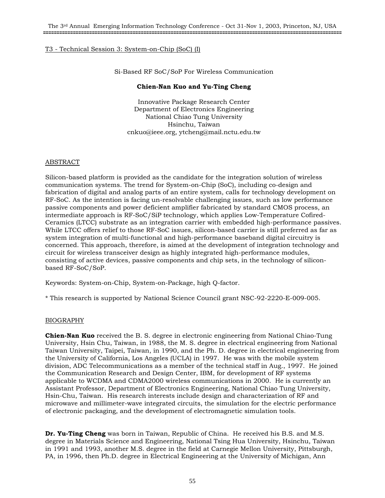# T3 - Technical Session 3: System-on-Chip (SoC) (I)

Si-Based RF SoC/SoP For Wireless Communication

### **Chien-Nan Kuo and Yu-Ting Cheng**

Innovative Package Research Center Department of Electronics Engineering National Chiao Tung University Hsinchu, Taiwan cnkuo@ieee.org, ytcheng@mail.nctu.edu.tw

#### ABSTRACT

Silicon-based platform is provided as the candidate for the integration solution of wireless communication systems. The trend for System-on-Chip (SoC), including co-design and fabrication of digital and analog parts of an entire system, calls for technology development on RF-SoC. As the intention is facing un-resolvable challenging issues, such as low performance passive components and power deficient amplifier fabricated by standard CMOS process, an intermediate approach is RF-SoC/SiP technology, which applies Low-Temperature Cofired-Ceramics (LTCC) substrate as an integration carrier with embedded high-performance passives. While LTCC offers relief to those RF-SoC issues, silicon-based carrier is still preferred as far as system integration of multi-functional and high-performance baseband digital circuitry is concerned. This approach, therefore, is aimed at the development of integration technology and circuit for wireless transceiver design as highly integrated high-performance modules, consisting of active devices, passive components and chip sets, in the technology of siliconbased RF-SoC/SoP.

Keywords: System-on-Chip, System-on-Package, high Q-factor.

\* This research is supported by National Science Council grant NSC-92-2220-E-009-005.

### BIOGRAPHY

**Chien-Nan Kuo** received the B. S. degree in electronic engineering from National Chiao-Tung University, Hsin Chu, Taiwan, in 1988, the M. S. degree in electrical engineering from National Taiwan University, Taipei, Taiwan, in 1990, and the Ph. D. degree in electrical engineering from the University of California, Los Angeles (UCLA) in 1997. He was with the mobile system division, ADC Telecommunications as a member of the technical staff in Aug., 1997. He joined the Communication Research and Design Center, IBM, for development of RF systems applicable to WCDMA and CDMA2000 wireless communications in 2000. He is currently an Assistant Professor, Department of Electronics Engineering, National Chiao Tung University, Hsin-Chu, Taiwan. His research interests include design and characterization of RF and microwave and millimeter-wave integrated circuits, the simulation for the electric performance of electronic packaging, and the development of electromagnetic simulation tools.

**Dr. Yu-Ting Cheng** was born in Taiwan, Republic of China. He received his B.S. and M.S. degree in Materials Science and Engineering, National Tsing Hua University, Hsinchu, Taiwan in 1991 and 1993, another M.S. degree in the field at Carnegie Mellon University, Pittsburgh, PA, in 1996, then Ph.D. degree in Electrical Engineering at the University of Michigan, Ann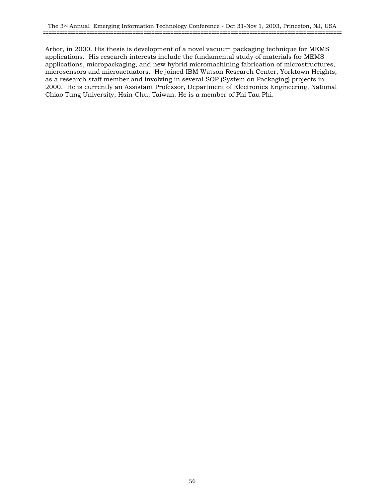Arbor, in 2000. His thesis is development of a novel vacuum packaging technique for MEMS applications. His research interests include the fundamental study of materials for MEMS applications, micropackaging, and new hybrid micromachining fabrication of microstructures, microsensors and microactuators. He joined IBM Watson Research Center, Yorktown Heights, as a research staff member and involving in several SOP (System on Packaging) projects in 2000. He is currently an Assistant Professor, Department of Electronics Engineering, National Chiao Tung University, Hsin-Chu, Taiwan. He is a member of Phi Tau Phi.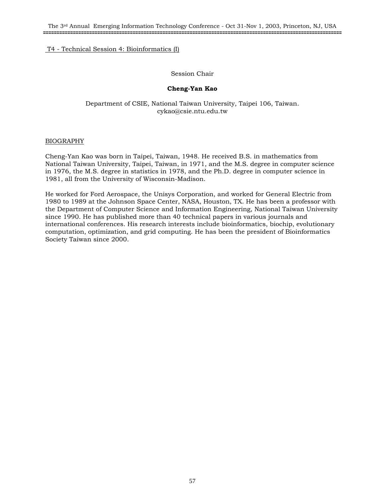# T4 - Technical Session 4: Bioinformatics (I)

## Session Chair

## **Cheng-Yan Kao**

## Department of CSIE, National Taiwan University, Taipei 106, Taiwan. cykao@csie.ntu.edu.tw

### BIOGRAPHY

Cheng-Yan Kao was born in Taipei, Taiwan, 1948. He received B.S. in mathematics from National Taiwan University, Taipei, Taiwan, in 1971, and the M.S. degree in computer science in 1976, the M.S. degree in statistics in 1978, and the Ph.D. degree in computer science in 1981, all from the University of Wisconsin-Madison.

He worked for Ford Aerospace, the Unisys Corporation, and worked for General Electric from 1980 to 1989 at the Johnson Space Center, NASA, Houston, TX. He has been a professor with the Department of Computer Science and Information Engineering, National Taiwan University since 1990. He has published more than 40 technical papers in various journals and international conferences. His research interests include bioinformatics, biochip, evolutionary computation, optimization, and grid computing. He has been the president of Bioinformatics Society Taiwan since 2000.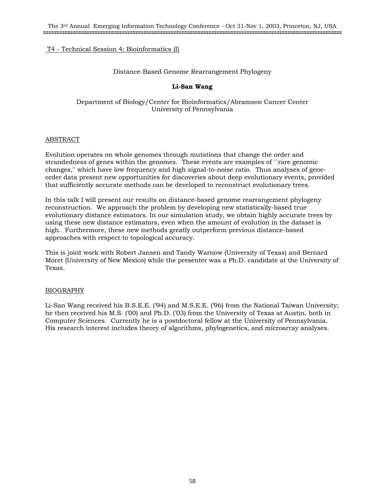# T4 - Technical Session 4: Bioinformatics (I)

### Distance-Based Genome Rearrangement Phylogeny

## **Li-San Wang**

## Department of Biology/Center for Bioinformatics/Abramson Cancer Center University of Pennsylvania

## ABSTRACT

Evolution operates on whole genomes through mutations that change the order and strandedness of genes within the genomes. These events are examples of ``rare genomic changes,'' which have low frequency and high signal-to-noise ratio. Thus analyses of geneorder data present new opportunities for discoveries about deep evolutionary events, provided that sufficiently accurate methods can be developed to reconstruct evolutionary trees.

In this talk I will present our results on distance-based genome rearrangement phylogeny reconstruction. We approach the problem by developing new statistically-based true evolutionary distance estimators. In our simulation study, we obtain highly accurate trees by using these new distance estimators, even when the amount of evolution in the dataset is high. Furthermore, these new methods greatly outperform previous distance-based approaches with respect to topological accuracy.

This is joint work with Robert Jansen and Tandy Warnow (University of Texas) and Bernard Moret (University of New Mexico) while the presenter was a Ph.D. candidate at the University of Texas.

# BIOGRAPHY

Li-San Wang received his B.S.E.E. ('94) and M.S.E.E. ('96) from the National Taiwan University; he then received his M.S. ('00) and Ph.D. ('03) from the University of Texas at Austin, both in Computer Sciences. Currently he is a postdoctoral fellow at the University of Pennsylvania. His research interest includes theory of algorithms, phylogenetics, and microarray analyses.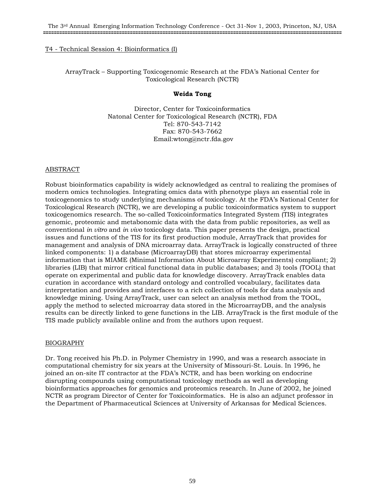### T4 - Technical Session 4: Bioinformatics (I)

# ArrayTrack – Supporting Toxicogenomic Research at the FDA's National Center for Toxicological Research (NCTR)

### **Weida Tong**

Director, Center for Toxicoinformatics Natonal Center for Toxicological Research (NCTR), FDA Tel: 870-543-7142 Fax: 870-543-7662 Email:wtong@nctr.fda.gov

### ABSTRACT

Robust bioinformatics capability is widely acknowledged as central to realizing the promises of modern omics technologies. Integrating omics data with phenotype plays an essential role in toxicogenomics to study underlying mechanisms of toxicology. At the FDA's National Center for Toxicological Research (NCTR), we are developing a public toxicoinformatics system to support toxicogenomics research. The so-called Toxicoinformatics Integrated System (TIS) integrates genomic, proteomic and metabonomic data with the data from public repositories, as well as conventional *in vitro* and *in vivo* toxicology data. This paper presents the design, practical issues and functions of the TIS for its first production module, ArrayTrack that provides for management and analysis of DNA microarray data. ArrayTrack is logically constructed of three linked components: 1) a database (MicroarrayDB) that stores microarray experimental information that is MIAME (Minimal Information About Microarray Experiments) compliant; 2) libraries (LIB) that mirror critical functional data in public databases; and 3) tools (TOOL) that operate on experimental and public data for knowledge discovery. ArrayTrack enables data curation in accordance with standard ontology and controlled vocabulary, facilitates data interpretation and provides and interfaces to a rich collection of tools for data analysis and knowledge mining. Using ArrayTrack, user can select an analysis method from the TOOL, apply the method to selected microarray data stored in the MicroarrayDB, and the analysis results can be directly linked to gene functions in the LIB. ArrayTrack is the first module of the TIS made publicly available online and from the authors upon request.

### BIOGRAPHY

Dr. Tong received his Ph.D. in Polymer Chemistry in 1990, and was a research associate in computational chemistry for six years at the University of Missouri-St. Louis. In 1996, he joined an on-site IT contractor at the FDA's NCTR, and has been working on endocrine disrupting compounds using computational toxicology methods as well as developing bioinformatics approaches for genomics and proteomics research. In June of 2002, he joined NCTR as program Director of Center for Toxicoinformatics. He is also an adjunct professor in the Department of Pharmaceutical Sciences at University of Arkansas for Medical Sciences.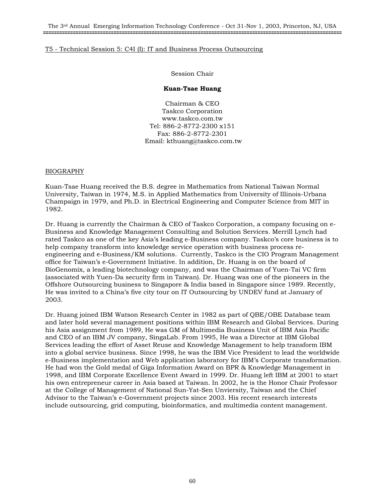### T5 - Technical Session 5: C4I (I): IT and Business Process Outsourcing

Session Chair

## **Kuan-Tsae Huang**

Chairman & CEO Taskco Corporation www.taskco.com.tw Tel: 886-2-8772-2300 x151 Fax: 886-2-8772-2301 Email: kthuang@taskco.com.tw

## BIOGRAPHY

Kuan-Tsae Huang received the B.S. degree in Mathematics from National Taiwan Normal University, Taiwan in 1974, M.S. in Applied Mathematics from University of Illinois-Urbana Champaign in 1979, and Ph.D. in Electrical Engineering and Computer Science from MIT in 1982.

Dr. Huang is currently the Chairman & CEO of Taskco Corporation, a company focusing on e-Business and Knowledge Management Consulting and Solution Services. Merrill Lynch had rated Taskco as one of the key Asia's leading e-Business company. Taskco's core business is to help company transform into knowledge service operation with business process reengineering and e-Business/KM solutions. Currently, Taskco is the CIO Program Management office for Taiwan's e-Government Initiative. In addition, Dr. Huang is on the board of BioGenomix, a leading biotechnology company, and was the Chairman of Yuen-Tai VC firm (associated with Yuen-Da security firm in Taiwan). Dr. Huang was one of the pioneers in the Offshore Outsourcing business to Singapore & India based in Singapore since 1989. Recently, He was invited to a China's five city tour on IT Outsourcing by UNDEV fund at January of 2003.

Dr. Huang joined IBM Watson Research Center in 1982 as part of QBE/OBE Database team and later hold several management positions within IBM Research and Global Services. During his Asia assignment from 1989, He was GM of Multimedia Business Unit of IBM Asia Pacific and CEO of an IBM JV company, SingaLab. From 1995, He was a Director at IBM Global Services leading the effort of Asset Reuse and Knowledge Management to help transform IBM into a global service business. Since 1998, he was the IBM Vice President to lead the worldwide e-Business implementation and Web application laboratory for IBM's Corporate transformation. He had won the Gold medal of Giga Information Award on BPR & Knowledge Management in 1998, and IBM Corporate Excellence Event Award in 1999. Dr. Huang left IBM at 2001 to start his own entrepreneur career in Asia based at Taiwan. In 2002, he is the Honor Chair Professor at the College of Management of National Sun-Yat-Sen Unviersity, Taiwan and the Chief Advisor to the Taiwan's e-Government projects since 2003. His recent research interests include outsourcing, grid computing, bioinformatics, and multimedia content management.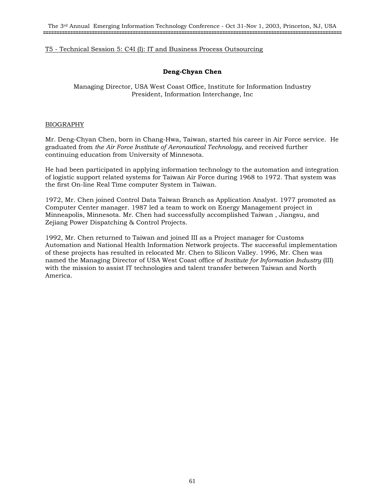### T5 - Technical Session 5: C4I (I): IT and Business Process Outsourcing

# **Deng-Chyan Chen**

Managing Director, USA West Coast Office, Institute for Information Industry President, Information Interchange, Inc

### BIOGRAPHY

Mr. Deng-Chyan Chen, born in Chang-Hwa, Taiwan, started his career in Air Force service. He graduated from *the Air Force Institute of Aeronautical Technology*, and received further continuing education from University of Minnesota.

He had been participated in applying information technology to the automation and integration of logistic support related systems for Taiwan Air Force during 1968 to 1972. That system was the first On-line Real Time computer System in Taiwan.

1972, Mr. Chen joined Control Data Taiwan Branch as Application Analyst. 1977 promoted as Computer Center manager. 1987 led a team to work on Energy Management project in Minneapolis, Minnesota. Mr. Chen had successfully accomplished Taiwan , Jiangsu, and Zejiang Power Dispatching & Control Projects.

1992, Mr. Chen returned to Taiwan and joined III as a Project manager for Customs Automation and National Health Information Network projects. The successful implementation of these projects has resulted in relocated Mr. Chen to Silicon Valley. 1996, Mr. Chen was named the Managing Director of USA West Coast office of *Institute for Information Industry* (III) with the mission to assist IT technologies and talent transfer between Taiwan and North America.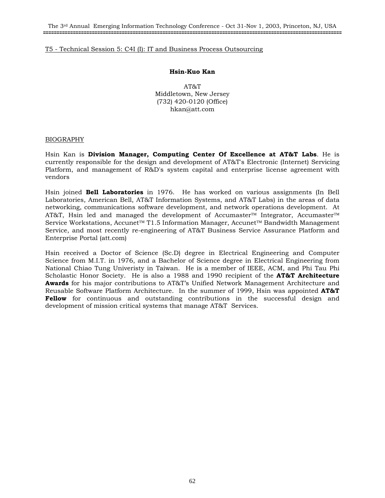The 3rd Annual Emerging Information Technology Conference - Oct 31-Nov 1, 2003, Princeton, NJ, USA **==============================================================================================================**

#### T5 - Technical Session 5: C4I (I): IT and Business Process Outsourcing

#### **Hsin-Kuo Kan**

AT&T Middletown, New Jersey (732) 420-0120 (Office) hkan@att.com

#### BIOGRAPHY

Hsin Kan is **Division Manager, Computing Center Of Excellence at AT&T Labs**. He is currently responsible for the design and development of AT&T's Electronic (Internet) Servicing Platform, and management of R&D's system capital and enterprise license agreement with vendors

Hsin joined **Bell Laboratories** in 1976. He has worked on various assignments (In Bell Laboratories, American Bell, AT&T Information Systems, and AT&T Labs) in the areas of data networking, communications software development, and network operations development. At AT&T, Hsin led and managed the development of Accumaster™ Integrator, Accumaster™ Service Workstations, Accunet™ T1.5 Information Manager, Accunet™ Bandwidth Management Service, and most recently re-engineering of AT&T Business Service Assurance Platform and Enterprise Portal (att.com)

Hsin received a Doctor of Science (Sc.D) degree in Electrical Engineering and Computer Science from M.I.T. in 1976, and a Bachelor of Science degree in Electrical Engineering from National Chiao Tung Univeristy in Taiwan. He is a member of IEEE, ACM, and Phi Tau Phi Scholastic Honor Society. He is also a 1988 and 1990 recipient of the **AT&T Architecture Awards** for his major contributions to AT&T's Unified Network Management Architecture and Reusable Software Platform Architecture. In the summer of 1999, Hsin was appointed **AT&T Fellow** for continuous and outstanding contributions in the successful design and development of mission critical systems that manage AT&T Services.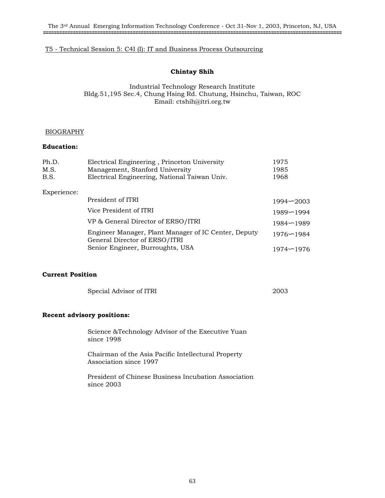### T5 - Technical Session 5: C4I (I): IT and Business Process Outsourcing

### **Chintay Shih**

## Industrial Technology Research Institute Bldg.51,195 Sec.4, Chung Hsing Rd. Chutung, Hsinchu, Taiwan, ROC Email: ctshih@itri.org.tw

### BIOGRAPHY

## **Education:**

| Ph.D.       | Electrical Engineering, Princeton University                                          | 1975          |
|-------------|---------------------------------------------------------------------------------------|---------------|
| M.S.        | Management, Stanford University                                                       | 1985          |
| B.S.        | Electrical Engineering, National Taiwan Univ.                                         | 1968          |
| Experience: |                                                                                       |               |
|             | President of ITRI                                                                     | $1994 - 2003$ |
|             | Vice President of ITRI                                                                | $1989 - 1994$ |
|             | VP & General Director of ERSO/ITRI                                                    | $1984 - 1989$ |
|             | Engineer Manager, Plant Manager of IC Center, Deputy<br>General Director of ERSO/ITRI | $1976 - 1984$ |
|             | Senior Engineer, Burroughts, USA                                                      | $1974 - 1976$ |

## **Current Position**

| Special Advisor of ITRI | 2003 |
|-------------------------|------|
|-------------------------|------|

#### **Recent advisory positions:**

Science &Technology Advisor of the Executive Yuan since 1998

Chairman of the Asia Pacific Intellectural Property Association since 1997

President of Chinese Business Incubation Association since 2003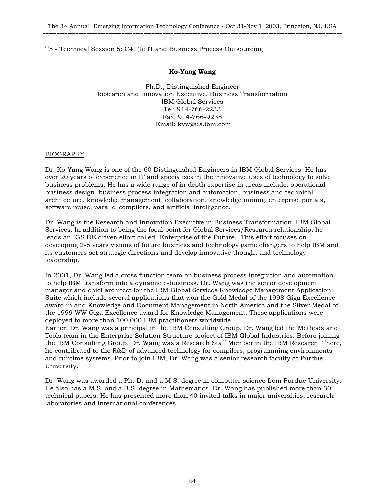### T5 - Technical Session 5: C4I (I): IT and Business Process Outsourcing

## **Ko-Yang Wang**

Ph.D., Distinguished Engineer Research and Innovation Executive, Business Transformation IBM Global Services Tel: 914-766-2233 Fax: 914-766-9238 Email: kyw@us.ibm.com

## BIOGRAPHY

Dr. Ko-Yang Wang is one of the 60 Distinguished Engineers in IBM Global Services. He has over 20 years of experience in IT and specializes in the innovative uses of technology to solve business problems. He has a wide range of in-depth expertise in areas include: operational business design, business process integration and automation, business and technical architecture, knowledge management, collaboration, knowledge mining, enterprise portals, software reuse, parallel compilers, and artificial intelligence.

Dr. Wang is the Research and Innovation Executive in Business Transformation, IBM Global Services. In addition to being the focal point for Global Services/Research relationship, he leads an IGS DE driven effort called "Enterprise of the Future." This effort focuses on developing 2-5 years visions of future business and technology game changers to help IBM and its customers set strategic directions and develop innovative thought and technology leadership.

In 2001, Dr. Wang led a cross function team on business process integration and automation to help IBM transform into a dynamic e-business. Dr. Wang was the senior development manager and chief architect for the IBM Global Services Knowledge Management Application Suite which include several applications that won the Gold Medal of the 1998 Giga Excellence award in and Knowledge and Document Management in North America and the Silver Medal of the 1999 WW Giga Excellence award for Knowledge Management. These applications were deployed to more than 100,000 IBM practitioners worldwide.

Earlier, Dr. Wang was a principal in the IBM Consulting Group. Dr. Wang led the Methods and Tools team in the Enterprise Solution Structure project of IBM Global Industries. Before joining the IBM Consulting Group, Dr. Wang was a Research Staff Member in the IBM Research. There, he contributed to the R&D of advanced technology for compilers, programming environments and runtime systems. Prior to join IBM, Dr. Wang was a senior research faculty at Purdue University.

Dr. Wang was awarded a Ph. D. and a M.S. degree in computer science from Purdue University. He also has a M.S. and a B.S. degree in Mathematics. Dr. Wang has published more than 30 technical papers. He has presented more than 40 invited talks in major universities, research laboratories and international conferences.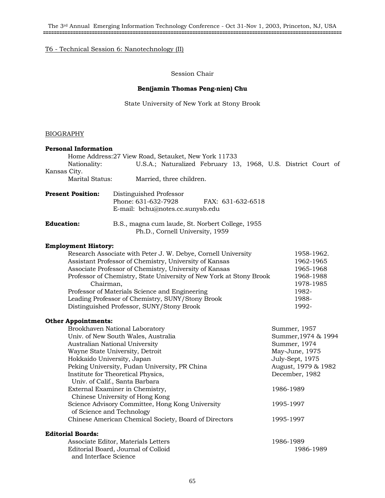The 3rd Annual Emerging Information Technology Conference - Oct 31-Nov 1, 2003, Princeton, NJ, USA **==============================================================================================================**

# T6 - Technical Session 6: Nanotechnology (II)

Session Chair

#### **Ben(jamin Thomas Peng-nien) Chu**

State University of New York at Stony Brook

## BIOGRAPHY

| <b>Personal Information</b>                            |                                                                               |                                                               |                     |           |                |           |  |
|--------------------------------------------------------|-------------------------------------------------------------------------------|---------------------------------------------------------------|---------------------|-----------|----------------|-----------|--|
|                                                        | Home Address: 27 View Road, Setauket, New York 11733                          |                                                               |                     |           |                |           |  |
| Nationality:                                           |                                                                               | U.S.A.; Naturalized February 13, 1968, U.S. District Court of |                     |           |                |           |  |
| Kansas City.                                           |                                                                               |                                                               |                     |           |                |           |  |
| <b>Marital Status:</b>                                 |                                                                               | Married, three children.                                      |                     |           |                |           |  |
| <b>Present Position:</b>                               | Distinguished Professor<br>Phone: 631-632-7928                                |                                                               | FAX: 631-632-6518   |           |                |           |  |
|                                                        | E-mail: bchu@notes.cc.sunysb.edu                                              |                                                               |                     |           |                |           |  |
| <b>Education:</b>                                      | B.S., magna cum laude, St. Norbert College, 1955                              | Ph.D., Cornell University, 1959                               |                     |           |                |           |  |
| <b>Employment History:</b>                             |                                                                               |                                                               |                     |           |                |           |  |
|                                                        | Research Associate with Peter J. W. Debye, Cornell University                 |                                                               |                     |           | 1958-1962.     |           |  |
|                                                        | Assistant Professor of Chemistry, University of Kansas                        |                                                               |                     |           |                | 1962-1965 |  |
| Associate Professor of Chemistry, University of Kansas |                                                                               |                                                               |                     | 1965-1968 |                |           |  |
|                                                        | Professor of Chemistry, State University of New York at Stony Brook           |                                                               |                     |           | 1968-1988      |           |  |
| Chairman,                                              |                                                                               |                                                               |                     |           | 1978-1985      |           |  |
| Professor of Materials Science and Engineering         |                                                                               |                                                               | 1982-               |           |                |           |  |
|                                                        | Leading Professor of Chemistry, SUNY/Stony Brook                              |                                                               |                     |           | 1988-          |           |  |
|                                                        | Distinguished Professor, SUNY/Stony Brook                                     |                                                               |                     |           | 1992-          |           |  |
| <b>Other Appointments:</b>                             |                                                                               |                                                               |                     |           |                |           |  |
| Brookhaven National Laboratory                         |                                                                               |                                                               | Summer, 1957        |           |                |           |  |
| Univ. of New South Wales, Australia                    |                                                                               |                                                               | Summer, 1974 & 1994 |           |                |           |  |
| Australian National University                         |                                                                               |                                                               | Summer, 1974        |           |                |           |  |
| Wayne State University, Detroit                        |                                                                               |                                                               | May-June, 1975      |           |                |           |  |
| Hokkaido University, Japan                             |                                                                               |                                                               | July-Sept, 1975     |           |                |           |  |
| Peking University, Fudan University, PR China          |                                                                               |                                                               | August, 1979 & 1982 |           |                |           |  |
|                                                        | Institute for Theoretical Physics,<br>Univ. of Calif., Santa Barbara          |                                                               |                     |           | December, 1982 |           |  |
| External Examiner in Chemistry,                        |                                                                               |                                                               | 1986-1989           |           |                |           |  |
|                                                        | Chinese University of Hong Kong                                               |                                                               |                     |           |                |           |  |
|                                                        | Science Advisory Committee, Hong Kong University<br>of Science and Technology |                                                               |                     |           | 1995-1997      |           |  |
|                                                        | Chinese American Chemical Society, Board of Directors                         |                                                               |                     |           | 1995-1997      |           |  |
| <b>Editorial Boards:</b>                               |                                                                               |                                                               |                     |           |                |           |  |
|                                                        | According Editor Motorials Lottons                                            |                                                               |                     |           | 1006, 1000     |           |  |

Associate Editor, Materials Letters 1986-1989 Editorial Board, Journal of Colloid 1986-1989 and Interface Science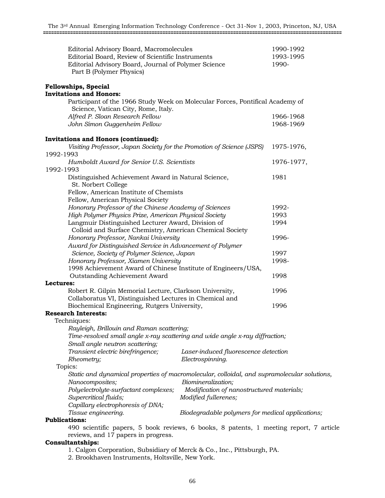| Editorial Advisory Board, Macromolecules<br>Editorial Board, Review of Scientific Instruments<br>Editorial Advisory Board, Journal of Polymer Science<br>Part B (Polymer Physics) | 1990-1992<br>1993-1995<br>1990-      |            |  |  |  |
|-----------------------------------------------------------------------------------------------------------------------------------------------------------------------------------|--------------------------------------|------------|--|--|--|
| <b>Fellowships, Special</b>                                                                                                                                                       |                                      |            |  |  |  |
| <b>Invitations and Honors:</b>                                                                                                                                                    |                                      |            |  |  |  |
| Participant of the 1966 Study Week on Molecular Forces, Pontifical Academy of                                                                                                     |                                      |            |  |  |  |
| Science, Vatican City, Rome, Italy.                                                                                                                                               |                                      |            |  |  |  |
| Alfred P. Sloan Research Fellow                                                                                                                                                   |                                      | 1966-1968  |  |  |  |
| John Simon Guggenheim Fellow                                                                                                                                                      |                                      | 1968-1969  |  |  |  |
| <b>Invitations and Honors (continued):</b>                                                                                                                                        |                                      |            |  |  |  |
| Visiting Professor, Japan Society for the Promotion of Science (JSPS)                                                                                                             |                                      | 1975-1976, |  |  |  |
| 1992-1993                                                                                                                                                                         |                                      |            |  |  |  |
| Humboldt Award for Senior U.S. Scientists<br>1992-1993                                                                                                                            |                                      | 1976-1977, |  |  |  |
| Distinguished Achievement Award in Natural Science,<br>St. Norbert College                                                                                                        |                                      | 1981       |  |  |  |
| Fellow, American Institute of Chemists                                                                                                                                            |                                      |            |  |  |  |
| Fellow, American Physical Society                                                                                                                                                 |                                      |            |  |  |  |
| Honorary Professor of the Chinese Academy of Sciences                                                                                                                             | 1992-                                |            |  |  |  |
| High Polymer Physics Prize, American Physical Society                                                                                                                             | 1993                                 |            |  |  |  |
| Langmuir Distinguished Lecturer Award, Division of                                                                                                                                |                                      | 1994       |  |  |  |
| Colloid and Surface Chemistry, American Chemical Society                                                                                                                          |                                      |            |  |  |  |
| Honorary Professor, Nankai University                                                                                                                                             |                                      | 1996-      |  |  |  |
| Award for Distinguished Service in Advancement of Polymer                                                                                                                         |                                      |            |  |  |  |
| Science, Society of Polymer Science, Japan                                                                                                                                        |                                      | 1997       |  |  |  |
| Honorary Professor, Xiamen University                                                                                                                                             | 1998-                                |            |  |  |  |
| 1998 Achievement Award of Chinese Institute of Engineers/USA,                                                                                                                     |                                      |            |  |  |  |
| Outstanding Achievement Award                                                                                                                                                     |                                      | 1998       |  |  |  |
| Lectures:                                                                                                                                                                         |                                      |            |  |  |  |
| Robert R. Gilpin Memorial Lecture, Clarkson University,                                                                                                                           |                                      | 1996       |  |  |  |
| Collaboratus VI, Distinguished Lectures in Chemical and<br>Biochemical Engineering, Rutgers University,                                                                           |                                      | 1996       |  |  |  |
| <b>Research Interests:</b>                                                                                                                                                        |                                      |            |  |  |  |
| Techniques:                                                                                                                                                                       |                                      |            |  |  |  |
| Rayleigh, Brillouin and Raman scattering;                                                                                                                                         |                                      |            |  |  |  |
| Time-resolved small angle x-ray scattering and wide angle x-ray diffraction;                                                                                                      |                                      |            |  |  |  |
| Small angle neutron scattering;                                                                                                                                                   |                                      |            |  |  |  |
| Transient electric birefringence;                                                                                                                                                 | Laser-induced fluorescence detection |            |  |  |  |
| Rheometry;                                                                                                                                                                        | Electrospinning.                     |            |  |  |  |
| Topics:                                                                                                                                                                           |                                      |            |  |  |  |
| Static and dynamical properties of macromolecular, colloidal, and supramolecular solutions,                                                                                       |                                      |            |  |  |  |
| Nanocomposites;                                                                                                                                                                   | Biomineralization;                   |            |  |  |  |
| Modification of nanostructured materials;<br>Polyelectrolyte-surfactant complexes;                                                                                                |                                      |            |  |  |  |
| Supercritical fluids;<br>Modified fullerenes;                                                                                                                                     |                                      |            |  |  |  |
| Capillary electrophoresis of DNA;                                                                                                                                                 |                                      |            |  |  |  |
| Tissue engineering.<br>Biodegradable polymers for medical applications;                                                                                                           |                                      |            |  |  |  |
| <b>Publications:</b>                                                                                                                                                              |                                      |            |  |  |  |
| 490 scientific papers, 5 book reviews, 6 books, 8 patents, 1 meeting report, 7 article                                                                                            |                                      |            |  |  |  |
| reviews, and 17 papers in progress.                                                                                                                                               |                                      |            |  |  |  |
| <b>Consultantships:</b>                                                                                                                                                           |                                      |            |  |  |  |
| 1. Calgon Corporation, Subsidiary of Merck & Co., Inc., Pittsburgh, PA.                                                                                                           |                                      |            |  |  |  |

2. Brookhaven Instruments, Holtsville, New York.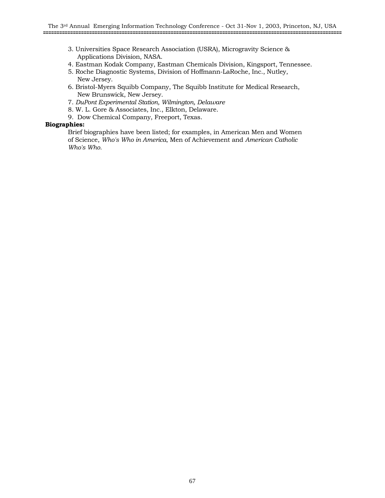- 3. Universities Space Research Association (USRA), Microgravity Science & Applications Division, NASA.
- 4. Eastman Kodak Company, Eastman Chemicals Division, Kingsport, Tennessee.
- 5. Roche Diagnostic Systems, Division of Hoffmann-LaRoche, Inc., Nutley, New Jersey.
- 6. Bristol-Myers Squibb Company, The Squibb Institute for Medical Research, New Brunswick, New Jersey.
- 7. *DuPont Experimental Station, Wilmington, Delaware*
- 8. W. L. Gore & Associates, Inc., Elkton, Delaware.
- 9. Dow Chemical Company, Freeport, Texas.

### **Biographies:**

 Brief biographies have been listed; for examples, in American Men and Women of Science, *Who's Who in America*, Men of Achievement and *American Catholic Who's Who.*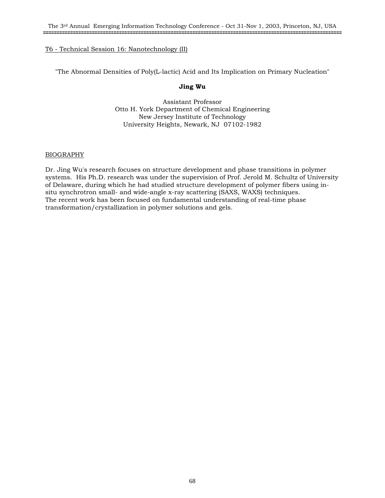"The Abnormal Densities of Poly(L-lactic) Acid and Its Implication on Primary Nucleation"

### **Jing Wu**

Assistant Professor Otto H. York Department of Chemical Engineering New Jersey Institute of Technology University Heights, Newark, NJ 07102-1982

### BIOGRAPHY

Dr. Jing Wu's research focuses on structure development and phase transitions in polymer systems. His Ph.D. research was under the supervision of Prof. Jerold M. Schultz of University of Delaware, during which he had studied structure development of polymer fibers using insitu synchrotron small- and wide-angle x-ray scattering (SAXS, WAXS) techniques. The recent work has been focused on fundamental understanding of real-time phase transformation/crystallization in polymer solutions and gels.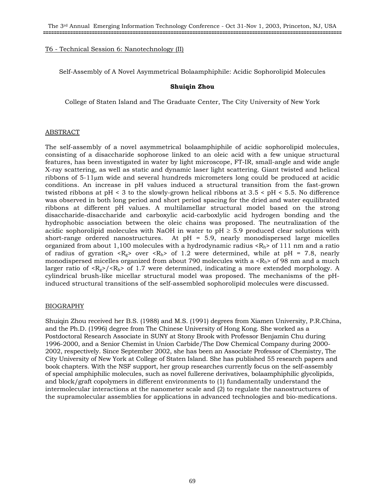Self-Assembly of A Novel Asymmetrical Bolaamphiphile: Acidic Sophorolipid Molecules

### **Shuiqin Zhou**

College of Staten Island and The Graduate Center, The City University of New York

### ABSTRACT

The self-assembly of a novel asymmetrical bolaamphiphile of acidic sophorolipid molecules, consisting of a disaccharide sophorose linked to an oleic acid with a few unique structural features, has been investigated in water by light microscope, FT-IR, small-angle and wide angle X-ray scattering, as well as static and dynamic laser light scattering. Giant twisted and helical ribbons of 5-11µm wide and several hundreds micrometers long could be produced at acidic conditions. An increase in pH values induced a structural transition from the fast-grown twisted ribbons at pH < 3 to the slowly-grown helical ribbons at 3.5 < pH < 5.5. No difference was observed in both long period and short period spacing for the dried and water equilibrated ribbons at different pH values. A multilamellar structural model based on the strong disaccharide-disaccharide and carboxylic acid-carboxlylic acid hydrogen bonding and the hydrophobic association between the oleic chains was proposed. The neutralization of the acidic sophorolipid molecules with NaOH in water to  $pH \geq 5.9$  produced clear solutions with short-range ordered nanostructures. At pH = 5.9, nearly monodispersed large micelles organized from about 1,100 molecules with a hydrodynamic radius  $\langle R_h \rangle$  of 111 nm and a ratio of radius of gyration  $\langle R_g \rangle$  over  $\langle R_h \rangle$  of 1.2 were determined, while at pH = 7.8, nearly monodispersed micelles organized from about 790 molecules with a  $\langle R_h \rangle$  of 98 nm and a much larger ratio of  $\langle R_g \rangle / \langle R_h \rangle$  of 1.7 were determined, indicating a more extended morphology. A cylindrical brush-like micellar structural model was proposed. The mechanisms of the pHinduced structural transitions of the self-assembled sophorolipid molecules were discussed.

### BIOGRAPHY

Shuiqin Zhou received her B.S. (1988) and M.S. (1991) degrees from Xiamen University, P.R.China, and the Ph.D. (1996) degree from The Chinese University of Hong Kong. She worked as a Postdoctoral Research Associate in SUNY at Stony Brook with Professor Benjamin Chu during 1996-2000, and a Senior Chemist in Union Carbide/The Dow Chemical Company during 2000- 2002, respectively. Since September 2002, she has been an Associate Professor of Chemistry, The City University of New York at College of Staten Island. She has published 55 research papers and book chapters. With the NSF support, her group researches currently focus on the self-assembly of special amphiphilic molecules, such as novel fullerene derivatives, bolaamphiphilic glycolipids, and block/graft copolymers in different environments to (1) fundamentally understand the intermolecular interactions at the nanometer scale and (2) to regulate the nanostructures of the supramolecular assemblies for applications in advanced technologies and bio-medications.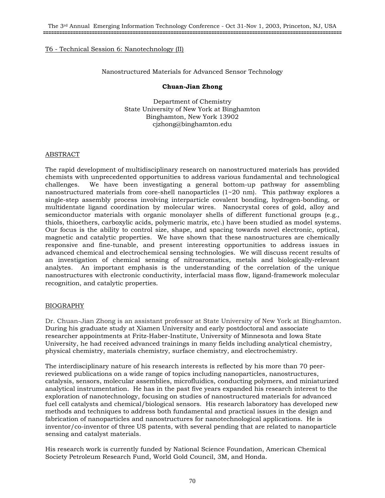Nanostructured Materials for Advanced Sensor Technology

### **Chuan-Jian Zhong**

Department of Chemistry State University of New York at Binghamton Binghamton, New York 13902 cjzhong@binghamton.edu

## ABSTRACT

The rapid development of multidisciplinary research on nanostructured materials has provided chemists with unprecedented opportunities to address various fundamental and technological challenges. We have been investigating a general bottom-up pathway for assembling nanostructured materials from core-shell nanoparticles (1~20 nm). This pathway explores a single-step assembly process involving interparticle covalent bonding, hydrogen-bonding, or multidentate ligand coordination by molecular wires. Nanocrystal cores of gold, alloy and semiconductor materials with organic monolayer shells of different functional groups (e.g., thiols, thioethers, carboxylic acids, polymeric matrix, etc.) have been studied as model systems. Our focus is the ability to control size, shape, and spacing towards novel electronic, optical, magnetic and catalytic properties. We have shown that these nanostructures are chemically responsive and fine-tunable, and present interesting opportunities to address issues in advanced chemical and electrochemical sensing technologies. We will discuss recent results of an investigation of chemical sensing of nitroaromatics, metals and biologically-relevant analytes. An important emphasis is the understanding of the correlation of the unique nanostructures with electronic conductivity, interfacial mass flow, ligand-framework molecular recognition, and catalytic properties.

# BIOGRAPHY

Dr. Chuan-Jian Zhong is an assistant professor at State University of New York at Binghamton. During his graduate study at Xiamen University and early postdoctoral and associate researcher appointments at Fritz-Haber-Institute, University of Minnesota and Iowa State University, he had received advanced trainings in many fields including analytical chemistry, physical chemistry, materials chemistry, surface chemistry, and electrochemistry.

The interdisciplinary nature of his research interests is reflected by his more than 70 peerreviewed publications on a wide range of topics including nanoparticles, nanostructures, catalysis, sensors, molecular assemblies, microfluidics, conducting polymers, and miniaturized analytical instrumentation. He has in the past five years expanded his research interest to the exploration of nanotechnology, focusing on studies of nanostructured materials for advanced fuel cell catalysts and chemical/biological sensors. His research laboratory has developed new methods and techniques to address both fundamental and practical issues in the design and fabrication of nanoparticles and nanostructures for nanotechnological applications. He is inventor/co-inventor of three US patents, with several pending that are related to nanoparticle sensing and catalyst materials.

His research work is currently funded by National Science Foundation, American Chemical Society Petroleum Research Fund, World Gold Council, 3M, and Honda.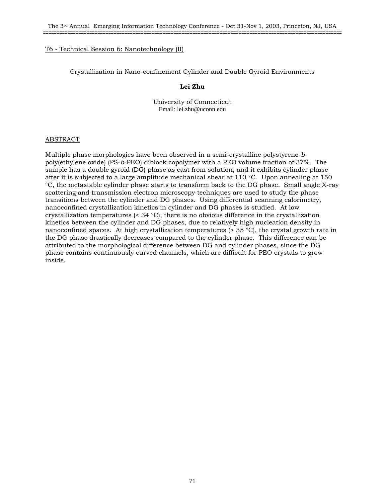Crystallization in Nano-confinement Cylinder and Double Gyroid Environments

## **Lei Zhu**

University of Connecticut Email: lei.zhu@uconn.edu

### ABSTRACT

Multiple phase morphologies have been observed in a semi-crystalline polystyrene-*b*poly(ethylene oxide) (PS-*b*-PEO) diblock copolymer with a PEO volume fraction of 37%. The sample has a double gyroid (DG) phase as cast from solution, and it exhibits cylinder phase after it is subjected to a large amplitude mechanical shear at 110 °C. Upon annealing at 150 °C, the metastable cylinder phase starts to transform back to the DG phase. Small angle X-ray scattering and transmission electron microscopy techniques are used to study the phase transitions between the cylinder and DG phases. Using differential scanning calorimetry, nanoconfined crystallization kinetics in cylinder and DG phases is studied. At low crystallization temperatures (< 34 °C), there is no obvious difference in the crystallization kinetics between the cylinder and DG phases, due to relatively high nucleation density in nanoconfined spaces. At high crystallization temperatures (> 35 °C), the crystal growth rate in the DG phase drastically decreases compared to the cylinder phase. This difference can be attributed to the morphological difference between DG and cylinder phases, since the DG phase contains continuously curved channels, which are difficult for PEO crystals to grow inside.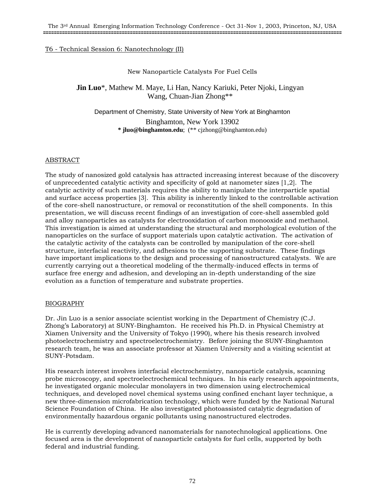# New Nanoparticle Catalysts For Fuel Cells

**Jin Luo**\*, Mathew M. Maye, Li Han, Nancy Kariuki, Peter Njoki, Lingyan Wang, Chuan-Jian Zhong\*\*

Department of Chemistry, State University of New York at Binghamton Binghamton, New York 13902 **\* jluo@binghamton.edu**; (\*\* cjzhong@binghamton.edu)

# ABSTRACT

The study of nanosized gold catalysis has attracted increasing interest because of the discovery of unprecedented catalytic activity and specificity of gold at nanometer sizes [1,2]. The catalytic activity of such materials requires the ability to manipulate the interparticle spatial and surface access properties [3]. This ability is inherently linked to the controllable activation of the core-shell nanostructure, or removal or reconstitution of the shell components. In this presentation, we will discuss recent findings of an investigation of core-shell assembled gold and alloy nanoparticles as catalysts for electrooxidation of carbon monooxide and methanol. This investigation is aimed at understanding the structural and morphological evolution of the nanoparticles on the surface of support materials upon catalytic activation. The activation of the catalytic activity of the catalysts can be controlled by manipulation of the core-shell structure, interfacial reactivity, and adhesions to the supporting substrate. These findings have important implications to the design and processing of nanostructured catalysts. We are currently carrying out a theoretical modeling of the thermally-induced effects in terms of surface free energy and adhesion, and developing an in-depth understanding of the size evolution as a function of temperature and substrate properties.

# BIOGRAPHY

Dr. Jin Luo is a senior associate scientist working in the Department of Chemistry (C.J. Zhong's Laboratory) at SUNY-Binghamton. He received his Ph.D. in Physical Chemistry at Xiamen University and the University of Tokyo (1990), where his thesis research involved photoelectrochemistry and spectroelectrochemistry. Before joining the SUNY-Binghamton research team, he was an associate professor at Xiamen University and a visiting scientist at SUNY-Potsdam.

His research interest involves interfacial electrochemistry, nanoparticle catalysis, scanning probe microscopy, and spectroelectrochemical techniques. In his early research appointments, he investigated organic molecular monolayers in two dimension using electrochemical techniques, and developed novel chemical systems using confined enchant layer technique, a new three-dimension microfabrication technology, which were funded by the National Natural Science Foundation of China. He also investigated photoassisted catalytic degradation of environmentally hazardous organic pollutants using nanostructured electrodes.

He is currently developing advanced nanomaterials for nanotechnological applications. One focused area is the development of nanoparticle catalysts for fuel cells, supported by both federal and industrial funding.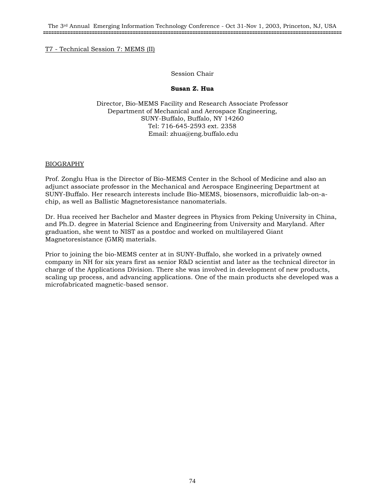# T7 - Technical Session 7: MEMS (II)

## Session Chair

## **Susan Z. Hua**

Director, Bio-MEMS Facility and Research Associate Professor Department of Mechanical and Aerospace Engineering, SUNY-Buffalo, Buffalo, NY 14260 Tel: 716-645-2593 ext. 2358 Email: zhua@eng.buffalo.edu

# BIOGRAPHY

Prof. Zonglu Hua is the Director of Bio-MEMS Center in the School of Medicine and also an adjunct associate professor in the Mechanical and Aerospace Engineering Department at SUNY-Buffalo. Her research interests include Bio-MEMS, biosensors, microfluidic lab-on-achip, as well as Ballistic Magnetoresistance nanomaterials.

Dr. Hua received her Bachelor and Master degrees in Physics from Peking University in China, and Ph.D. degree in Material Science and Engineering from University and Maryland. After graduation, she went to NIST as a postdoc and worked on multilayered Giant Magnetoresistance (GMR) materials.

Prior to joining the bio-MEMS center at in SUNY-Buffalo, she worked in a privately owned company in NH for six years first as senior R&D scientist and later as the technical director in charge of the Applications Division. There she was involved in development of new products, scaling up process, and advancing applications. One of the main products she developed was a microfabricated magnetic-based sensor.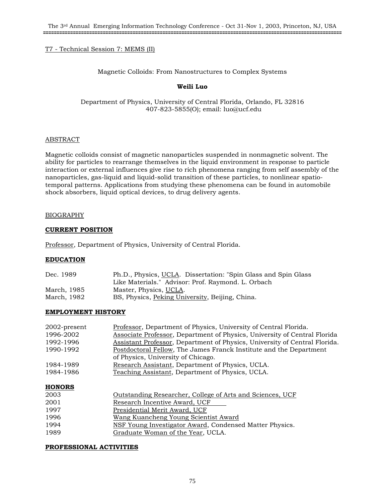# T7 - Technical Session 7: MEMS (II)

#### Magnetic Colloids: From Nanostructures to Complex Systems

## **Weili Luo**

Department of Physics, University of Central Florida, Orlando, FL 32816 407-823-5855(O); email: luo@ucf.edu

#### ABSTRACT

Magnetic colloids consist of magnetic nanoparticles suspended in nonmagnetic solvent. The ability for particles to rearrange themselves in the liquid environment in response to particle interaction or external influences give rise to rich phenomena ranging from self assembly of the nanoparticles, gas-liquid and liquid-solid transition of these particles, to nonlinear spatiotemporal patterns. Applications from studying these phenomena can be found in automobile shock absorbers, liquid optical devices, to drug delivery agents.

#### BIOGRAPHY

#### **CURRENT POSITION**

Professor, Department of Physics, University of Central Florida.

## **EDUCATION**

| Dec. 1989   | Ph.D., Physics, UCLA. Dissertation: "Spin Glass and Spin Glass |
|-------------|----------------------------------------------------------------|
|             | Like Materials." Advisor: Prof. Raymond. L. Orbach             |
| March, 1985 | Master, Physics, UCLA.                                         |
| March, 1982 | BS, Physics, Peking University, Beijing, China.                |

## **EMPLOYMENT HISTORY**

| 2002-present  | Professor, Department of Physics, University of Central Florida.           |
|---------------|----------------------------------------------------------------------------|
| 1996-2002     | Associate Professor, Department of Physics, University of Central Florida  |
| 1992-1996     | Assistant Professor, Department of Physics, University of Central Florida. |
| 1990-1992     | Postdoctoral Fellow, The James Franck Institute and the Department         |
|               | of Physics, University of Chicago.                                         |
| 1984-1989     | Research Assistant, Department of Physics, UCLA.                           |
| 1984-1986     | Teaching Assistant, Department of Physics, UCLA.                           |
| <b>HONORS</b> |                                                                            |
| 2003          | Outstanding Researcher, College of Arts and Sciences, UCF                  |
| 2001          | Research Incentive Award, UCF                                              |
| 1997          | Presidential Merit Award, UCF                                              |
| 1996          | Wang Kuancheng Young Scientist Award                                       |
| 1994          | NSF Young Investigator Award, Condensed Matter Physics.                    |
| 1989          | Graduate Woman of the Year, UCLA.                                          |

#### **PROFESSIONAL ACTIVITIES**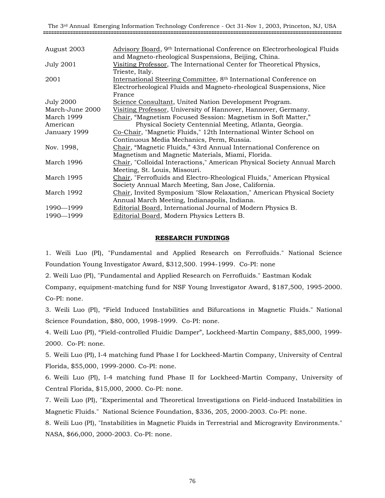| August 2003      | Advisory Board, 9 <sup>th</sup> International Conference on Electrorheological Fluids                                         |
|------------------|-------------------------------------------------------------------------------------------------------------------------------|
| <b>July 2001</b> | and Magneto-rheological Suspensions, Beijing, China.<br>Visiting Professor, The International Center for Theoretical Physics, |
| 2001             | Trieste, Italy.<br>International Steering Committee, 8 <sup>th</sup> International Conference on                              |
|                  | Electrorheological Fluids and Magneto-rheological Suspensions, Nice                                                           |
|                  | France                                                                                                                        |
| <b>July 2000</b> | Science Consultant, United Nation Development Program.                                                                        |
| March-June 2000  | Visiting Professor, University of Hannover, Hannover, Germany.                                                                |
| March 1999       | Chair, "Magnetism Focused Session: Magnetism in Soft Matter,"                                                                 |
| American         | Physical Society Centennial Meeting, Atlanta, Georgia.                                                                        |
| January 1999     | Co-Chair, "Magnetic Fluids," 12th International Winter School on                                                              |
|                  | Continuous Media Mechanics, Perm, Russia.                                                                                     |
| Nov. 1998,       | Chair, "Magnetic Fluids," 43rd Annual International Conference on                                                             |
|                  | Magnetism and Magnetic Materials, Miami, Florida.                                                                             |
| March 1996       | Chair, "Colloidal Interactions," American Physical Society Annual March                                                       |
|                  | Meeting, St. Louis, Missouri.                                                                                                 |
| March 1995       | Chair, "Ferrofluids and Electro-Rheological Fluids," American Physical                                                        |
|                  | Society Annual March Meeting, San Jose, California.                                                                           |
| March 1992       | Chair, Invited Symposium "Slow Relaxation," American Physical Society                                                         |
|                  | Annual March Meeting, Indianapolis, Indiana.                                                                                  |
| 1990-1999        | Editorial Board, International Journal of Modern Physics B.                                                                   |
| 1990 - 1999      | Editorial Board, Modern Physics Letters B.                                                                                    |
|                  |                                                                                                                               |

## **RESEARCH FUNDINGS**

1. Weili Luo (PI), "Fundamental and Applied Research on Ferrofluids." National Science Foundation Young Investigator Award, \$312,500. 1994-1999. Co-PI: none

2. Weili Luo (PI), "Fundamental and Applied Research on Ferrofluids." Eastman Kodak

Company, equipment-matching fund for NSF Young Investigator Award, \$187,500, 1995-2000. Co-PI: none.

3. Weili Luo (PI), "Field Induced Instabilities and Bifurcations in Magnetic Fluids." National Science Foundation, \$80, 000, 1998-1999. Co-PI: none.

4. Weili Luo (PI), "Field-controlled Fluidic Damper", Lockheed-Martin Company, \$85,000, 1999- 2000. Co-PI: none.

5. Weili Luo (PI), I-4 matching fund Phase I for Lockheed-Martin Company, University of Central Florida, \$55,000, 1999-2000. Co-PI: none.

6. Weili Luo (PI), I-4 matching fund Phase II for Lockheed-Martin Company, University of Central Florida, \$15,000, 2000. Co-PI: none.

7. Weili Luo (PI), "Experimental and Theoretical Investigations on Field-induced Instabilities in Magnetic Fluids." National Science Foundation, \$336, 205, 2000-2003. Co-PI: none.

8. Weili Luo (PI), "Instabilities in Magnetic Fluids in Terrestrial and Microgravity Environments." NASA, \$66,000, 2000-2003. Co-PI: none.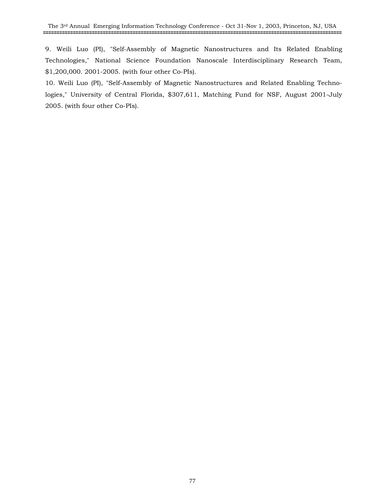9. Weili Luo (PI), "Self-Assembly of Magnetic Nanostructures and Its Related Enabling Technologies," National Science Foundation Nanoscale Interdisciplinary Research Team, \$1,200,000. 2001-2005. (with four other Co-PIs).

10. Weili Luo (PI), "Self-Assembly of Magnetic Nanostructures and Related Enabling Technologies," University of Central Florida, \$307,611, Matching Fund for NSF, August 2001-July 2005. (with four other Co-PIs).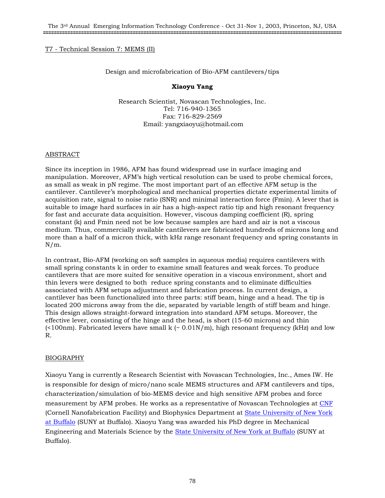# T7 - Technical Session 7: MEMS (II)

## Design and microfabrication of Bio-AFM cantilevers/tips

# **Xiaoyu Yang**

Research Scientist, Novascan Technologies, Inc. Tel: 716-940-1365 Fax: 716-829-2569 Email: yangxiaoyu@hotmail.com

## ABSTRACT

Since its inception in 1986, AFM has found widespread use in surface imaging and manipulation. Moreover, AFM's high vertical resolution can be used to probe chemical forces, as small as weak in pN regime. The most important part of an effective AFM setup is the cantilever. Cantilever's morphological and mechanical properties dictate experimental limits of acquisition rate, signal to noise ratio (SNR) and minimal interaction force (Fmin). A lever that is suitable to image hard surfaces in air has a high-aspect ratio tip and high resonant frequency for fast and accurate data acquisition. However, viscous damping coefficient (R), spring constant (k) and Fmin need not be low because samples are hard and air is not a viscous medium. Thus, commercially available cantilevers are fabricated hundreds of microns long and more than a half of a micron thick, with kHz range resonant frequency and spring constants in N/m.

In contrast, Bio-AFM (working on soft samples in aqueous media) requires cantilevers with small spring constants k in order to examine small features and weak forces. To produce cantilevers that are more suited for sensitive operation in a viscous environment, short and thin levers were designed to both reduce spring constants and to eliminate difficulties associated with AFM setups adjustment and fabrication process. In current design, a cantilever has been functionalized into three parts: stiff beam, hinge and a head. The tip is located 200 microns away from the die, separated by variable length of stiff beam and hinge. This design allows straight-forward integration into standard AFM setups. Moreover, the effective lever, consisting of the hinge and the head, is short (15-60 microns) and thin ( $<100nm$ ). Fabricated levers have small k ( $<0.01N/m$ ), high resonant frequency (kHz) and low R.

## BIOGRAPHY

Xiaoyu Yang is currently a Research Scientist with Novascan Technologies, Inc., Ames IW. He is responsible for design of micro/nano scale MEMS structures and AFM cantilevers and tips, characterization/simulation of bio-MEMS device and high sensitive AFM probes and force measurement by AFM probes. He works as a representative of Novascan Technologies at CNF (Cornell Nanofabrication Facility) and Biophysics Department at State University of New York at Buffalo (SUNY at Buffalo). Xiaoyu Yang was awarded his PhD degree in Mechanical Engineering and Materials Science by the State University of New York at Buffalo (SUNY at Buffalo).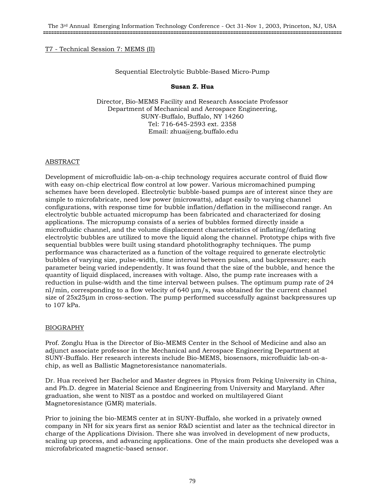## T7 - Technical Session 7: MEMS (II)

## Sequential Electrolytic Bubble-Based Micro-Pump

#### **Susan Z. Hua**

Director, Bio-MEMS Facility and Research Associate Professor Department of Mechanical and Aerospace Engineering, SUNY-Buffalo, Buffalo, NY 14260 Tel: 716-645-2593 ext. 2358 Email: zhua@eng.buffalo.edu

#### ABSTRACT

Development of microfluidic lab-on-a-chip technology requires accurate control of fluid flow with easy on-chip electrical flow control at low power. Various micromachined pumping schemes have been developed. Electrolytic bubble-based pumps are of interest since they are simple to microfabricate, need low power (microwatts), adapt easily to varying channel configurations, with response time for bubble inflation/deflation in the millisecond range. An electrolytic bubble actuated micropump has been fabricated and characterized for dosing applications. The micropump consists of a series of bubbles formed directly inside a microfluidic channel, and the volume displacement characteristics of inflating/deflating electrolytic bubbles are utilized to move the liquid along the channel. Prototype chips with five sequential bubbles were built using standard photolithography techniques. The pump performance was characterized as a function of the voltage required to generate electrolytic bubbles of varying size, pulse-width, time interval between pulses, and backpressure; each parameter being varied independently. It was found that the size of the bubble, and hence the quantity of liquid displaced, increases with voltage. Also, the pump rate increases with a reduction in pulse-width and the time interval between pulses. The optimum pump rate of 24 nl/min, corresponding to a flow velocity of 640 µm/s, was obtained for the current channel size of 25x25µm in cross-section. The pump performed successfully against backpressures up to 107 kPa.

## BIOGRAPHY

Prof. Zonglu Hua is the Director of Bio-MEMS Center in the School of Medicine and also an adjunct associate professor in the Mechanical and Aerospace Engineering Department at SUNY-Buffalo. Her research interests include Bio-MEMS, biosensors, microfluidic lab-on-achip, as well as Ballistic Magnetoresistance nanomaterials.

Dr. Hua received her Bachelor and Master degrees in Physics from Peking University in China, and Ph.D. degree in Material Science and Engineering from University and Maryland. After graduation, she went to NIST as a postdoc and worked on multilayered Giant Magnetoresistance (GMR) materials.

Prior to joining the bio-MEMS center at in SUNY-Buffalo, she worked in a privately owned company in NH for six years first as senior R&D scientist and later as the technical director in charge of the Applications Division. There she was involved in development of new products, scaling up process, and advancing applications. One of the main products she developed was a microfabricated magnetic-based sensor.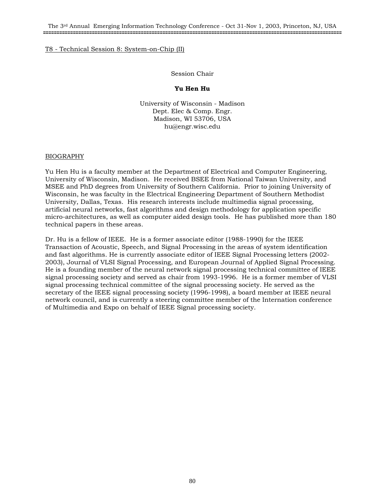#### Session Chair

## **Yu Hen Hu**

University of Wisconsin - Madison Dept. Elec & Comp. Engr. Madison, WI 53706, USA hu@engr.wisc.edu

#### BIOGRAPHY

Yu Hen Hu is a faculty member at the Department of Electrical and Computer Engineering, University of Wisconsin, Madison. He received BSEE from National Taiwan University, and MSEE and PhD degrees from University of Southern California. Prior to joining University of Wisconsin, he was faculty in the Electrical Engineering Department of Southern Methodist University, Dallas, Texas. His research interests include multimedia signal processing, artificial neural networks, fast algorithms and design methodology for application specific micro-architectures, as well as computer aided design tools. He has published more than 180 technical papers in these areas.

Dr. Hu is a fellow of IEEE. He is a former associate editor (1988-1990) for the IEEE Transaction of Acoustic, Speech, and Signal Processing in the areas of system identification and fast algorithms. He is currently associate editor of IEEE Signal Processing letters (2002- 2003), Journal of VLSI Signal Processing, and European Journal of Applied Signal Processing. He is a founding member of the neural network signal processing technical committee of IEEE signal processing society and served as chair from 1993-1996. He is a former member of VLSI signal processing technical committee of the signal processing society. He served as the secretary of the IEEE signal processing society (1996-1998), a board member at IEEE neural network council, and is currently a steering committee member of the Internation conference of Multimedia and Expo on behalf of IEEE Signal processing society.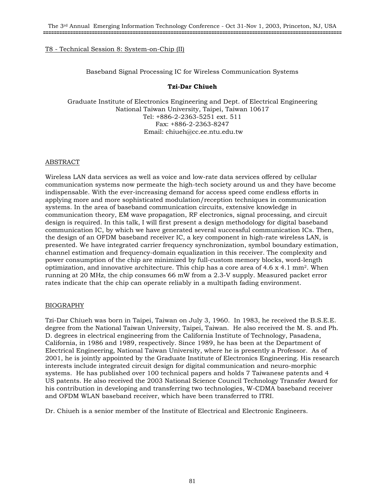## Baseband Signal Processing IC for Wireless Communication Systems

# **Tzi-Dar Chiueh**

Graduate Institute of Electronics Engineering and Dept. of Electrical Engineering National Taiwan University, Taipei, Taiwan 10617 Tel: +886-2-2363-5251 ext. 511 Fax: +886-2-2363-8247 Email: chiueh@cc.ee.ntu.edu.tw

# ABSTRACT

Wireless LAN data services as well as voice and low-rate data services offered by cellular communication systems now permeate the high-tech society around us and they have become indispensable. With the ever-increasing demand for access speed come endless efforts in applying more and more sophisticated modulation/reception techniques in communication systems. In the area of baseband communication circuits, extensive knowledge in communication theory, EM wave propagation, RF electronics, signal processing, and circuit design is required. In this talk, I will first present a design methodology for digital baseband communication IC, by which we have generated several successful communication ICs. Then, the design of an OFDM baseband receiver IC, a key component in high-rate wireless LAN, is presented. We have integrated carrier frequency synchronization, symbol boundary estimation, channel estimation and frequency-domain equalization in this receiver. The complexity and power consumption of the chip are minimized by full-custom memory blocks, word-length optimization, and innovative architecture. This chip has a core area of  $4.6 \times 4.1 \text{ mm}^2$ . When running at 20 MHz, the chip consumes 66 mW from a 2.3-V supply. Measured packet error rates indicate that the chip can operate reliably in a multipath fading environment.

# BIOGRAPHY

Tzi-Dar Chiueh was born in Taipei, Taiwan on July 3, 1960. In 1983, he received the B.S.E.E. degree from the National Taiwan University, Taipei, Taiwan. He also received the M. S. and Ph. D. degrees in electrical engineering from the California Institute of Technology, Pasadena, California, in 1986 and 1989, respectively. Since 1989, he has been at the Department of Electrical Engineering, National Taiwan University, where he is presently a Professor. As of 2001, he is jointly appointed by the Graduate Institute of Electronics Engineering. His research interests include integrated circuit design for digital communication and neuro-morphic systems. He has published over 100 technical papers and holds 7 Taiwanese patents and 4 US patents. He also received the 2003 National Science Council Technology Transfer Award for his contribution in developing and transferring two technologies, W-CDMA baseband receiver and OFDM WLAN baseband receiver, which have been transferred to ITRI.

Dr. Chiueh is a senior member of the Institute of Electrical and Electronic Engineers.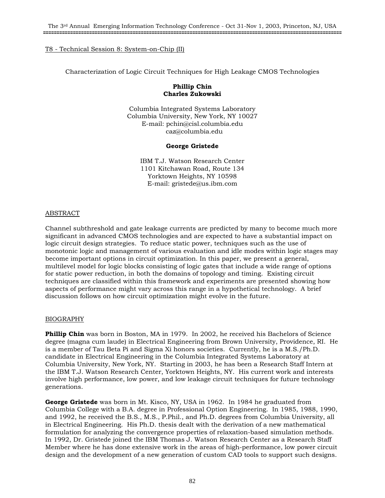Characterization of Logic Circuit Techniques for High Leakage CMOS Technologies

## **Phillip Chin Charles Zukowski**

Columbia Integrated Systems Laboratory Columbia University, New York, NY 10027 E-mail: pchin@cisl.columbia.edu caz@columbia.edu

## **George Gristede**

IBM T.J. Watson Research Center 1101 Kitchawan Road, Route 134 Yorktown Heights, NY 10598 E-mail: gristede@us.ibm.com

# ABSTRACT

Channel subthreshold and gate leakage currents are predicted by many to become much more significant in advanced CMOS technologies and are expected to have a substantial impact on logic circuit design strategies. To reduce static power, techniques such as the use of monotonic logic and management of various evaluation and idle modes within logic stages may become important options in circuit optimization. In this paper, we present a general, multilevel model for logic blocks consisting of logic gates that include a wide range of options for static power reduction, in both the domains of topology and timing. Existing circuit techniques are classified within this framework and experiments are presented showing how aspects of performance might vary across this range in a hypothetical technology. A brief discussion follows on how circuit optimization might evolve in the future.

## BIOGRAPHY

**Phillip Chin** was born in Boston, MA in 1979. In 2002, he received his Bachelors of Science degree (magna cum laude) in Electrical Engineering from Brown University, Providence, RI. He is a member of Tau Beta Pi and Sigma Xi honors societies. Currently, he is a M.S./Ph.D. candidate in Electrical Engineering in the Columbia Integrated Systems Laboratory at Columbia University, New York, NY. Starting in 2003, he has been a Research Staff Intern at the IBM T.J. Watson Research Center, Yorktown Heights, NY. His current work and interests involve high performance, low power, and low leakage circuit techniques for future technology generations.

**George Gristede** was born in Mt. Kisco, NY, USA in 1962. In 1984 he graduated from Columbia College with a B.A. degree in Professional Option Engineering. In 1985, 1988, 1990, and 1992, he received the B.S., M.S., P.Phil., and Ph.D. degrees from Columbia University, all in Electrical Engineering. His Ph.D. thesis dealt with the derivation of a new mathematical formulation for analyzing the convergence properties of relaxation-based simulation methods. In 1992, Dr. Gristede joined the IBM Thomas J. Watson Research Center as a Research Staff Member where he has done extensive work in the areas of high-performance, low power circuit design and the development of a new generation of custom CAD tools to support such designs.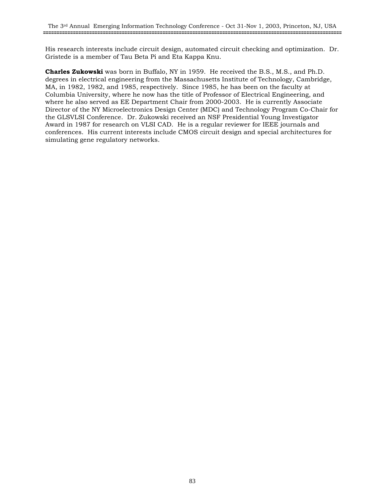His research interests include circuit design, automated circuit checking and optimization. Dr. Gristede is a member of Tau Beta Pi and Eta Kappa Knu.

**Charles Zukowski** was born in Buffalo, NY in 1959. He received the B.S., M.S., and Ph.D. degrees in electrical engineering from the Massachusetts Institute of Technology, Cambridge, MA, in 1982, 1982, and 1985, respectively. Since 1985, he has been on the faculty at Columbia University, where he now has the title of Professor of Electrical Engineering, and where he also served as EE Department Chair from 2000-2003. He is currently Associate Director of the NY Microelectronics Design Center (MDC) and Technology Program Co-Chair for the GLSVLSI Conference. Dr. Zukowski received an NSF Presidential Young Investigator Award in 1987 for research on VLSI CAD. He is a regular reviewer for IEEE journals and conferences. His current interests include CMOS circuit design and special architectures for simulating gene regulatory networks.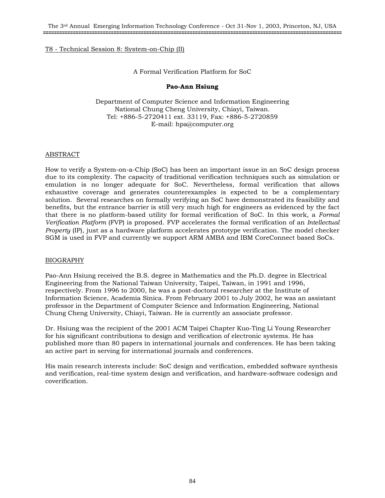# A Formal Verification Platform for SoC

# **Pao-Ann Hsiung**

Department of Computer Science and Information Engineering National Chung Cheng University, Chiayi, Taiwan. Tel: +886-5-2720411 ext. 33119, Fax: +886-5-2720859 E-mail: hpa@computer.org

# ABSTRACT

How to verify a System-on-a-Chip (SoC) has been an important issue in an SoC design process due to its complexity. The capacity of traditional verification techniques such as simulation or emulation is no longer adequate for SoC. Nevertheless, formal verification that allows exhaustive coverage and generates counterexamples is expected to be a complementary solution. Several researches on formally verifying an SoC have demonstrated its feasibility and benefits, but the entrance barrier is still very much high for engineers as evidenced by the fact that there is no platform-based utility for formal verification of SoC. In this work, a *Formal Verification Platform* (FVP) is proposed. FVP accelerates the formal verification of an *Intellectual Property* (IP), just as a hardware platform accelerates prototype verification. The model checker SGM is used in FVP and currently we support ARM AMBA and IBM CoreConnect based SoCs.

## BIOGRAPHY

Pao-Ann Hsiung received the B.S. degree in Mathematics and the Ph.D. degree in Electrical Engineering from the National Taiwan University, Taipei, Taiwan, in 1991 and 1996, respectively. From 1996 to 2000, he was a post-doctoral researcher at the Institute of Information Science, Academia Sinica. From February 2001 to July 2002, he was an assistant professor in the Department of Computer Science and Information Engineering, National Chung Cheng University, Chiayi, Taiwan. He is currently an associate professor.

Dr. Hsiung was the recipient of the 2001 ACM Taipei Chapter Kuo-Ting Li Young Researcher for his significant contributions to design and verification of electronic systems. He has published more than 80 papers in international journals and conferences. He has been taking an active part in serving for international journals and conferences.

His main research interests include: SoC design and verification, embedded software synthesis and verification, real-time system design and verification, and hardware-software codesign and coverification.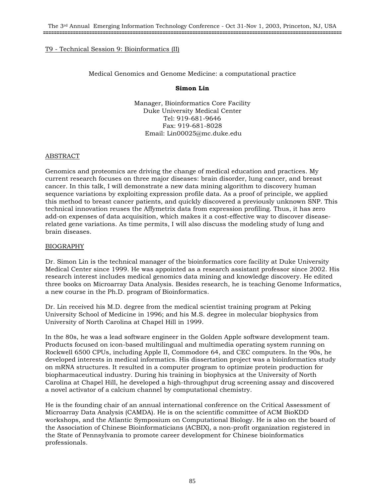# T9 - Technical Session 9: Bioinformatics (II)

## Medical Genomics and Genome Medicine: a computational practice

## **Simon Lin**

Manager, Bioinformatics Core Facility Duke University Medical Center Tel: 919-681-9646 Fax: 919-681-8028 Email: Lin00025@mc.duke.edu

# ABSTRACT

Genomics and proteomics are driving the change of medical education and practices. My current research focuses on three major diseases: brain disorder, lung cancer, and breast cancer. In this talk, I will demonstrate a new data mining algorithm to discovery human sequence variations by exploiting expression profile data. As a proof of principle, we applied this method to breast cancer patients, and quickly discovered a previously unknown SNP. This technical innovation reuses the Affymetrix data from expression profiling. Thus, it has zero add-on expenses of data acquisition, which makes it a cost-effective way to discover diseaserelated gene variations. As time permits, I will also discuss the modeling study of lung and brain diseases.

## BIOGRAPHY

Dr. Simon Lin is the technical manager of the bioinformatics core facility at Duke University Medical Center since 1999. He was appointed as a research assistant professor since 2002. His research interest includes medical genomics data mining and knowledge discovery. He edited three books on Microarray Data Analysis. Besides research, he is teaching Genome Informatics, a new course in the Ph.D. program of Bioinformatics.

Dr. Lin received his M.D. degree from the medical scientist training program at Peking University School of Medicine in 1996; and his M.S. degree in molecular biophysics from University of North Carolina at Chapel Hill in 1999.

In the 80s, he was a lead software engineer in the Golden Apple software development team. Products focused on icon-based multilingual and multimedia operating system running on Rockwell 6500 CPUs, including Apple II, Commodore 64, and CEC computers. In the 90s, he developed interests in medical informatics. His dissertation project was a bioinformatics study on mRNA structures. It resulted in a computer program to optimize protein production for biopharmaceutical industry. During his training in biophysics at the University of North Carolina at Chapel Hill, he developed a high-throughput drug screening assay and discovered a novel activator of a calcium channel by computational chemistry.

He is the founding chair of an annual international conference on the Critical Assessment of Microarray Data Analysis (CAMDA). He is on the scientific committee of ACM BioKDD workshops, and the Atlantic Symposium on Computational Biology. He is also on the board of the Association of Chinese Bioinformaticians (ACBIX), a non-profit organization registered in the State of Pennsylvania to promote career development for Chinese bioinformatics professionals.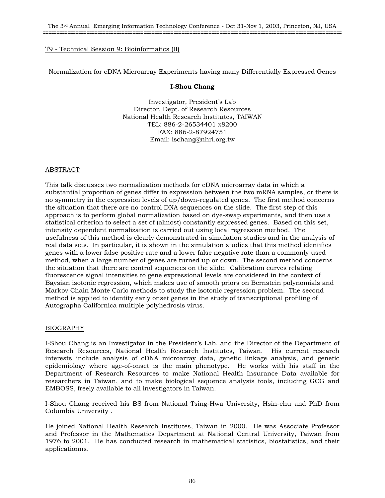# T9 - Technical Session 9: Bioinformatics (II)

Normalization for cDNA Microarray Experiments having many Differentially Expressed Genes

# **I-Shou Chang**

Investigator, President's Lab Director, Dept. of Research Resources National Health Research Institutes, TAIWAN TEL: 886-2-26534401 x8200 FAX: 886-2-87924751 Email: ischang@nhri.org.tw

# ABSTRACT

This talk discusses two normalization methods for cDNA microarray data in which a substantial proportion of genes differ in expression between the two mRNA samples, or there is no symmetry in the expression levels of up/down-regulated genes. The first method concerns the situation that there are no control DNA sequences on the slide. The first step of this approach is to perform global normalization based on dye-swap experiments, and then use a statistical criterion to select a set of (almost) constantly expressed genes. Based on this set, intensity dependent normalization is carried out using local regression method. The usefulness of this method is clearly demonstrated in simulation studies and in the analysis of real data sets. In particular, it is shown in the simulation studies that this method identifies genes with a lower false positive rate and a lower false negative rate than a commonly used method, when a large number of genes are turned up or down. The second method concerns the situation that there are control sequences on the slide. Calibration curves relating fluorescence signal intensities to gene expressional levels are considered in the context of Baysian isotonic regression, which makes use of smooth priors on Bernstein polynomials and Markov Chain Monte Carlo methods to study the isotonic regression problem. The second method is applied to identity early onset genes in the study of transcriptional profiling of Autographa Californica multiple polyhedrosis virus.

## BIOGRAPHY

I-Shou Chang is an Investigator in the President's Lab. and the Director of the Department of Research Resources, National Health Research Institutes, Taiwan. His current research interests include analysis of cDNA microarray data, genetic linkage analysis, and genetic epidemiology where age-of-onset is the main phenotype. He works with his staff in the Department of Research Resources to make National Health Insurance Data available for researchers in Taiwan, and to make biological sequence analysis tools, including GCG and EMBOSS, freely available to all investigators in Taiwan.

I-Shou Chang received his BS from National Tsing-Hwa University, Hsin-chu and PhD from Columbia University .

He joined National Health Research Institutes, Taiwan in 2000. He was Associate Professor and Professor in the Mathematics Department at National Central University, Taiwan from 1976 to 2001. He has conducted research in mathematical statistics, biostatistics, and their applicationns.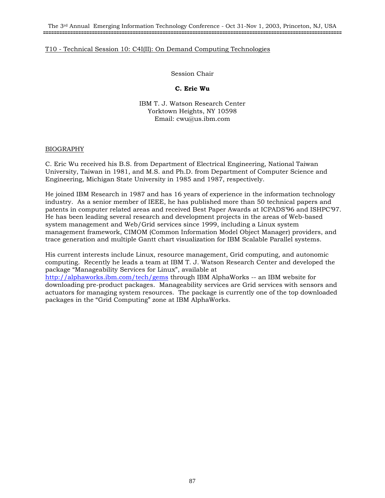The 3rd Annual Emerging Information Technology Conference - Oct 31-Nov 1, 2003, Princeton, NJ, USA **==============================================================================================================**

## T10 - Technical Session 10: C4I(II): On Demand Computing Technologies

Session Chair

#### **C. Eric Wu**

IBM T. J. Watson Research Center Yorktown Heights, NY 10598 Email: cwu@us.ibm.com

#### BIOGRAPHY

C. Eric Wu received his B.S. from Department of Electrical Engineering, National Taiwan University, Taiwan in 1981, and M.S. and Ph.D. from Department of Computer Science and Engineering, Michigan State University in 1985 and 1987, respectively.

He joined IBM Research in 1987 and has 16 years of experience in the information technology industry. As a senior member of IEEE, he has published more than 50 technical papers and patents in computer related areas and received Best Paper Awards at ICPADS'96 and ISHPC'97. He has been leading several research and development projects in the areas of Web-based system management and Web/Grid services since 1999, including a Linux system management framework, CIMOM (Common Information Model Object Manager) providers, and trace generation and multiple Gantt chart visualization for IBM Scalable Parallel systems.

His current interests include Linux, resource management, Grid computing, and autonomic computing. Recently he leads a team at IBM T. J. Watson Research Center and developed the package "Manageability Services for Linux", available at http://alphaworks.ibm.com/tech/gems through IBM AlphaWorks -- an IBM website for downloading pre-product packages. Manageability services are Grid services with sensors and actuators for managing system resources. The package is currently one of the top downloaded packages in the "Grid Computing" zone at IBM AlphaWorks.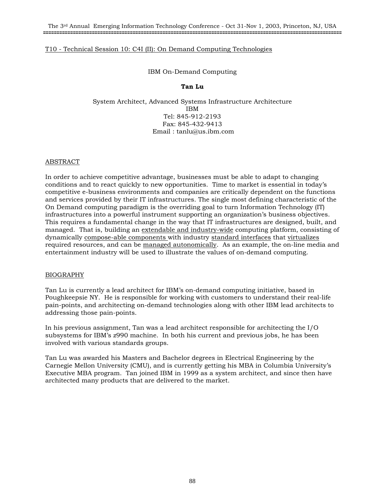# T10 - Technical Session 10: C4I (II): On Demand Computing Technologies

## IBM On-Demand Computing

# **Tan Lu**

System Architect, Advanced Systems Infrastructure Architecture IBM Tel: 845-912-2193 Fax: 845-432-9413 Email : tanlu@us.ibm.com

## ABSTRACT

In order to achieve competitive advantage, businesses must be able to adapt to changing conditions and to react quickly to new opportunities. Time to market is essential in today's competitive e-business environments and companies are critically dependent on the functions and services provided by their IT infrastructures. The single most defining characteristic of the On Demand computing paradigm is the overriding goal to turn Information Technology (IT) infrastructures into a powerful instrument supporting an organization's business objectives. This requires a fundamental change in the way that IT infrastructures are designed, built, and managed. That is, building an extendable and industry-wide computing platform, consisting of dynamically compose-able components with industry standard interfaces that virtualizes required resources, and can be managed autonomically. As an example, the on-line media and entertainment industry will be used to illustrate the values of on-demand computing.

## BIOGRAPHY

Tan Lu is currently a lead architect for IBM's on-demand computing initiative, based in Poughkeepsie NY. He is responsible for working with customers to understand their real-life pain-points, and architecting on-demand technologies along with other IBM lead architects to addressing those pain-points.

In his previous assignment, Tan was a lead architect responsible for architecting the I/O subsystems for IBM's z990 machine. In both his current and previous jobs, he has been involved with various standards groups.

Tan Lu was awarded his Masters and Bachelor degrees in Electrical Engineering by the Carnegie Mellon University (CMU), and is currently getting his MBA in Columbia University's Executive MBA program. Tan joined IBM in 1999 as a system architect, and since then have architected many products that are delivered to the market.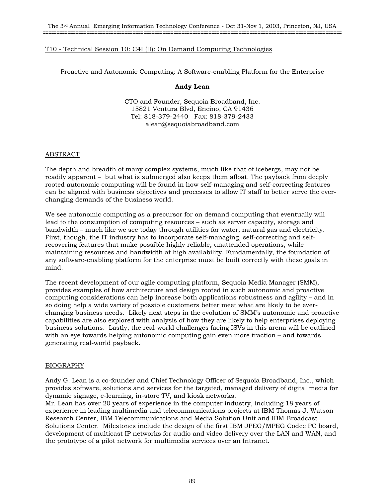# T10 - Technical Session 10: C4I (II): On Demand Computing Technologies

Proactive and Autonomic Computing: A Software-enabling Platform for the Enterprise

## **Andy Lean**

CTO and Founder, Sequoia Broadband, Inc. 15821 Ventura Blvd, Encino, CA 91436 Tel: 818-379-2440 Fax: 818-379-2433 alean@sequoiabroadband.com

## ABSTRACT

The depth and breadth of many complex systems, much like that of icebergs, may not be readily apparent – but what is submerged also keeps them afloat. The payback from deeply rooted autonomic computing will be found in how self-managing and self-correcting features can be aligned with business objectives and processes to allow IT staff to better serve the everchanging demands of the business world.

We see autonomic computing as a precursor for on demand computing that eventually will lead to the consumption of computing resources – such as server capacity, storage and bandwidth – much like we see today through utilities for water, natural gas and electricity. First, though, the IT industry has to incorporate self-managing, self-correcting and selfrecovering features that make possible highly reliable, unattended operations, while maintaining resources and bandwidth at high availability. Fundamentally, the foundation of any software-enabling platform for the enterprise must be built correctly with these goals in mind.

The recent development of our agile computing platform, Sequoia Media Manager (SMM), provides examples of how architecture and design rooted in such autonomic and proactive computing considerations can help increase both applications robustness and agility – and in so doing help a wide variety of possible customers better meet what are likely to be everchanging business needs. Likely next steps in the evolution of SMM's autonomic and proactive capabilities are also explored with analysis of how they are likely to help enterprises deploying business solutions. Lastly, the real-world challenges facing ISVs in this arena will be outlined with an eye towards helping autonomic computing gain even more traction – and towards generating real-world payback.

## BIOGRAPHY

Andy G. Lean is a co-founder and Chief Technology Officer of Sequoia Broadband, Inc., which provides software, solutions and services for the targeted, managed delivery of digital media for dynamic signage, e-learning, in-store TV, and kiosk networks.

Mr. Lean has over 20 years of experience in the computer industry, including 18 years of experience in leading multimedia and telecommunications projects at IBM Thomas J. Watson Research Center, IBM Telecommunications and Media Solution Unit and IBM Broadcast Solutions Center. Milestones include the design of the first IBM JPEG/MPEG Codec PC board, development of multicast IP networks for audio and video delivery over the LAN and WAN, and the prototype of a pilot network for multimedia services over an Intranet.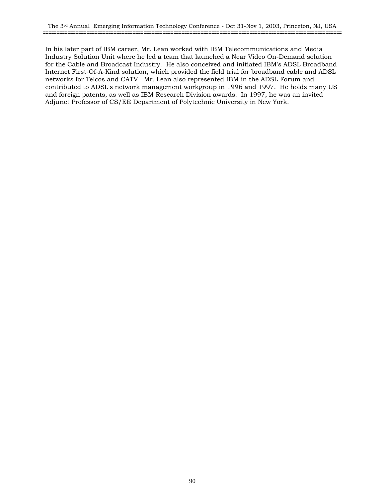In his later part of IBM career, Mr. Lean worked with IBM Telecommunications and Media Industry Solution Unit where he led a team that launched a Near Video On-Demand solution for the Cable and Broadcast Industry. He also conceived and initiated IBM's ADSL Broadband Internet First-Of-A-Kind solution, which provided the field trial for broadband cable and ADSL networks for Telcos and CATV. Mr. Lean also represented IBM in the ADSL Forum and contributed to ADSL's network management workgroup in 1996 and 1997. He holds many US and foreign patents, as well as IBM Research Division awards. In 1997, he was an invited Adjunct Professor of CS/EE Department of Polytechnic University in New York.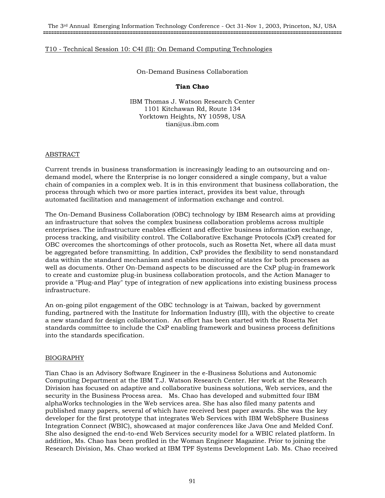## T10 - Technical Session 10: C4I (II): On Demand Computing Technologies

On-Demand Business Collaboration

## **Tian Chao**

IBM Thomas J. Watson Research Center 1101 Kitchawan Rd, Route 134 Yorktown Heights, NY 10598, USA tian@us.ibm.com

#### ABSTRACT

Current trends in business transformation is increasingly leading to an outsourcing and ondemand model, where the Enterprise is no longer considered a single company, but a value chain of companies in a complex web. It is in this environment that business collaboration, the process through which two or more parties interact, provides its best value, through automated facilitation and management of information exchange and control.

The On-Demand Business Collaboration (OBC) technology by IBM Research aims at providing an infrastructure that solves the complex business collaboration problems across multiple enterprises. The infrastructure enables efficient and effective business information exchange, process tracking, and visibility control. The Collaborative Exchange Protocols (CxP) created for OBC overcomes the shortcomings of other protocols, such as Rosetta Net, where all data must be aggregated before transmitting. In addition, CxP provides the flexibility to send nonstandard data within the standard mechanism and enables monitoring of states for both processes as well as documents. Other On-Demand aspects to be discussed are the CxP plug-in framework to create and customize plug-in business collaboration protocols, and the Action Manager to provide a "Plug-and Play" type of integration of new applications into existing business process infrastructure.

An on-going pilot engagement of the OBC technology is at Taiwan, backed by government funding, partnered with the Institute for Information Industry (III), with the objective to create a new standard for design collaboration. An effort has been started with the Rosetta Net standards committee to include the CxP enabling framework and business process definitions into the standards specification.

## BIOGRAPHY

Tian Chao is an Advisory Software Engineer in the e-Business Solutions and Autonomic Computing Department at the IBM T.J. Watson Research Center. Her work at the Research Division has focused on adaptive and collaborative business solutions, Web services, and the security in the Business Process area. Ms. Chao has developed and submitted four IBM alphaWorks technologies in the Web services area. She has also filed many patents and published many papers, several of which have received best paper awards. She was the key developer for the first prototype that integrates Web Services with IBM WebSphere Business Integration Connect (WBIC), showcased at major conferences like Java One and Melded Conf. She also designed the end-to-end Web Services security model for a WBIC related platform. In addition, Ms. Chao has been profiled in the Woman Engineer Magazine. Prior to joining the Research Division, Ms. Chao worked at IBM TPF Systems Development Lab. Ms. Chao received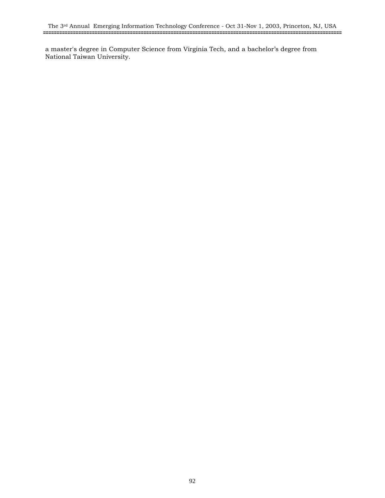a master's degree in Computer Science from Virginia Tech, and a bachelor's degree from National Taiwan University.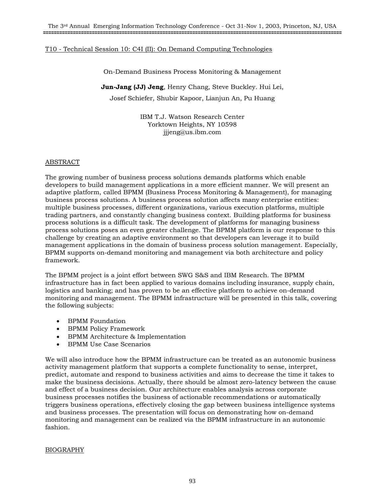# T10 - Technical Session 10: C4I (II): On Demand Computing Technologies

On-Demand Business Process Monitoring & Management

**Jun-Jang (JJ) Jeng**, Henry Chang, Steve Buckley. Hui Lei,

Josef Schiefer, Shubir Kapoor, Lianjun An, Pu Huang

IBM T.J. Watson Research Center Yorktown Heights, NY 10598 jjjeng@us.ibm.com

## ABSTRACT

The growing number of business process solutions demands platforms which enable developers to build management applications in a more efficient manner. We will present an adaptive platform, called BPMM (Business Process Monitoring & Management), for managing business process solutions. A business process solution affects many enterprise entities: multiple business processes, different organizations, various execution platforms, multiple trading partners, and constantly changing business context. Building platforms for business process solutions is a difficult task. The development of platforms for managing business process solutions poses an even greater challenge. The BPMM platform is our response to this challenge by creating an adaptive environment so that developers can leverage it to build management applications in the domain of business process solution management. Especially, BPMM supports on-demand monitoring and management via both architecture and policy framework.

The BPMM project is a joint effort between SWG S&S and IBM Research. The BPMM infrastructure has in fact been applied to various domains including insurance, supply chain, logistics and banking; and has proven to be an effective platform to achieve on-demand monitoring and management. The BPMM infrastructure will be presented in this talk, covering the following subjects:

- BPMM Foundation
- BPMM Policy Framework
- BPMM Architecture & Implementation
- BPMM Use Case Scenarios

We will also introduce how the BPMM infrastructure can be treated as an autonomic business activity management platform that supports a complete functionality to sense, interpret, predict, automate and respond to business activities and aims to decrease the time it takes to make the business decisions. Actually, there should be almost zero-latency between the cause and effect of a business decision. Our architecture enables analysis across corporate business processes notifies the business of actionable recommendations or automatically triggers business operations, effectively closing the gap between business intelligence systems and business processes. The presentation will focus on demonstrating how on-demand monitoring and management can be realized via the BPMM infrastructure in an autonomic fashion.

## BIOGRAPHY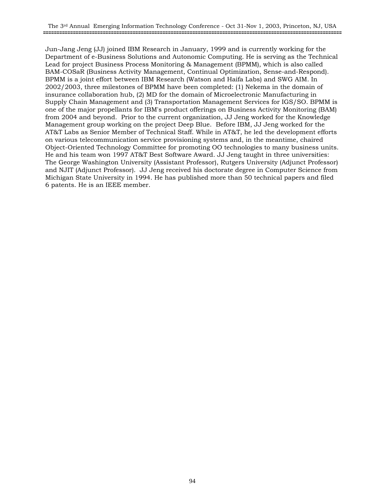Jun-Jang Jeng (JJ) joined IBM Research in January, 1999 and is currently working for the Department of e-Business Solutions and Autonomic Computing. He is serving as the Technical Lead for project Business Process Monitoring & Management (BPMM), which is also called BAM-COSaR (Business Activity Management, Continual Optimization, Sense-and-Respond). BPMM is a joint effort between IBM Research (Watson and Haifa Labs) and SWG AIM. In 2002/2003, three milestones of BPMM have been completed: (1) Nekema in the domain of insurance collaboration hub, (2) MD for the domain of Microelectronic Manufacturing in Supply Chain Management and (3) Transportation Management Services for IGS/SO. BPMM is one of the major propellants for IBM's product offerings on Business Activity Monitoring (BAM) from 2004 and beyond. Prior to the current organization, JJ Jeng worked for the Knowledge Management group working on the project Deep Blue. Before IBM, JJ Jeng worked for the AT&T Labs as Senior Member of Technical Staff. While in AT&T, he led the development efforts on various telecommunication service provisioning systems and, in the meantime, chaired Object-Oriented Technology Committee for promoting OO technologies to many business units. He and his team won 1997 AT&T Best Software Award. JJ Jeng taught in three universities: The George Washington University (Assistant Professor), Rutgers University (Adjunct Professor) and NJIT (Adjunct Professor). JJ Jeng received his doctorate degree in Computer Science from Michigan State University in 1994. He has published more than 50 technical papers and filed 6 patents. He is an IEEE member.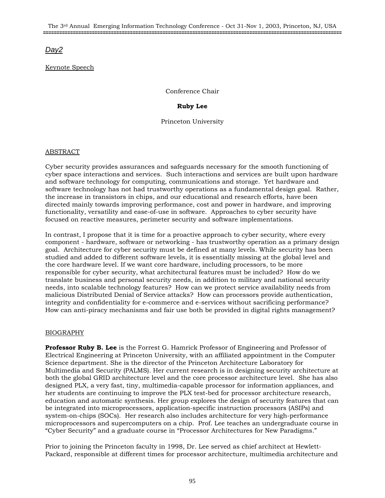# *Day2*

# Keynote Speech

Conference Chair

# **Ruby Lee**

Princeton University

# ABSTRACT

Cyber security provides assurances and safeguards necessary for the smooth functioning of cyber space interactions and services. Such interactions and services are built upon hardware and software technology for computing, communications and storage. Yet hardware and software technology has not had trustworthy operations as a fundamental design goal. Rather, the increase in transistors in chips, and our educational and research efforts, have been directed mainly towards improving performance, cost and power in hardware, and improving functionality, versatility and ease-of-use in software. Approaches to cyber security have focused on reactive measures, perimeter security and software implementations.

In contrast, I propose that it is time for a proactive approach to cyber security, where every component - hardware, software or networking - has trustworthy operation as a primary design goal. Architecture for cyber security must be defined at many levels. While security has been studied and added to different software levels, it is essentially missing at the global level and the core hardware level. If we want core hardware, including processors, to be more responsible for cyber security, what architectural features must be included? How do we translate business and personal security needs, in addition to military and national security needs, into scalable technology features? How can we protect service availability needs from malicious Distributed Denial of Service attacks? How can processors provide authentication, integrity and confidentiality for e-commerce and e-services without sacrificing performance? How can anti-piracy mechanisms and fair use both be provided in digital rights management?

# BIOGRAPHY

**Professor Ruby B. Lee** is the Forrest G. Hamrick Professor of Engineering and Professor of Electrical Engineering at Princeton University, with an affiliated appointment in the Computer Science department. She is the director of the Princeton Architecture Laboratory for Multimedia and Security (PALMS). Her current research is in designing security architecture at both the global GRID architecture level and the core processor architecture level. She has also designed PLX, a very fast, tiny, multimedia-capable processor for information appliances, and her students are continuing to improve the PLX test-bed for processor architecture research, education and automatic synthesis. Her group explores the design of security features that can be integrated into microprocessors, application-specific instruction processors (ASIPs) and system-on-chips (SOCs). Her research also includes architecture for very high-performance microprocessors and supercomputers on a chip. Prof. Lee teaches an undergraduate course in "Cyber Security" and a graduate course in "Processor Architectures for New Paradigms."

Prior to joining the Princeton faculty in 1998, Dr. Lee served as chief architect at Hewlett-Packard, responsible at different times for processor architecture, multimedia architecture and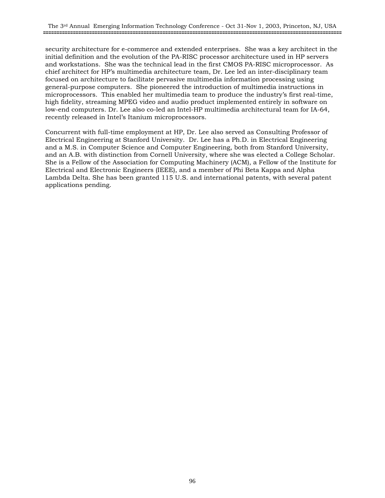security architecture for e-commerce and extended enterprises. She was a key architect in the initial definition and the evolution of the PA-RISC processor architecture used in HP servers and workstations. She was the technical lead in the first CMOS PA-RISC microprocessor. As chief architect for HP's multimedia architecture team, Dr. Lee led an inter-disciplinary team focused on architecture to facilitate pervasive multimedia information processing using general-purpose computers. She pioneered the introduction of multimedia instructions in microprocessors. This enabled her multimedia team to produce the industry's first real-time, high fidelity, streaming MPEG video and audio product implemented entirely in software on low-end computers. Dr. Lee also co-led an Intel-HP multimedia architectural team for IA-64, recently released in Intel's Itanium microprocessors.

Concurrent with full-time employment at HP, Dr. Lee also served as Consulting Professor of Electrical Engineering at Stanford University. Dr. Lee has a Ph.D. in Electrical Engineering and a M.S. in Computer Science and Computer Engineering, both from Stanford University, and an A.B. with distinction from Cornell University, where she was elected a College Scholar. She is a Fellow of the Association for Computing Machinery (ACM), a Fellow of the Institute for Electrical and Electronic Engineers (IEEE), and a member of Phi Beta Kappa and Alpha Lambda Delta. She has been granted 115 U.S. and international patents, with several patent applications pending.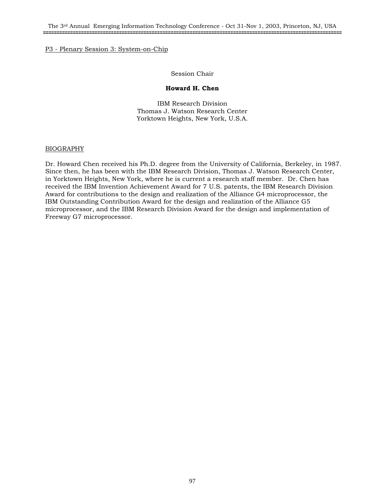#### P3 - Plenary Session 3: System-on-Chip

#### Session Chair

#### **Howard H. Chen**

IBM Research Division Thomas J. Watson Research Center Yorktown Heights, New York, U.S.A.

## BIOGRAPHY

Dr. Howard Chen received his Ph.D. degree from the University of California, Berkeley, in 1987. Since then, he has been with the IBM Research Division, Thomas J. Watson Research Center, in Yorktown Heights, New York, where he is current a research staff member. Dr. Chen has received the IBM Invention Achievement Award for 7 U.S. patents, the IBM Research Division Award for contributions to the design and realization of the Alliance G4 microprocessor, the IBM Outstanding Contribution Award for the design and realization of the Alliance G5 microprocessor, and the IBM Research Division Award for the design and implementation of Freeway G7 microprocessor.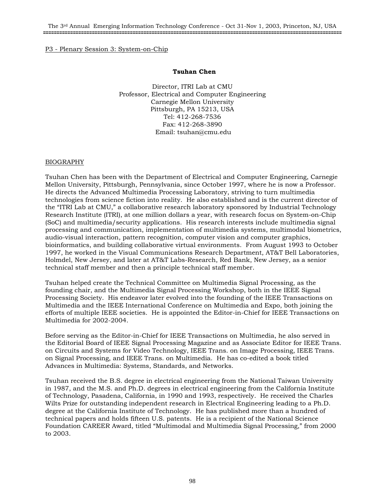## P3 - Plenary Session 3: System-on-Chip

## **Tsuhan Chen**

Director, ITRI Lab at CMU Professor, Electrical and Computer Engineering Carnegie Mellon University Pittsburgh, PA 15213, USA Tel: 412-268-7536 Fax: 412-268-3890 Email: tsuhan@cmu.edu

## BIOGRAPHY

Tsuhan Chen has been with the Department of Electrical and Computer Engineering, Carnegie Mellon University, Pittsburgh, Pennsylvania, since October 1997, where he is now a Professor. He directs the Advanced Multimedia Processing Laboratory, striving to turn multimedia technologies from science fiction into reality. He also established and is the current director of the "ITRI Lab at CMU," a collaborative research laboratory sponsored by Industrial Technology Research Institute (ITRI), at one million dollars a year, with research focus on System-on-Chip (SoC) and multimedia/security applications. His research interests include multimedia signal processing and communication, implementation of multimedia systems, multimodal biometrics, audio-visual interaction, pattern recognition, computer vision and computer graphics, bioinformatics, and building collaborative virtual environments. From August 1993 to October 1997, he worked in the Visual Communications Research Department, AT&T Bell Laboratories, Holmdel, New Jersey, and later at AT&T Labs-Research, Red Bank, New Jersey, as a senior technical staff member and then a principle technical staff member.

Tsuhan helped create the Technical Committee on Multimedia Signal Processing, as the founding chair, and the Multimedia Signal Processing Workshop, both in the IEEE Signal Processing Society. His endeavor later evolved into the founding of the IEEE Transactions on Multimedia and the IEEE International Conference on Multimedia and Expo, both joining the efforts of multiple IEEE societies. He is appointed the Editor-in-Chief for IEEE Transactions on Multimedia for 2002-2004.

Before serving as the Editor-in-Chief for IEEE Transactions on Multimedia, he also served in the Editorial Board of IEEE Signal Processing Magazine and as Associate Editor for IEEE Trans. on Circuits and Systems for Video Technology, IEEE Trans. on Image Processing, IEEE Trans. on Signal Processing, and IEEE Trans. on Multimedia. He has co-edited a book titled Advances in Multimedia: Systems, Standards, and Networks.

Tsuhan received the B.S. degree in electrical engineering from the National Taiwan University in 1987, and the M.S. and Ph.D. degrees in electrical engineering from the California Institute of Technology, Pasadena, California, in 1990 and 1993, respectively. He received the Charles Wilts Prize for outstanding independent research in Electrical Engineering leading to a Ph.D. degree at the California Institute of Technology. He has published more than a hundred of technical papers and holds fifteen U.S. patents. He is a recipient of the National Science Foundation CAREER Award, titled "Multimodal and Multimedia Signal Processing," from 2000 to 2003.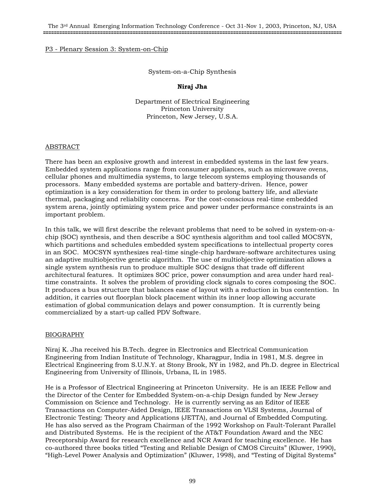## P3 - Plenary Session 3: System-on-Chip

#### System-on-a-Chip Synthesis

## **Niraj Jha**

Department of Electrical Engineering Princeton University Princeton, New Jersey, U.S.A.

#### ABSTRACT

There has been an explosive growth and interest in embedded systems in the last few years. Embedded system applications range from consumer appliances, such as microwave ovens, cellular phones and multimedia systems, to large telecom systems employing thousands of processors. Many embedded systems are portable and battery-driven. Hence, power optimization is a key consideration for them in order to prolong battery life, and alleviate thermal, packaging and reliability concerns. For the cost-conscious real-time embedded system arena, jointly optimizing system price and power under performance constraints is an important problem.

In this talk, we will first describe the relevant problems that need to be solved in system-on-achip (SOC) synthesis, and then describe a SOC synthesis algorithm and tool called MOCSYN, which partitions and schedules embedded system specifications to intellectual property cores in an SOC. MOCSYN synthesizes real-time single-chip hardware-software architectures using an adaptive multiobjective genetic algorithm. The use of multiobjective optimization allows a single system synthesis run to produce multiple SOC designs that trade off different architectural features. It optimizes SOC price, power consumption and area under hard realtime constraints. It solves the problem of providing clock signals to cores composing the SOC. It produces a bus structure that balances ease of layout with a reduction in bus contention. In addition, it carries out floorplan block placement within its inner loop allowing accurate estimation of global communication delays and power consumption. It is currently being commercialized by a start-up called PDV Software.

## BIOGRAPHY

Niraj K. Jha received his B.Tech. degree in Electronics and Electrical Communication Engineering from Indian Institute of Technology, Kharagpur, India in 1981, M.S. degree in Electrical Engineering from S.U.N.Y. at Stony Brook, NY in 1982, and Ph.D. degree in Electrical Engineering from University of Illinois, Urbana, IL in 1985.

He is a Professor of Electrical Engineering at Princeton University. He is an IEEE Fellow and the Director of the Center for Embedded System-on-a-chip Design funded by New Jersey Commission on Science and Technology. He is currently serving as an Editor of IEEE Transactions on Computer-Aided Design, IEEE Transactions on VLSI Systems, Journal of Electronic Testing: Theory and Applications (JETTA), and Journal of Embedded Computing. He has also served as the Program Chairman of the 1992 Workshop on Fault-Tolerant Parallel and Distributed Systems. He is the recipient of the AT&T Foundation Award and the NEC Preceptorship Award for research excellence and NCR Award for teaching excellence. He has co-authored three books titled "Testing and Reliable Design of CMOS Circuits" (Kluwer, 1990), "High-Level Power Analysis and Optimization" (Kluwer, 1998), and "Testing of Digital Systems"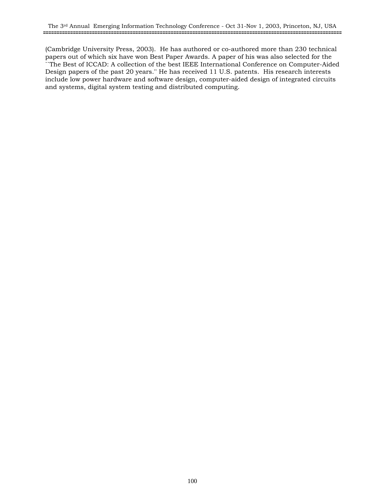(Cambridge University Press, 2003). He has authored or co-authored more than 230 technical papers out of which six have won Best Paper Awards. A paper of his was also selected for the ``The Best of ICCAD: A collection of the best IEEE International Conference on Computer-Aided Design papers of the past 20 years.'' He has received 11 U.S. patents. His research interests include low power hardware and software design, computer-aided design of integrated circuits and systems, digital system testing and distributed computing.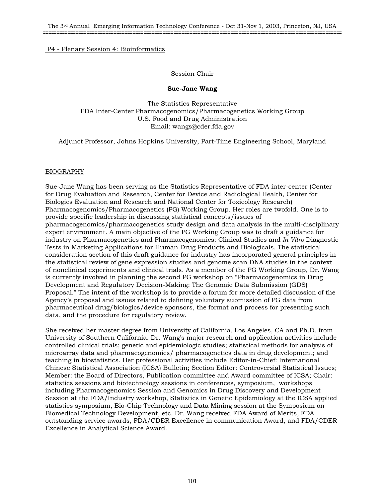# Session Chair

## **Sue-Jane Wang**

The Statistics Representative FDA Inter-Center Pharmacogenomics/Pharmacogenetics Working Group U.S. Food and Drug Administration Email: wangs@cder.fda.gov

Adjunct Professor, Johns Hopkins University, Part-Time Engineering School, Maryland

# BIOGRAPHY

Sue-Jane Wang has been serving as the Statistics Representative of FDA inter-center (Center for Drug Evaluation and Research, Center for Device and Radiological Health, Center for Biologics Evaluation and Research and National Center for Toxicology Research) Pharmacogenomics/Pharmacogenetics (PG) Working Group. Her roles are twofold. One is to provide specific leadership in discussing statistical concepts/issues of pharmacogenomics/pharmacogenetics study design and data analysis in the multi-disciplinary expert environment. A main objective of the PG Working Group was to draft a guidance for industry on Pharmacogenetics and Pharmacogenomics: Clinical Studies and *In Vitro* Diagnostic Tests in Marketing Applications for Human Drug Products and Biologicals. The statistical consideration section of this draft guidance for industry has incorporated general principles in the statistical review of gene expression studies and genome scan DNA studies in the context of nonclinical experiments and clinical trials. As a member of the PG Working Group, Dr. Wang is currently involved in planning the second PG workshop on "Pharmacogenomics in Drug Development and Regulatory Decision-Making: The Genomic Data Submission (GDS) Proposal." The intent of the workshop is to provide a forum for more detailed discussion of the Agency's proposal and issues related to defining voluntary submission of PG data from pharmaceutical drug/biologics/device sponsors, the format and process for presenting such data, and the procedure for regulatory review.

She received her master degree from University of California, Los Angeles, CA and Ph.D. from University of Southern California. Dr. Wang's major research and application activities include controlled clinical trials; genetic and epidemiologic studies; statistical methods for analysis of microarray data and pharmacogenomics/ pharmacogenetics data in drug development; and teaching in biostatistics. Her professional activities include Editor-in-Chief: International Chinese Statistical Association (ICSA) Bulletin; Section Editor: Controversial Statistical Issues; Member: the Board of Directors, Publication committee and Award committee of ICSA; Chair: statistics sessions and biotechnology sessions in conferences, symposium, workshops including Pharmacogenomics Session and Genomics in Drug Discovery and Development Session at the FDA/Industry workshop, Statistics in Genetic Epidemiology at the ICSA applied statistics symposium, Bio-Chip Technology and Data Mining session at the Symposium on Biomedical Technology Development, etc. Dr. Wang received FDA Award of Merits, FDA outstanding service awards, FDA/CDER Excellence in communication Award, and FDA/CDER Excellence in Analytical Science Award.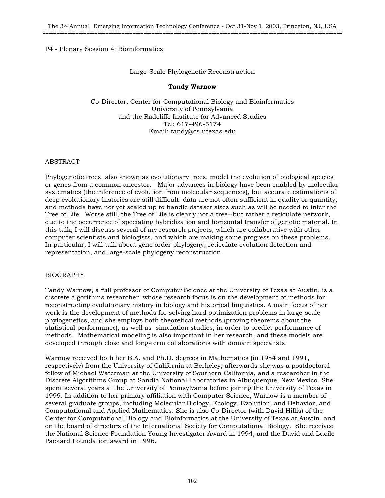## Large-Scale Phylogenetic Reconstruction

## **Tandy Warnow**

Co-Director, Center for Computational Biology and Bioinformatics University of Pennsylvania and the Radcliffe Institute for Advanced Studies Tel: 617-496-5174 Email: tandy@cs.utexas.edu

## ABSTRACT

Phylogenetic trees, also known as evolutionary trees, model the evolution of biological species or genes from a common ancestor. Major advances in biology have been enabled by molecular systematics (the inference of evolution from molecular sequences), but accurate estimations of deep evolutionary histories are still difficult: data are not often sufficient in quality or quantity, and methods have not yet scaled up to handle dataset sizes such as will be needed to infer the Tree of Life. Worse still, the Tree of Life is clearly not a tree--but rather a reticulate network, due to the occurrence of speciating hybridization and horizontal transfer of genetic material. In this talk, I will discuss several of my research projects, which are collaborative with other computer scientists and biologists, and which are making some progress on these problems. In particular, I will talk about gene order phylogeny, reticulate evolution detection and representation, and large-scale phylogeny reconstruction.

## BIOGRAPHY

Tandy Warnow, a full professor of Computer Science at the University of Texas at Austin, is a discrete algorithms researcher whose research focus is on the development of methods for reconstructing evolutionary history in biology and historical linguistics. A main focus of her work is the development of methods for solving hard optimization problems in large-scale phylogenetics, and she employs both theoretical methods (proving theorems about the statistical performance), as well as simulation studies, in order to predict performance of methods. Mathematical modeling is also important in her research, and these models are developed through close and long-term collaborations with domain specialists.

Warnow received both her B.A. and Ph.D. degrees in Mathematics (in 1984 and 1991, respectively) from the University of California at Berkeley; afterwards she was a postdoctoral fellow of Michael Waterman at the University of Southern California, and a researcher in the Discrete Algorithms Group at Sandia National Laboratories in Albuquerque, New Mexico. She spent several years at the University of Pennsylvania before joining the University of Texas in 1999. In addition to her primary affiliation with Computer Science, Warnow is a member of several graduate groups, including Molecular Biology, Ecology, Evolution, and Behavior, and Computational and Applied Mathematics. She is also Co-Director (with David Hillis) of the Center for Computational Biology and Bioinformatics at the University of Texas at Austin, and on the board of directors of the International Society for Computational Biology. She received the National Science Foundation Young Investigator Award in 1994, and the David and Lucile Packard Foundation award in 1996.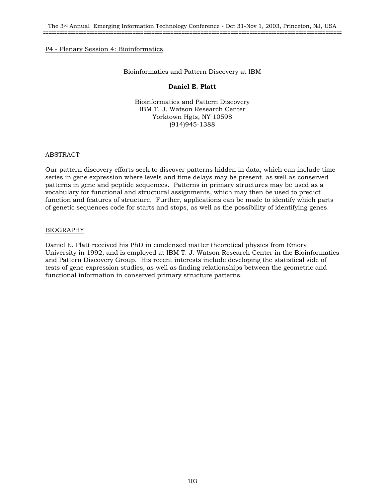#### Bioinformatics and Pattern Discovery at IBM

#### **Daniel E. Platt**

Bioinformatics and Pattern Discovery IBM T. J. Watson Research Center Yorktown Hgts, NY 10598 (914)945-1388

#### ABSTRACT

Our pattern discovery efforts seek to discover patterns hidden in data, which can include time series in gene expression where levels and time delays may be present, as well as conserved patterns in gene and peptide sequences. Patterns in primary structures may be used as a vocabulary for functional and structural assignments, which may then be used to predict function and features of structure. Further, applications can be made to identify which parts of genetic sequences code for starts and stops, as well as the possibility of identifying genes.

#### BIOGRAPHY

Daniel E. Platt received his PhD in condensed matter theoretical physics from Emory University in 1992, and is employed at IBM T. J. Watson Research Center in the Bioinformatics and Pattern Discovery Group. His recent interests include developing the statistical side of tests of gene expression studies, as well as finding relationships between the geometric and functional information in conserved primary structure patterns.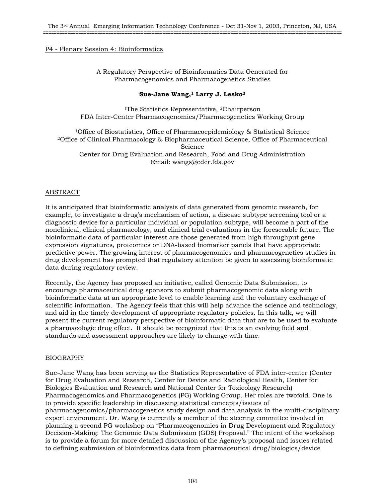A Regulatory Perspective of Bioinformatics Data Generated for Pharmacogenomics and Pharmacogenetics Studies

## **Sue-Jane Wang,1 Larry J. Lesko2**

<sup>1</sup>The Statistics Representative, <sup>2</sup>Chairperson FDA Inter-Center Pharmacogenomics/Pharmacogenetics Working Group

<sup>1</sup>Office of Biostatistics, Office of Pharmacoepidemiology & Statistical Science 2Office of Clinical Pharmacology & Biopharmaceutical Science, Office of Pharmaceutical Science Center for Drug Evaluation and Research, Food and Drug Administration Email: wangs@cder.fda.gov

# ABSTRACT

It is anticipated that bioinformatic analysis of data generated from genomic research, for example, to investigate a drug's mechanism of action, a disease subtype screening tool or a diagnostic device for a particular individual or population subtype, will become a part of the nonclinical, clinical pharmacology, and clinical trial evaluations in the foreseeable future. The bioinformatic data of particular interest are those generated from high throughput gene expression signatures, proteomics or DNA-based biomarker panels that have appropriate predictive power. The growing interest of pharmacogenomics and pharmacogenetics studies in drug development has prompted that regulatory attention be given to assessing bioinformatic data during regulatory review.

Recently, the Agency has proposed an initiative, called Genomic Data Submission, to encourage pharmaceutical drug sponsors to submit pharmacogenomic data along with bioinformatic data at an appropriate level to enable learning and the voluntary exchange of scientific information. The Agency feels that this will help advance the science and technology, and aid in the timely development of appropriate regulatory policies. In this talk, we will present the current regulatory perspective of bioinformatic data that are to be used to evaluate a pharmacologic drug effect. It should be recognized that this is an evolving field and standards and assessment approaches are likely to change with time.

## BIOGRAPHY

Sue-Jane Wang has been serving as the Statistics Representative of FDA inter-center (Center for Drug Evaluation and Research, Center for Device and Radiological Health, Center for Biologics Evaluation and Research and National Center for Toxicology Research) Pharmacogenomics and Pharmacogenetics (PG) Working Group. Her roles are twofold. One is to provide specific leadership in discussing statistical concepts/issues of pharmacogenomics/pharmacogenetics study design and data analysis in the multi-disciplinary expert environment. Dr. Wang is currently a member of the steering committee involved in planning a second PG workshop on "Pharmacogenomics in Drug Development and Regulatory Decision-Making: The Genomic Data Submission (GDS) Proposal." The intent of the workshop is to provide a forum for more detailed discussion of the Agency's proposal and issues related to defining submission of bioinformatics data from pharmaceutical drug/biologics/device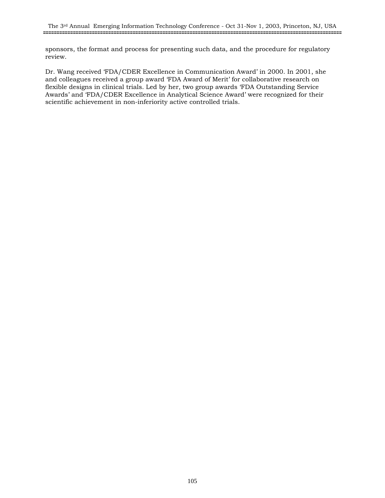sponsors, the format and process for presenting such data, and the procedure for regulatory review.

Dr. Wang received 'FDA/CDER Excellence in Communication Award' in 2000. In 2001, she and colleagues received a group award 'FDA Award of Merit' for collaborative research on flexible designs in clinical trials. Led by her, two group awards 'FDA Outstanding Service Awards' and 'FDA/CDER Excellence in Analytical Science Award' were recognized for their scientific achievement in non-inferiority active controlled trials.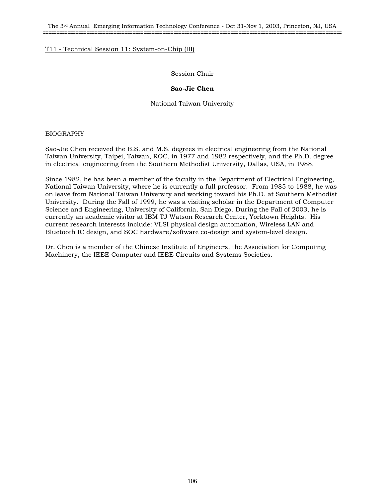The 3rd Annual Emerging Information Technology Conference - Oct 31-Nov 1, 2003, Princeton, NJ, USA **==============================================================================================================**

# T11 - Technical Session 11: System-on-Chip (III)

Session Chair

## **Sao-Jie Chen**

National Taiwan University

#### BIOGRAPHY

Sao-Jie Chen received the B.S. and M.S. degrees in electrical engineering from the National Taiwan University, Taipei, Taiwan, ROC, in 1977 and 1982 respectively, and the Ph.D. degree in electrical engineering from the Southern Methodist University, Dallas, USA, in 1988.

Since 1982, he has been a member of the faculty in the Department of Electrical Engineering, National Taiwan University, where he is currently a full professor. From 1985 to 1988, he was on leave from National Taiwan University and working toward his Ph.D. at Southern Methodist University. During the Fall of 1999, he was a visiting scholar in the Department of Computer Science and Engineering, University of California, San Diego. During the Fall of 2003, he is currently an academic visitor at IBM TJ Watson Research Center, Yorktown Heights. His current research interests include: VLSI physical design automation, Wireless LAN and Bluetooth IC design, and SOC hardware/software co-design and system-level design.

Dr. Chen is a member of the Chinese Institute of Engineers, the Association for Computing Machinery, the IEEE Computer and IEEE Circuits and Systems Societies.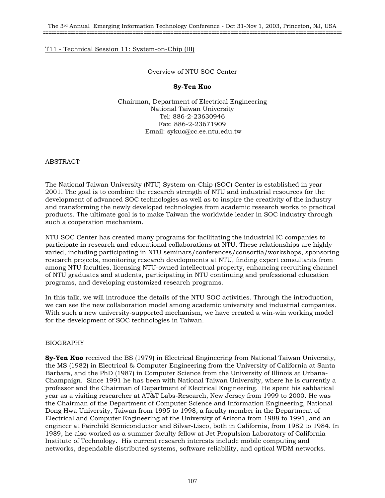## Overview of NTU SOC Center

## **Sy-Yen Kuo**

Chairman, Department of Electrical Engineering National Taiwan University Tel: 886-2-23630946 Fax: 886-2-23671909 Email: sykuo@cc.ee.ntu.edu.tw

#### ABSTRACT

The National Taiwan University (NTU) System-on-Chip (SOC) Center is established in year 2001. The goal is to combine the research strength of NTU and industrial resources for the development of advanced SOC technologies as well as to inspire the creativity of the industry and transforming the newly developed technologies from academic research works to practical products. The ultimate goal is to make Taiwan the worldwide leader in SOC industry through such a cooperation mechanism.

NTU SOC Center has created many programs for facilitating the industrial IC companies to participate in research and educational collaborations at NTU. These relationships are highly varied, including participating in NTU seminars/conferences/consortia/workshops, sponsoring research projects, monitoring research developments at NTU, finding expert consultants from among NTU faculties, licensing NTU-owned intellectual property, enhancing recruiting channel of NTU graduates and students, participating in NTU continuing and professional education programs, and developing customized research programs.

In this talk, we will introduce the details of the NTU SOC activities. Through the introduction, we can see the new collaboration model among academic university and industrial companies. With such a new university-supported mechanism, we have created a win-win working model for the development of SOC technologies in Taiwan.

## BIOGRAPHY

**Sy-Yen Kuo** received the BS (1979) in Electrical Engineering from National Taiwan University, the MS (1982) in Electrical & Computer Engineering from the University of California at Santa Barbara, and the PhD (1987) in Computer Science from the University of Illinois at Urbana-Champaign. Since 1991 he has been with National Taiwan University, where he is currently a professor and the Chairman of Department of Electrical Engineering. He spent his sabbatical year as a visiting researcher at AT&T Labs-Research, New Jersey from 1999 to 2000. He was the Chairman of the Department of Computer Science and Information Engineering, National Dong Hwa University, Taiwan from 1995 to 1998, a faculty member in the Department of Electrical and Computer Engineering at the University of Arizona from 1988 to 1991, and an engineer at Fairchild Semiconductor and Silvar-Lisco, both in California, from 1982 to 1984. In 1989, he also worked as a summer faculty fellow at Jet Propulsion Laboratory of California Institute of Technology. His current research interests include mobile computing and networks, dependable distributed systems, software reliability, and optical WDM networks.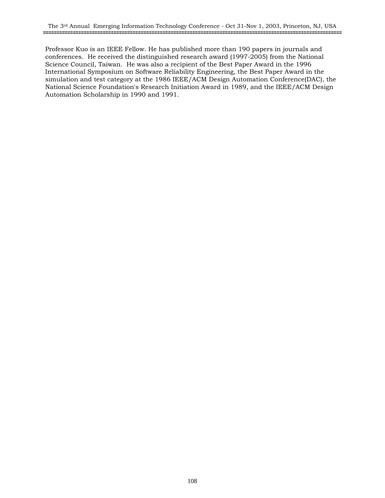Professor Kuo is an IEEE Fellow. He has published more than 190 papers in journals and conferences. He received the distinguished research award (1997-2005) from the National Science Council, Taiwan. He was also a recipient of the Best Paper Award in the 1996 International Symposium on Software Reliability Engineering, the Best Paper Award in the simulation and test category at the 1986 IEEE/ACM Design Automation Conference(DAC), the National Science Foundation's Research Initiation Award in 1989, and the IEEE/ACM Design Automation Scholarship in 1990 and 1991.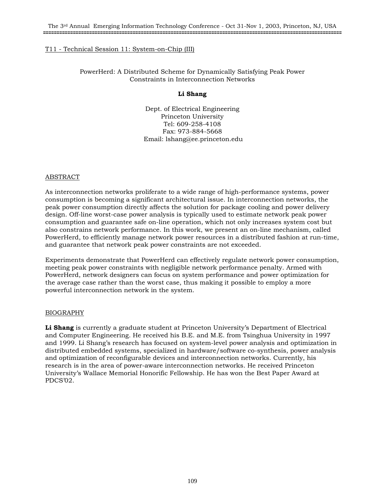# T11 - Technical Session 11: System-on-Chip (III)

PowerHerd: A Distributed Scheme for Dynamically Satisfying Peak Power Constraints in Interconnection Networks

### **Li Shang**

Dept. of Electrical Engineering Princeton University Tel: 609-258-4108 Fax: 973-884-5668 Email: lshang@ee.princeton.edu

#### ABSTRACT

As interconnection networks proliferate to a wide range of high-performance systems, power consumption is becoming a significant architectural issue. In interconnection networks, the peak power consumption directly affects the solution for package cooling and power delivery design. Off-line worst-case power analysis is typically used to estimate network peak power consumption and guarantee safe on-line operation, which not only increases system cost but also constrains network performance. In this work, we present an on-line mechanism, called PowerHerd, to efficiently manage network power resources in a distributed fashion at run-time, and guarantee that network peak power constraints are not exceeded.

Experiments demonstrate that PowerHerd can effectively regulate network power consumption, meeting peak power constraints with negligible network performance penalty. Armed with PowerHerd, network designers can focus on system performance and power optimization for the average case rather than the worst case, thus making it possible to employ a more powerful interconnection network in the system.

# BIOGRAPHY

**Li Shang** is currently a graduate student at Princeton University's Department of Electrical and Computer Engineering. He received his B.E. and M.E. from Tsinghua University in 1997 and 1999. Li Shang's research has focused on system-level power analysis and optimization in distributed embedded systems, specialized in hardware/software co-synthesis, power analysis and optimization of reconfigurable devices and interconnection networks. Currently, his research is in the area of power-aware interconnection networks. He received Princeton University's Wallace Memorial Honorific Fellowship. He has won the Best Paper Award at PDCS'02.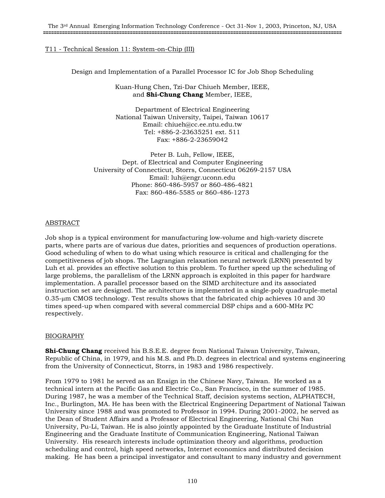# T11 - Technical Session 11: System-on-Chip (III)

Design and Implementation of a Parallel Processor IC for Job Shop Scheduling

Kuan-Hung Chen, Tzi-Dar Chiueh Member, IEEE, and **Shi-Chung Chang** Member, IEEE,

Department of Electrical Engineering National Taiwan University, Taipei, Taiwan 10617 Email: chiueh@cc.ee.ntu.edu.tw Tel: +886-2-23635251 ext. 511 Fax: +886-2-23659042

Peter B. Luh, Fellow, IEEE, Dept. of Electrical and Computer Engineering University of Connecticut, Storrs, Connecticut 06269-2157 USA Email: luh@engr.uconn.edu Phone: 860-486-5957 or 860-486-4821 Fax: 860-486-5585 or 860-486-1273

# ABSTRACT

Job shop is a typical environment for manufacturing low-volume and high-variety discrete parts, where parts are of various due dates, priorities and sequences of production operations. Good scheduling of when to do what using which resource is critical and challenging for the competitiveness of job shops. The Lagrangian relaxation neural network (LRNN) presented by Luh et al. provides an effective solution to this problem. To further speed up the scheduling of large problems, the parallelism of the LRNN approach is exploited in this paper for hardware implementation. A parallel processor based on the SIMD architecture and its associated instruction set are designed. The architecture is implemented in a single-poly quadruple-metal 0.35-µm CMOS technology. Test results shows that the fabricated chip achieves 10 and 30 times speed-up when compared with several commercial DSP chips and a 600-MHz PC respectively.

# BIOGRAPHY

**Shi-Chung Chang** received his B.S.E.E. degree from National Taiwan University, Taiwan, Republic of China, in 1979, and his M.S. and Ph.D. degrees in electrical and systems engineering from the University of Connecticut, Storrs, in 1983 and 1986 respectively.

From 1979 to 1981 he served as an Ensign in the Chinese Navy, Taiwan. He worked as a technical intern at the Pacific Gas and Electric Co., San Francisco, in the summer of 1985. During 1987, he was a member of the Technical Staff, decision systems section, ALPHATECH, Inc., Burlington, MA. He has been with the Electrical Engineering Department of National Taiwan University since 1988 and was promoted to Professor in 1994. During 2001-2002, he served as the Dean of Student Affairs and a Professor of Electrical Engineering, National Chi Nan University, Pu-Li, Taiwan. He is also jointly appointed by the Graduate Institute of Industrial Engineering and the Graduate Institute of Communication Engineering, National Taiwan University. His research interests include optimization theory and algorithms, production scheduling and control, high speed networks, Internet economics and distributed decision making. He has been a principal investigator and consultant to many industry and government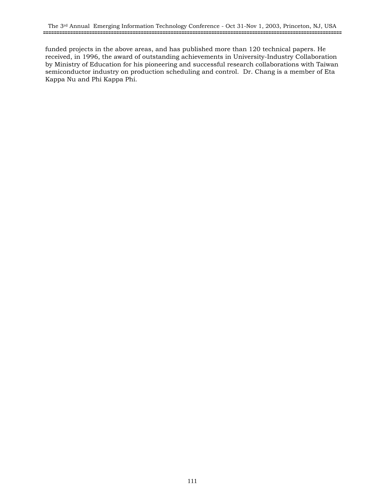funded projects in the above areas, and has published more than 120 technical papers. He received, in 1996, the award of outstanding achievements in University-Industry Collaboration by Ministry of Education for his pioneering and successful research collaborations with Taiwan semiconductor industry on production scheduling and control. Dr. Chang is a member of Eta Kappa Nu and Phi Kappa Phi.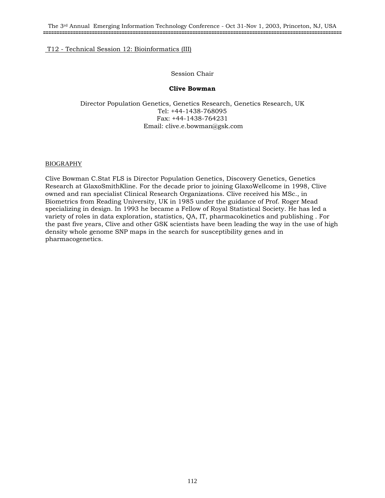# Session Chair

# **Clive Bowman**

Director Population Genetics, Genetics Research, Genetics Research, UK Tel: +44-1438-768095 Fax: +44-1438-764231 Email: clive.e.bowman@gsk.com

# BIOGRAPHY

Clive Bowman C.Stat FLS is Director Population Genetics, Discovery Genetics, Genetics Research at GlaxoSmithKline. For the decade prior to joining GlaxoWellcome in 1998, Clive owned and ran specialist Clinical Research Organizations. Clive received his MSc., in Biometrics from Reading University, UK in 1985 under the guidance of Prof. Roger Mead specializing in design. In 1993 he became a Fellow of Royal Statistical Society. He has led a variety of roles in data exploration, statistics, QA, IT, pharmacokinetics and publishing . For the past five years, Clive and other GSK scientists have been leading the way in the use of high density whole genome SNP maps in the search for susceptibility genes and in pharmacogenetics.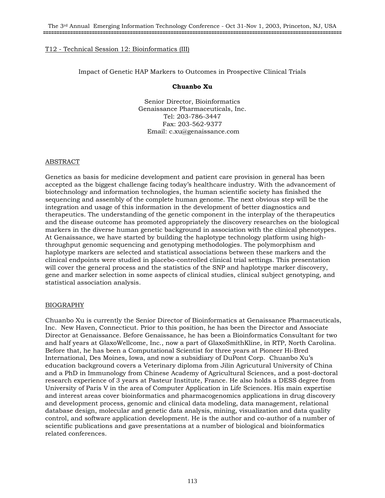# Impact of Genetic HAP Markers to Outcomes in Prospective Clinical Trials

# **Chuanbo Xu**

Senior Director, Bioinformatics Genaissance Pharmaceuticals, Inc. Tel: 203-786-3447 Fax: 203-562-9377 Email: c.xu@genaissance.com

# ABSTRACT

Genetics as basis for medicine development and patient care provision in general has been accepted as the biggest challenge facing today's healthcare industry. With the advancement of biotechnology and information technologies, the human scientific society has finished the sequencing and assembly of the complete human genome. The next obvious step will be the integration and usage of this information in the development of better diagnostics and therapeutics. The understanding of the genetic component in the interplay of the therapeutics and the disease outcome has promoted appropriately the discovery researches on the biological markers in the diverse human genetic background in association with the clinical phenotypes. At Genaissance, we have started by building the haplotype technology platform using highthroughput genomic sequencing and genotyping methodologies. The polymorphism and haplotype markers are selected and statistical associations between these markers and the clinical endpoints were studied in placebo-controlled clinical trial settings. This presentation will cover the general process and the statistics of the SNP and haplotype marker discovery, gene and marker selection in some aspects of clinical studies, clinical subject genotyping, and statistical association analysis.

# BIOGRAPHY

Chuanbo Xu is currently the Senior Director of Bioinformatics at Genaissance Pharmaceuticals, Inc. New Haven, Connecticut. Prior to this position, he has been the Director and Associate Director at Genaissance. Before Genaissance, he has been a Bioinformatics Consultant for two and half years at GlaxoWellcome, Inc., now a part of GlaxoSmithKline, in RTP, North Carolina. Before that, he has been a Computational Scientist for three years at Pioneer Hi-Bred International, Des Moines, Iowa, and now a subsidiary of DuPont Corp. Chuanbo Xu's education background covers a Veterinary diploma from Jilin Agricutural University of China and a PhD in Immunology from Chinese Academy of Agricultural Sciences, and a post-doctoral research experience of 3 years at Pasteur Institute, France. He also holds a DESS degree from University of Paris V in the area of Computer Application in Life Sciences. His main expertise and interest areas cover bioinformatics and pharmacogenomics applications in drug discovery and development process, genomic and clinical data modeling, data management, relational database design, molecular and genetic data analysis, mining, visualization and data quality control, and software application development. He is the author and co-author of a number of scientific publications and gave presentations at a number of biological and bioinformatics related conferences.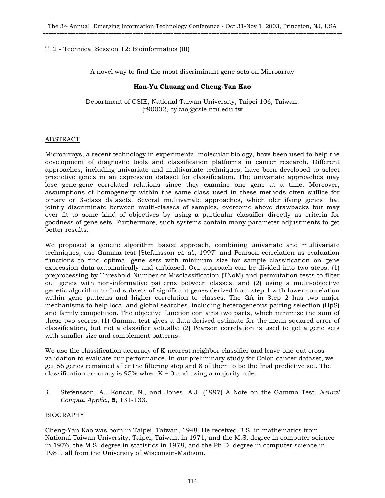A novel way to find the most discriminant gene sets on Microarray

# **Han-Yu Chuang and Cheng-Yan Kao**

Department of CSIE, National Taiwan University, Taipei 106, Taiwan. {r90002, cykao}@csie.ntu.edu.tw

# ABSTRACT

Microarrays, a recent technology in experimental molecular biology, have been used to help the development of diagnostic tools and classification platforms in cancer research. Different approaches, including univariate and multivariate techniques, have been developed to select predictive genes in an expression dataset for classification. The univariate approaches may lose gene-gene correlated relations since they examine one gene at a time. Moreover, assumptions of homogeneity within the same class used in these methods often suffice for binary or 3-class datasets. Several multivariate approaches, which identifying genes that jointly discriminate between multi-classes of samples, overcome above drawbacks but may over fit to some kind of objectives by using a particular classifier directly as criteria for goodness of gene sets. Furthermore, such systems contain many parameter adjustments to get better results.

We proposed a genetic algorithm based approach, combining univariate and multivariate techniques, use Gamma test [Stefansson *et. al.*, 1997] and Pearson correlation as evaluation functions to find optimal gene sets with minimum size for sample classification on gene expression data automatically and unbiased. Our approach can be divided into two steps: (1) preprocessing by Threshold Number of Misclassification (TNoM) and permutation tests to filter out genes with non-informative patterns between classes, and (2) using a multi-objective genetic algorithm to find subsets of significant genes derived from step 1 with lower correlation within gene patterns and higher correlation to classes. The GA in Step 2 has two major mechanisms to help local and global searches, including heterogeneous pairing selection (HpS) and family competition. The objective function contains two parts, which minimize the sum of these two scores: (1) Gamma test gives a data-derived estimate for the mean-squared error of classification, but not a classifier actually; (2) Pearson correlation is used to get a gene sets with smaller size and complement patterns.

We use the classification accuracy of K-nearest neighbor classifier and leave-one-out crossvalidation to evaluate our performance. In our preliminary study for Colon cancer dataset, we get 56 genes remained after the filtering step and 8 of them to be the final predictive set. The classification accuracy is 95% when  $K = 3$  and using a majority rule.

*1.* Stefensson, A., Koncar, N., and Jones, A.J. (1997) A Note on the Gamma Test. *Neural Comput. Applic.*, **5**, 131-133.

# BIOGRAPHY

Cheng-Yan Kao was born in Taipei, Taiwan, 1948. He received B.S. in mathematics from National Taiwan University, Taipei, Taiwan, in 1971, and the M.S. degree in computer science in 1976, the M.S. degree in statistics in 1978, and the Ph.D. degree in computer science in 1981, all from the University of Wisconsin-Madison.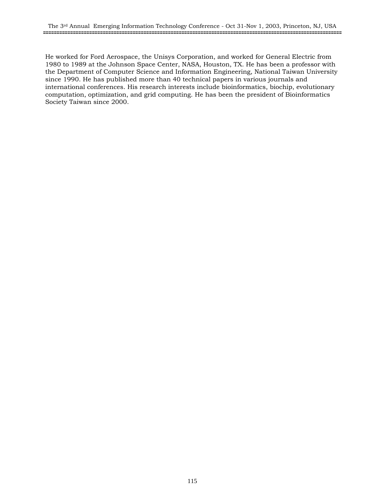He worked for Ford Aerospace, the Unisys Corporation, and worked for General Electric from 1980 to 1989 at the Johnson Space Center, NASA, Houston, TX. He has been a professor with the Department of Computer Science and Information Engineering, National Taiwan University since 1990. He has published more than 40 technical papers in various journals and international conferences. His research interests include bioinformatics, biochip, evolutionary computation, optimization, and grid computing. He has been the president of Bioinformatics Society Taiwan since 2000.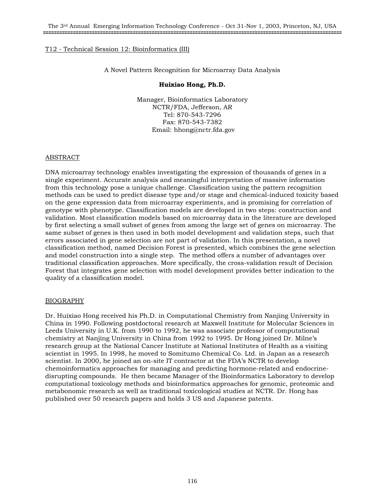A Novel Pattern Recognition for Microarray Data Analysis

# **Huixiao Hong, Ph.D.**

Manager, Bioinformatics Laboratory NCTR/FDA, Jefferson, AR Tel: 870-543-7296 Fax: 870-543-7382 Email: hhong@nctr.fda.gov

# ABSTRACT

DNA microarray technology enables investigating the expression of thousands of genes in a single experiment. Accurate analysis and meaningful interpretation of massive information from this technology pose a unique challenge. Classification using the pattern recognition methods can be used to predict disease type and/or stage and chemical-induced toxicity based on the gene expression data from microarray experiments, and is promising for correlation of genotype with phenotype. Classification models are developed in two steps: construction and validation. Most classification models based on microarray data in the literature are developed by first selecting a small subset of genes from among the large set of genes on microarray. The same subset of genes is then used in both model development and validation steps, such that errors associated in gene selection are not part of validation. In this presentation, a novel classification method, named Decision Forest is presented, which combines the gene selection and model construction into a single step. The method offers a number of advantages over traditional classification approaches. More specifically, the cross-validation result of Decision Forest that integrates gene selection with model development provides better indication to the quality of a classification model.

# BIOGRAPHY

Dr. Huixiao Hong received his Ph.D. in Computational Chemistry from Nanjing University in China in 1990. Following postdoctoral research at Maxwell Institute for Molecular Sciences in Leeds University in U.K. from 1990 to 1992, he was associate professor of computational chemistry at Nanjing University in China from 1992 to 1995. Dr Hong joined Dr. Milne's research group at the National Cancer Institute at National Institutes of Health as a visiting scientist in 1995. In 1998, he moved to Somitumo Chemical Co. Ltd. in Japan as a research scientist. In 2000, he joined an on-site IT contractor at the FDA's NCTR to develop chemoinformatics approaches for managing and predicting hormone-related and endocrinedisrupting compounds. He then became Manager of the Bioinformatics Laboratory to develop computational toxicology methods and bioinformatics approaches for genomic, proteomic and metabonomic research as well as traditional toxicological studies at NCTR. Dr. Hong has published over 50 research papers and holds 3 US and Japanese patents.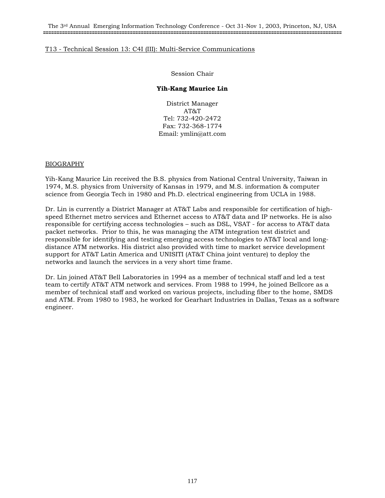The 3rd Annual Emerging Information Technology Conference - Oct 31-Nov 1, 2003, Princeton, NJ, USA **==============================================================================================================**

# T13 - Technical Session 13: C4I (III): Multi-Service Communications

Session Chair

# **Yih-Kang Maurice Lin**

District Manager AT&T Tel: 732-420-2472 Fax: 732-368-1774 Email: ymlin@att.com

# BIOGRAPHY

Yih-Kang Maurice Lin received the B.S. physics from National Central University, Taiwan in 1974, M.S. physics from University of Kansas in 1979, and M.S. information & computer science from Georgia Tech in 1980 and Ph.D. electrical engineering from UCLA in 1988.

Dr. Lin is currently a District Manager at AT&T Labs and responsible for certification of highspeed Ethernet metro services and Ethernet access to AT&T data and IP networks. He is also responsible for certifying access technologies – such as DSL, VSAT - for access to AT&T data packet networks. Prior to this, he was managing the ATM integration test district and responsible for identifying and testing emerging access technologies to AT&T local and longdistance ATM networks. His district also provided with time to market service development support for AT&T Latin America and UNISITI (AT&T China joint venture) to deploy the networks and launch the services in a very short time frame.

Dr. Lin joined AT&T Bell Laboratories in 1994 as a member of technical staff and led a test team to certify AT&T ATM network and services. From 1988 to 1994, he joined Bellcore as a member of technical staff and worked on various projects, including fiber to the home, SMDS and ATM. From 1980 to 1983, he worked for Gearhart Industries in Dallas, Texas as a software engineer.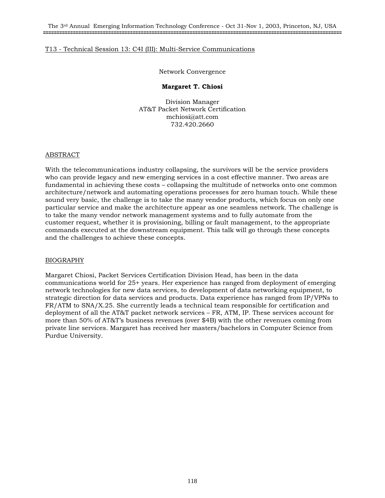### Network Convergence

# **Margaret T. Chiosi**

Division Manager AT&T Packet Network Certification mchiosi@att.com 732.420.2660

#### ABSTRACT

With the telecommunications industry collapsing, the survivors will be the service providers who can provide legacy and new emerging services in a cost effective manner. Two areas are fundamental in achieving these costs – collapsing the multitude of networks onto one common architecture/network and automating operations processes for zero human touch. While these sound very basic, the challenge is to take the many vendor products, which focus on only one particular service and make the architecture appear as one seamless network. The challenge is to take the many vendor network management systems and to fully automate from the customer request, whether it is provisioning, billing or fault management, to the appropriate commands executed at the downstream equipment. This talk will go through these concepts and the challenges to achieve these concepts.

# BIOGRAPHY

Margaret Chiosi, Packet Services Certification Division Head, has been in the data communications world for 25+ years. Her experience has ranged from deployment of emerging network technologies for new data services, to development of data networking equipment, to strategic direction for data services and products. Data experience has ranged from IP/VPNs to FR/ATM to SNA/X.25. She currently leads a technical team responsible for certification and deployment of all the AT&T packet network services – FR, ATM, IP. These services account for more than 50% of AT&T's business revenues (over \$4B) with the other revenues coming from private line services. Margaret has received her masters/bachelors in Computer Science from Purdue University.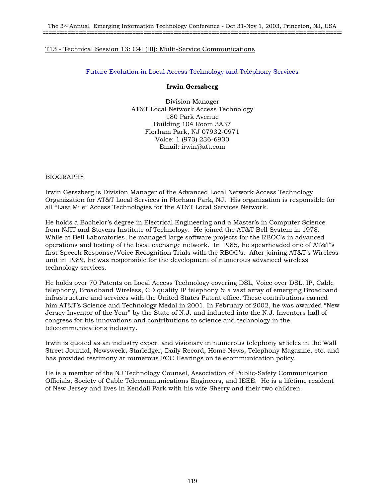# Future Evolution in Local Access Technology and Telephony Services

### **Irwin Gerszberg**

Division Manager AT&T Local Network Access Technology 180 Park Avenue Building 104 Room 3A37 Florham Park, NJ 07932-0971 Voice: 1 (973) 236-6930 Email: irwin@att.com

#### BIOGRAPHY

Irwin Gerszberg is Division Manager of the Advanced Local Network Access Technology Organization for AT&T Local Services in Florham Park, NJ. His organization is responsible for all "Last Mile" Access Technologies for the AT&T Local Services Network.

He holds a Bachelor's degree in Electrical Engineering and a Master's in Computer Science from NJIT and Stevens Institute of Technology. He joined the AT&T Bell System in 1978. While at Bell Laboratories, he managed large software projects for the RBOC's in advanced operations and testing of the local exchange network. In 1985, he spearheaded one of AT&T's first Speech Response/Voice Recognition Trials with the RBOC's. After joining AT&T's Wireless unit in 1989, he was responsible for the development of numerous advanced wireless technology services.

He holds over 70 Patents on Local Access Technology covering DSL, Voice over DSL, IP, Cable telephony, Broadband Wireless, CD quality IP telephony & a vast array of emerging Broadband infrastructure and services with the United States Patent office. These contributions earned him AT&T's Science and Technology Medal in 2001. In February of 2002, he was awarded "New Jersey Inventor of the Year" by the State of N.J. and inducted into the N.J. Inventors hall of congress for his innovations and contributions to science and technology in the telecommunications industry.

Irwin is quoted as an industry expert and visionary in numerous telephony articles in the Wall Street Journal, Newsweek, Starledger, Daily Record, Home News, Telephony Magazine, etc. and has provided testimony at numerous FCC Hearings on telecommunication policy.

He is a member of the NJ Technology Counsel, Association of Public-Safety Communication Officials, Society of Cable Telecommunications Engineers, and IEEE. He is a lifetime resident of New Jersey and lives in Kendall Park with his wife Sherry and their two children.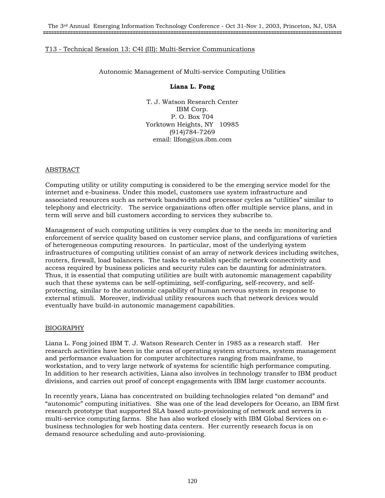# Autonomic Management of Multi-service Computing Utilities

#### **Liana L. Fong**

T. J. Watson Research Center IBM Corp. P. O. Box 704 Yorktown Heights, NY 10985 (914)784-7269 email: llfong@us.ibm.com

# ABSTRACT

Computing utility or utility computing is considered to be the emerging service model for the internet and e-business. Under this model, customers use system infrastructure and associated resources such as network bandwidth and processor cycles as "utilities" similar to telephony and electricity. The service organizations often offer multiple service plans, and in term will serve and bill customers according to services they subscribe to.

Management of such computing utilities is very complex due to the needs in: monitoring and enforcement of service quality based on customer service plans, and configurations of varieties of heterogeneous computing resources. In particular, most of the underlying system infrastructures of computing utilities consist of an array of network devices including switches, routers, firewall, load balancers. The tasks to establish specific network connectivity and access required by business policies and security rules can be daunting for administrators. Thus, it is essential that computing utilities are built with autonomic management capability such that these systems can be self-optimizing, self-configuring, self-recovery, and selfprotecting, similar to the autonomic capability of human nervous system in response to external stimuli. Moreover, individual utility resources such that network devices would eventually have build-in autonomic management capabilities.

# BIOGRAPHY

Liana L. Fong joined IBM T. J. Watson Research Center in 1985 as a research staff. Her research activities have been in the areas of operating system structures, system management and performance evaluation for computer architectures ranging from mainframe, to workstation, and to very large network of systems for scientific high performance computing. In addition to her research activities, Liana also involves in technology transfer to IBM product divisions, and carries out proof of concept engagements with IBM large customer accounts.

In recently years, Liana has concentrated on building technologies related "on demand" and "autonomic" computing initiatives. She was one of the lead developers for Oceano, an IBM first research prototype that supported SLA based auto-provisioning of network and servers in multi-service computing farms. She has also worked closely with IBM Global Services on ebusiness technologies for web hosting data centers. Her currently research focus is on demand resource scheduling and auto-provisioning.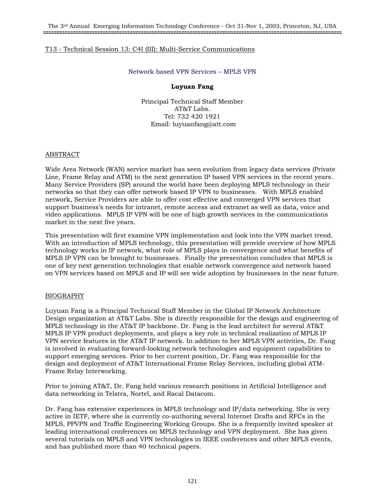# Network based VPN Services – MPLS VPN

### **Luyuan Fang**

Principal Technical Staff Member AT&T Labs. Tel: 732 420 1921 Email: luyuanfang@att.com

#### ABSTRACT

Wide Area Network (WAN) service market has seen evolution from legacy data services (Private Line, Frame Relay and ATM) to the next generation IP based VPN services in the recent years. Many Service Providers (SP) around the world have been deploying MPLS technology in their networks so that they can offer network based IP VPN to businesses. With MPLS enabled network, Service Providers are able to offer cost effective and converged VPN services that support business's needs for intranet, remote access and extranet as well as data, voice and video applications. MPLS IP VPN will be one of high growth services in the communications market in the next five years.

This presentation will first examine VPN implementation and look into the VPN market trend. With an introduction of MPLS technology, this presentation will provide overview of how MPLS technology works in IP network, what role of MPLS plays in convergence and what benefits of MPLS IP VPN can be brought to businesses. Finally the presentation concludes that MPLS is one of key next generation technologies that enable network convergence and network based on VPN services based on MPLS and IP will see wide adoption by businesses in the near future.

# BIOGRAPHY

Luyuan Fang is a Principal Technical Staff Member in the Global IP Network Architecture Design organization at AT&T Labs. She is directly responsible for the design and engineering of MPLS technology in the AT&T IP backbone. Dr. Fang is the lead architect for several AT&T MPLS IP VPN product deployments, and plays a key role in technical realization of MPLS IP VPN service features in the AT&T IP network. In addition to her MPLS VPN activities, Dr. Fang is involved in evaluating forward-looking network technologies and equipment capabilities to support emerging services. Prior to her current position, Dr. Fang was responsible for the design and deployment of AT&T International Frame Relay Services, including global ATM-Frame Relay Interworking.

Prior to joining AT&T, Dr. Fang held various research positions in Artificial Intelligence and data networking in Telstra, Nortel, and Racal Datacom.

Dr. Fang has extensive experiences in MPLS technology and IP/data networking. She is very active in IETF, where she is currently co-authoring several Internet Drafts and RFCs in the MPLS, PPVPN and Traffic Engineering Working Groups. She is a frequently invited speaker at leading international conferences on MPLS technology and VPN deployment. She has given several tutorials on MPLS and VPN technologies in IEEE conferences and other MPLS events, and has published more than 40 technical papers.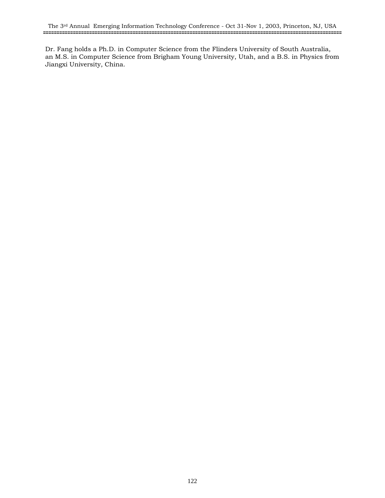Dr. Fang holds a Ph.D. in Computer Science from the Flinders University of South Australia, an M.S. in Computer Science from Brigham Young University, Utah, and a B.S. in Physics from Jiangxi University, China.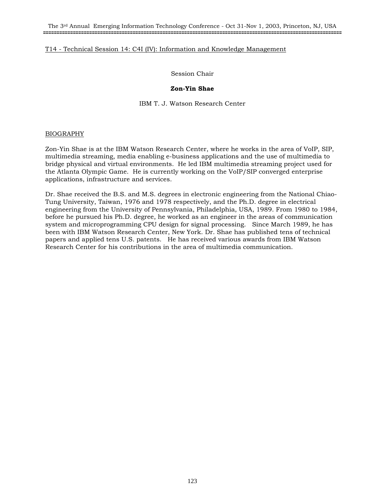The 3rd Annual Emerging Information Technology Conference - Oct 31-Nov 1, 2003, Princeton, NJ, USA **==============================================================================================================**

## T14 - Technical Session 14: C4I (IV): Information and Knowledge Management

Session Chair

#### **Zon-Yin Shae**

IBM T. J. Watson Research Center

#### BIOGRAPHY

Zon-Yin Shae is at the IBM Watson Research Center, where he works in the area of VoIP, SIP, multimedia streaming, media enabling e-business applications and the use of multimedia to bridge physical and virtual environments. He led IBM multimedia streaming project used for the Atlanta Olympic Game. He is currently working on the VoIP/SIP converged enterprise applications, infrastructure and services.

Dr. Shae received the B.S. and M.S. degrees in electronic engineering from the National Chiao-Tung University, Taiwan, 1976 and 1978 respectively, and the Ph.D. degree in electrical engineering from the University of Pennsylvania, Philadelphia, USA, 1989. From 1980 to 1984, before he pursued his Ph.D. degree, he worked as an engineer in the areas of communication system and microprogramming CPU design for signal processing. Since March 1989, he has been with IBM Watson Research Center, New York. Dr. Shae has published tens of technical papers and applied tens U.S. patents. He has received various awards from IBM Watson Research Center for his contributions in the area of multimedia communication.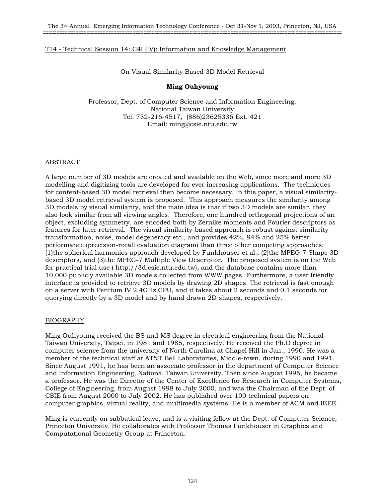On Visual Similarity Based 3D Model Retrieval

# **Ming Ouhyoung**

Professor, Dept. of Computer Science and Information Engineering, National Taiwan University Tel: 732-216-4517, (886)23625336 Ext. 421 Email: ming@csie.ntu.edu.tw

# ABSTRACT

A large number of 3D models are created and available on the Web, since more and more 3D modelling and digitizing tools are developed for ever increasing applications. The techniques for content-based 3D model retrieval then become necessary. In this paper, a visual similaritybased 3D model retrieval system is proposed. This approach measures the similarity among 3D models by visual similarity, and the main idea is that if two 3D models are similar, they also look similar from all viewing angles. Therefore, one hundred orthogonal projections of an object, excluding symmetry, are encoded both by Zernike moments and Fourier descriptors as features for later retrieval. The visual similarity-based approach is robust against similarity transformation, noise, model degeneracy etc., and provides 42%, 94% and 25% better performance (precision-recall evaluation diagram) than three other competing approaches: (1)the spherical harmonics approach developed by Funkhouser et al., (2)the MPEG-7 Shape 3D descriptors, and (3)the MPEG-7 Multiple View Descriptor. The proposed system is on the Web for practical trial use ( http://3d.csie.ntu.edu.tw), and the database contains more than 10,000 publicly available 3D models collected from WWW pages. Furthermore, a user friendly interface is provided to retrieve 3D models by drawing 2D shapes. The retrieval is fast enough on a server with Pentium IV 2.4GHz CPU, and it takes about 2 seconds and 0.1 seconds for querying directly by a 3D model and by hand drawn 2D shapes, respectively.

# BIOGRAPHY

Ming Ouhyoung received the BS and MS degree in electrical engineering from the National Taiwan University, Taipei, in 1981 and 1985, respectively. He received the Ph.D degree in computer science from the university of North Carolina at Chapel Hill in Jan., 1990. He was a member of the technical staff at AT&T Bell Laboratories, Middle-town, during 1990 and 1991. Since August 1991, he has been an associate professor in the department of Computer Science and Information Engineering, National Taiwan University. Then since August 1995, he became a professor. He was the Director of the Center of Excellence for Research in Computer Systems, College of Engineering, from August 1998 to July 2000, and was the Chairman of the Dept. of CSIE from August 2000 to July 2002. He has published over 100 technical papers on computer graphics, virtual reality, and multimedia systems. He is a member of ACM and IEEE.

Ming is currently on sabbatical leave, and is a visiting fellow at the Dept. of Computer Science, Princeton University. He collaborates with Professor Thomas Funkhouser in Graphics and Computational Geometry Group at Princeton.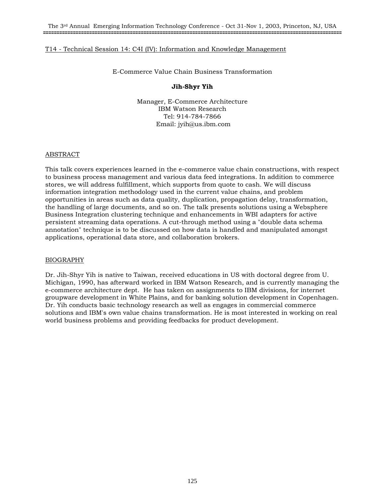E-Commerce Value Chain Business Transformation

# **Jih-Shyr Yih**

Manager, E-Commerce Architecture IBM Watson Research Tel: 914-784-7866 Email: jyih@us.ibm.com

# ABSTRACT

This talk covers experiences learned in the e-commerce value chain constructions, with respect to business process management and various data feed integrations. In addition to commerce stores, we will address fulfillment, which supports from quote to cash. We will discuss information integration methodology used in the current value chains, and problem opportunities in areas such as data quality, duplication, propagation delay, transformation, the handling of large documents, and so on. The talk presents solutions using a Websphere Business Integration clustering technique and enhancements in WBI adapters for active persistent streaming data operations. A cut-through method using a "double data schema annotation" technique is to be discussed on how data is handled and manipulated amongst applications, operational data store, and collaboration brokers.

# BIOGRAPHY

Dr. Jih-Shyr Yih is native to Taiwan, received educations in US with doctoral degree from U. Michigan, 1990, has afterward worked in IBM Watson Research, and is currently managing the e-commerce architecture dept. He has taken on assignments to IBM divisions, for internet groupware development in White Plains, and for banking solution development in Copenhagen. Dr. Yih conducts basic technology research as well as engages in commercial commerce solutions and IBM's own value chains transformation. He is most interested in working on real world business problems and providing feedbacks for product development.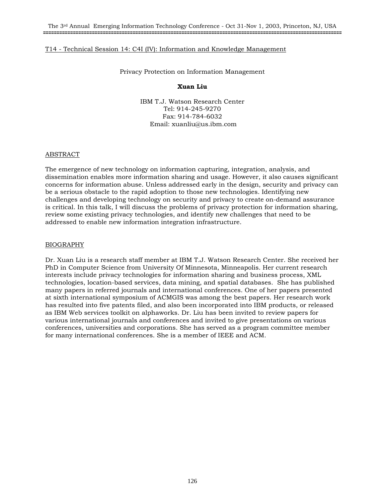Privacy Protection on Information Management

### **Xuan Liu**

IBM T.J. Watson Research Center Tel: 914-245-9270 Fax: 914-784-6032 Email: xuanliu@us.ibm.com

#### ABSTRACT

The emergence of new technology on information capturing, integration, analysis, and dissemination enables more information sharing and usage. However, it also causes significant concerns for information abuse. Unless addressed early in the design, security and privacy can be a serious obstacle to the rapid adoption to those new technologies. Identifying new challenges and developing technology on security and privacy to create on-demand assurance is critical. In this talk, I will discuss the problems of privacy protection for information sharing, review some existing privacy technologies, and identify new challenges that need to be addressed to enable new information integration infrastructure.

#### BIOGRAPHY

Dr. Xuan Liu is a research staff member at IBM T.J. Watson Research Center. She received her PhD in Computer Science from University Of Minnesota, Minneapolis. Her current research interests include privacy technologies for information sharing and business process, XML technologies, location-based services, data mining, and spatial databases. She has published many papers in referred journals and international conferences. One of her papers presented at sixth international symposium of ACMGIS was among the best papers. Her research work has resulted into five patents filed, and also been incorporated into IBM products, or released as IBM Web services toolkit on alphaworks. Dr. Liu has been invited to review papers for various international journals and conferences and invited to give presentations on various conferences, universities and corporations. She has served as a program committee member for many international conferences. She is a member of IEEE and ACM.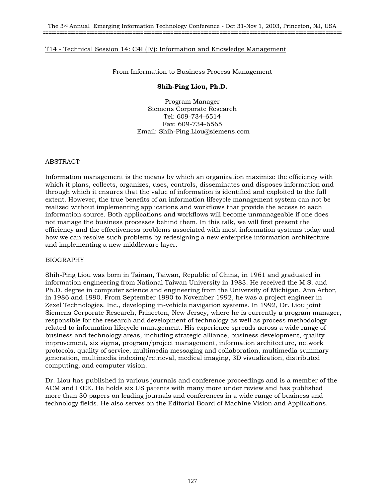From Information to Business Process Management

### **Shih-Ping Liou, Ph.D.**

Program Manager Siemens Corporate Research Tel: 609-734-6514 Fax: 609-734-6565 Email: Shih-Ping.Liou@siemens.com

#### ABSTRACT

Information management is the means by which an organization maximize the efficiency with which it plans, collects, organizes, uses, controls, disseminates and disposes information and through which it ensures that the value of information is identified and exploited to the full extent. However, the true benefits of an information lifecycle management system can not be realized without implementing applications and workflows that provide the access to each information source. Both applications and workflows will become unmanageable if one does not manage the business processes behind them. In this talk, we will first present the efficiency and the effectiveness problems associated with most information systems today and how we can resolve such problems by redesigning a new enterprise information architecture and implementing a new middleware layer.

#### BIOGRAPHY

Shih-Ping Liou was born in Tainan, Taiwan, Republic of China, in 1961 and graduated in information engineering from National Taiwan University in 1983. He received the M.S. and Ph.D. degree in computer science and engineering from the University of Michigan, Ann Arbor, in 1986 and 1990. From September 1990 to November 1992, he was a project engineer in Zexel Technologies, Inc., developing in-vehicle navigation systems. In 1992, Dr. Liou joint Siemens Corporate Research, Princeton, New Jersey, where he is currently a program manager, responsible for the research and development of technology as well as process methodology related to information lifecycle management. His experience spreads across a wide range of business and technology areas, including strategic alliance, business development, quality improvement, six sigma, program/project management, information architecture, network protocols, quality of service, multimedia messaging and collaboration, multimedia summary generation, multimedia indexing/retrieval, medical imaging, 3D visualization, distributed computing, and computer vision.

Dr. Liou has published in various journals and conference proceedings and is a member of the ACM and IEEE. He holds six US patents with many more under review and has published more than 30 papers on leading journals and conferences in a wide range of business and technology fields. He also serves on the Editorial Board of Machine Vision and Applications.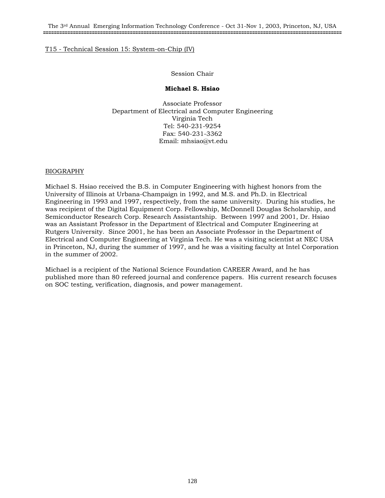The 3rd Annual Emerging Information Technology Conference - Oct 31-Nov 1, 2003, Princeton, NJ, USA **==============================================================================================================**

# T15 - Technical Session 15: System-on-Chip (IV)

# Session Chair

# **Michael S. Hsiao**

Associate Professor Department of Electrical and Computer Engineering Virginia Tech Tel: 540-231-9254 Fax: 540-231-3362 Email: mhsiao@vt.edu

# BIOGRAPHY

Michael S. Hsiao received the B.S. in Computer Engineering with highest honors from the University of Illinois at Urbana-Champaign in 1992, and M.S. and Ph.D. in Electrical Engineering in 1993 and 1997, respectively, from the same university. During his studies, he was recipient of the Digital Equipment Corp. Fellowship, McDonnell Douglas Scholarship, and Semiconductor Research Corp. Research Assistantship. Between 1997 and 2001, Dr. Hsiao was an Assistant Professor in the Department of Electrical and Computer Engineering at Rutgers University. Since 2001, he has been an Associate Professor in the Department of Electrical and Computer Engineering at Virginia Tech. He was a visiting scientist at NEC USA in Princeton, NJ, during the summer of 1997, and he was a visiting faculty at Intel Corporation in the summer of 2002.

Michael is a recipient of the National Science Foundation CAREER Award, and he has published more than 80 refereed journal and conference papers. His current research focuses on SOC testing, verification, diagnosis, and power management.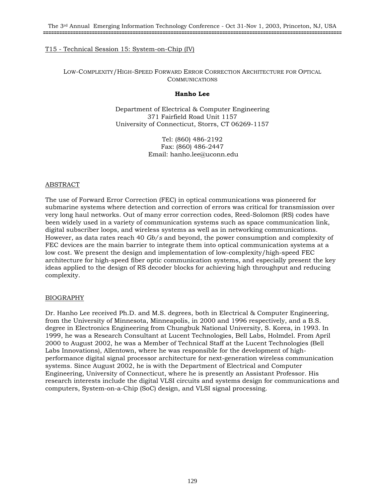# T15 - Technical Session 15: System-on-Chip (IV)

LOW-COMPLEXITY/HIGH-SPEED FORWARD ERROR CORRECTION ARCHITECTURE FOR OPTICAL COMMUNICATIONS

### **Hanho Lee**

Department of Electrical & Computer Engineering 371 Fairfield Road Unit 1157 University of Connecticut, Storrs, CT 06269-1157

> Tel: (860) 486-2192 Fax: (860) 486-2447 Email: hanho.lee@uconn.edu

# ABSTRACT

The use of Forward Error Correction (FEC) in optical communications was pioneered for submarine systems where detection and correction of errors was critical for transmission over very long haul networks. Out of many error correction codes, Reed-Solomon (RS) codes have been widely used in a variety of communication systems such as space communication link, digital subscriber loops, and wireless systems as well as in networking communications. However, as data rates reach 40 *Gb/s* and beyond, the power consumption and complexity of FEC devices are the main barrier to integrate them into optical communication systems at a low cost. We present the design and implementation of low-complexity/high-speed FEC architecture for high-speed fiber optic communication systems, and especially present the key ideas applied to the design of RS decoder blocks for achieving high throughput and reducing complexity.

# BIOGRAPHY

Dr. Hanho Lee received Ph.D. and M.S. degrees, both in Electrical & Computer Engineering, from the University of Minnesota, Minneapolis, in 2000 and 1996 respectively, and a B.S. degree in Electronics Engineering from Chungbuk National University, S. Korea, in 1993. In 1999, he was a Research Consultant at Lucent Technologies, Bell Labs, Holmdel. From April 2000 to August 2002, he was a Member of Technical Staff at the Lucent Technologies (Bell Labs Innovations), Allentown, where he was responsible for the development of highperformance digital signal processor architecture for next-generation wireless communication systems. Since August 2002, he is with the Department of Electrical and Computer Engineering, University of Connecticut, where he is presently an Assistant Professor. His research interests include the digital VLSI circuits and systems design for communications and computers, System-on-a-Chip (SoC) design, and VLSI signal processing.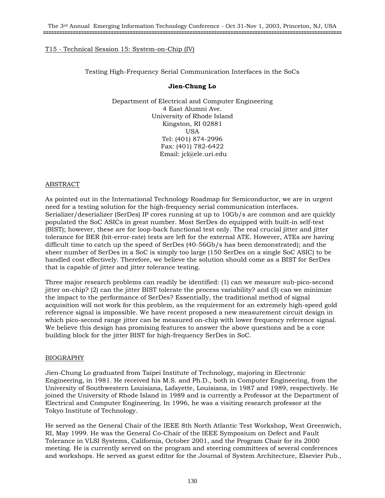# T15 - Technical Session 15: System-on-Chip (IV)

Testing High-Frequency Serial Communication Interfaces in the SoCs

# **Jien-Chung Lo**

Department of Electrical and Computer Engineering 4 East Alumni Ave. University of Rhode Island Kingston, RI 02881 USA Tel: (401) 874-2996 Fax: (401) 782-6422 Email: jcl@ele.uri.edu

# ABSTRACT

As pointed out in the International Technology Roadmap for Semiconductor, we are in urgent need for a testing solution for the high-frequency serial communication interfaces. Serializer/deserializer (SerDes) IP cores running at up to 10Gb/s are common and are quickly populated the SoC ASICs in great number. Most SerDes do equipped with built-in self-test (BIST); however, these are for loop-back functional test only. The real crucial jitter and jitter tolerance for BER (bit-error-rate) tests are left for the external ATE. However, ATEs are having difficult time to catch up the speed of SerDes (40-56Gb/s has been demonstrated); and the sheer number of SerDes in a SoC is simply too large (150 SerDes on a single SoC ASIC) to be handled cost effectively. Therefore, we believe the solution should come as a BIST for SerDes that is capable of jitter and jitter tolerance testing.

Three major research problems can readily be identified: (1) can we measure sub-pico-second jitter on-chip? (2) can the jitter BIST tolerate the process variability? and (3) can we minimize the impact to the performance of SerDes? Essentially, the traditional method of signal acquisition will not work for this problem, as the requirement for an extremely high-speed gold reference signal is impossible. We have recent proposed a new measurement circuit design in which pico-second range jitter can be measured on-chip with lower frequency reference signal. We believe this design has promising features to answer the above questions and be a core building block for the jitter BIST for high-frequency SerDes in SoC.

# BIOGRAPHY

Jien-Chung Lo graduated from Taipei Institute of Technology, majoring in Electronic Engineering, in 1981. He received his M.S. and Ph.D., both in Computer Engineering, from the University of Southwestern Louisiana, Lafayette, Louisiana, in 1987 and 1989, respectively. He joined the University of Rhode Island in 1989 and is currently a Professor at the Department of Electrical and Computer Engineering. In 1996, he was a visiting research professor at the Tokyo Institute of Technology.

He served as the General Chair of the IEEE 8th North Atlantic Test Workshop, West Greenwich, RI, May 1999. He was the General Co-Chair of the IEEE Symposium on Defect and Fault Tolerance in VLSI Systems, California, October 2001, and the Program Chair for its 2000 meeting. He is currently served on the program and steering committees of several conferences and workshops. He served as guest editor for the Journal of System Architecture, Elsevier Pub.,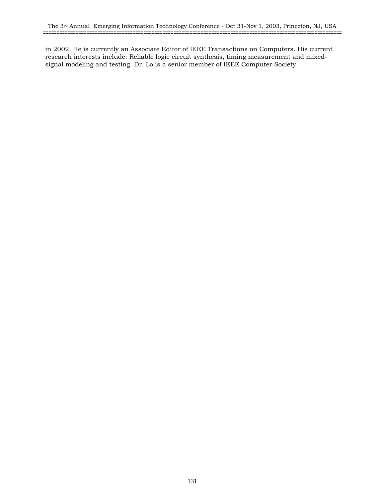in 2002. He is currently an Associate Editor of IEEE Transactions on Computers. His current research interests include: Reliable logic circuit synthesis, timing measurement and mixedsignal modeling and testing. Dr. Lo is a senior member of IEEE Computer Society.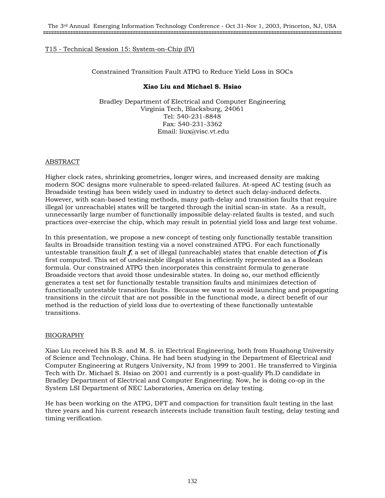# T15 - Technical Session 15: System-on-Chip (IV)

# Constrained Transition Fault ATPG to Reduce Yield Loss in SOCs

# **Xiao Liu and Michael S. Hsiao**

Bradley Department of Electrical and Computer Engineering Virginia Tech, Blacksburg, 24061 Tel: 540-231-8848 Fax: 540-231-3362 Email: liux@visc.vt.edu

# ABSTRACT

Higher clock rates, shrinking geometries, longer wires, and increased density are making modern SOC designs more vulnerable to speed-related failures. At-speed AC testing (such as Broadside testing) has been widely used in industry to detect such delay-induced defects. However, with scan-based testing methods, many path-delay and transition faults that require illegal (or unreachable) states will be targeted through the initial scan-in state. As a result, unnecessarily large number of functionally impossible delay-related faults is tested, and such practices over-exercise the chip, which may result in potential yield loss and large test volume.

In this presentation, we propose a new concept of testing only functionally testable transition faults in Broadside transition testing via a novel constrained ATPG. For each functionally untestable transition fault  $f$ , a set of illegal (unreachable) states that enable detection of  $f$  is first computed. This set of undesirable illegal states is efficiently represented as a Boolean formula. Our constrained ATPG then incorporates this constraint formula to generate Broadside vectors that avoid those undesirable states. In doing so, our method efficiently generates a test set for functionally testable transition faults and minimizes detection of functionally untestable transition faults. Because we want to avoid launching and propagating transitions in the circuit that are not possible in the functional mode, a direct benefit of our method is the reduction of yield loss due to overtesting of these functionally untestable transitions.

# BIOGRAPHY

Xiao Liu received his B.S. and M. S. in Electrical Engineering, both from Huazhong University of Science and Technology, China. He had been studying in the Department of Electrical and Computer Engineering at Rutgers University, NJ from 1999 to 2001. He transferred to Virginia Tech with Dr. Michael S. Hsiao on 2001 and currently is a post-qualify Ph.D candidate in Bradley Department of Electrical and Computer Engineering. Now, he is doing co-op in the System LSI Department of NEC Laboratories, America on delay testing.

He has been working on the ATPG, DFT and compaction for transition fault testing in the last three years and his current research interests include transition fault testing, delay testing and timing verification.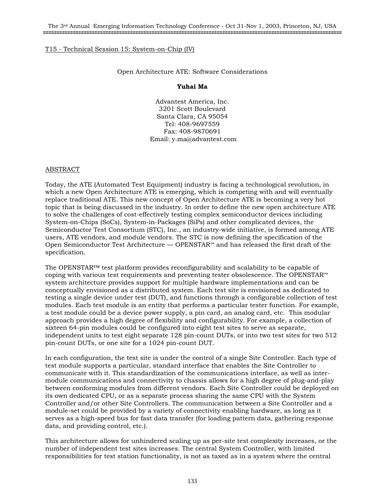# T15 - Technical Session 15: System-on-Chip (IV)

### Open Architecture ATE: Software Considerations

#### **Yuhai Ma**

Advantest America, Inc. 3201 Scott Boulevard Santa Clara, CA 95054 Tel: 408-9697559 Fax: 408-9870691 Email: y.ma@advantest.com

#### ABSTRACT

Today, the ATE (Automated Test Equipment) industry is facing a technological revolution, in which a new Open Architecture ATE is emerging, which is competing with and will eventually replace traditional ATE. This new concept of Open Architecture ATE is becoming a very hot topic that is being discussed in the industry. In order to define the new open architecture ATE to solve the challenges of cost-effectively testing complex semiconductor devices including System-on-Chips (SoCs), System-in-Packages (SiPs) and other complicated devices, the Semiconductor Test Consortium (STC), Inc., an industry-wide initiative, is formed among ATE users, ATE vendors, and module vendors. The STC is now defining the specification of the Open Semiconductor Test Architecture — OPENSTAR™ and has released the first draft of the specification.

The OPENSTAR™ test platform provides reconfigurability and scalability to be capable of coping with various test requirements and preventing tester obsolescence. The OPENSTAR™ system architecture provides support for multiple hardware implementations and can be conceptually envisioned as a distributed system. Each test site is envisioned as dedicated to testing a single device under test (DUT), and functions through a configurable collection of test modules. Each test module is an entity that performs a particular tester function. For example, a test module could be a device power supply, a pin card, an analog card, etc. This modular approach provides a high degree of flexibility and configurability. For example, a collection of sixteen 64-pin modules could be configured into eight test sites to serve as separate, independent units to test eight separate 128 pin-count DUTs, or into two test sites for two 512 pin-count DUTs, or one site for a 1024 pin-count DUT.

In each configuration, the test site is under the control of a single Site Controller. Each type of test module supports a particular, standard interface that enables the Site Controller to communicate with it. This standardization of the communications interface, as well as intermodule communications and connectivity to chassis allows for a high degree of plug-and-play between conforming modules from different vendors. Each Site Controller could be deployed on its own dedicated CPU, or as a separate process sharing the same CPU with the System Controller and/or other Site Controllers. The communication between a Site Controller and a module-set could be provided by a variety of connectivity enabling hardware, as long as it serves as a high-speed bus for fast data transfer (for loading pattern data, gathering response data, and providing control, etc.).

This architecture allows for unhindered scaling up as per-site test complexity increases, or the number of independent test sites increases. The central System Controller, with limited responsibilities for test station functionality, is not as taxed as in a system where the central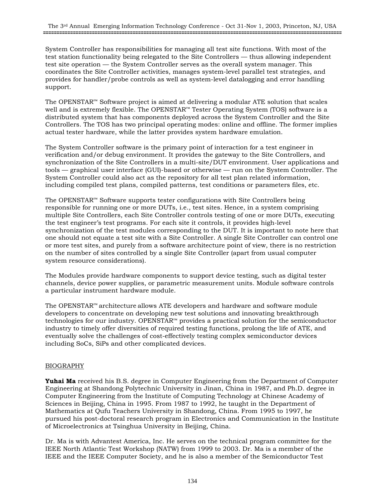System Controller has responsibilities for managing all test site functions. With most of the test station functionality being relegated to the Site Controllers — thus allowing independent test site operation — the System Controller serves as the overall system manager. This coordinates the Site Controller activities, manages system-level parallel test strategies, and provides for handler/probe controls as well as system-level datalogging and error handling support.

The OPENSTAR™ Software project is aimed at delivering a modular ATE solution that scales well and is extremely flexible. The OPENSTAR™ Tester Operating System (TOS) software is a distributed system that has components deployed across the System Controller and the Site Controllers. The TOS has two principal operating modes: online and offline. The former implies actual tester hardware, while the latter provides system hardware emulation.

The System Controller software is the primary point of interaction for a test engineer in verification and/or debug environment. It provides the gateway to the Site Controllers, and synchronization of the Site Controllers in a multi-site/DUT environment. User applications and tools — graphical user interface (GUI)-based or otherwise — run on the System Controller. The System Controller could also act as the repository for all test plan related information, including compiled test plans, compiled patterns, test conditions or parameters files, etc.

The OPENSTAR™ Software supports tester configurations with Site Controllers being responsible for running one or more DUTs, i.e., test sites. Hence, in a system comprising multiple Site Controllers, each Site Controller controls testing of one or more DUTs, executing the test engineer's test programs. For each site it controls, it provides high-level synchronization of the test modules corresponding to the DUT. It is important to note here that one should not equate a test site with a Site Controller. A single Site Controller can control one or more test sites, and purely from a software architecture point of view, there is no restriction on the number of sites controlled by a single Site Controller (apart from usual computer system resource considerations).

The Modules provide hardware components to support device testing, such as digital tester channels, device power supplies, or parametric measurement units. Module software controls a particular instrument hardware module.

The OPENSTAR™ architecture allows ATE developers and hardware and software module developers to concentrate on developing new test solutions and innovating breakthrough technologies for our industry. OPENSTAR™ provides a practical solution for the semiconductor industry to timely offer diversities of required testing functions, prolong the life of ATE, and eventually solve the challenges of cost-effectively testing complex semiconductor devices including SoCs, SiPs and other complicated devices.

# BIOGRAPHY

**Yuhai Ma** received his B.S. degree in Computer Engineering from the Department of Computer Engineering at Shandong Polytechnic University in Jinan, China in 1987, and Ph.D. degree in Computer Engineering from the Institute of Computing Technology at Chinese Academy of Sciences in Beijing, China in 1995. From 1987 to 1992, he taught in the Department of Mathematics at Qufu Teachers University in Shandong, China. From 1995 to 1997, he pursued his post-doctoral research program in Electronics and Communication in the Institute of Microelectronics at Tsinghua University in Beijing, China.

Dr. Ma is with Advantest America, Inc. He serves on the technical program committee for the IEEE North Atlantic Test Workshop (NATW) from 1999 to 2003. Dr. Ma is a member of the IEEE and the IEEE Computer Society, and he is also a member of the Semiconductor Test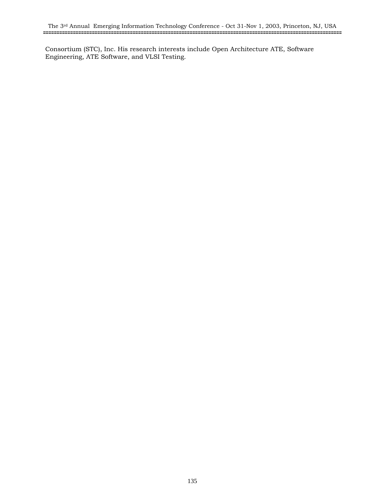Consortium (STC), Inc. His research interests include Open Architecture ATE, Software Engineering, ATE Software, and VLSI Testing.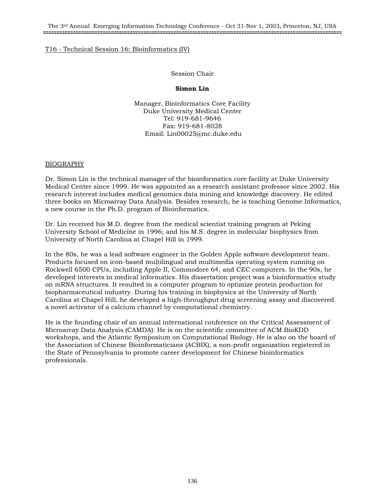# Session Chair

# **Simon Lin**

Manager, Bioinformatics Core Facility Duke University Medical Center Tel: 919-681-9646 Fax: 919-681-8028 Email: Lin00025@mc.duke.edu

# BIOGRAPHY

Dr. Simon Lin is the technical manager of the bioinformatics core facility at Duke University Medical Center since 1999. He was appointed as a research assistant professor since 2002. His research interest includes medical genomics data mining and knowledge discovery. He edited three books on Microarray Data Analysis. Besides research, he is teaching Genome Informatics, a new course in the Ph.D. program of Bioinformatics.

Dr. Lin received his M.D. degree from the medical scientist training program at Peking University School of Medicine in 1996; and his M.S. degree in molecular biophysics from University of North Carolina at Chapel Hill in 1999.

In the 80s, he was a lead software engineer in the Golden Apple software development team. Products focused on icon-based multilingual and multimedia operating system running on Rockwell 6500 CPUs, including Apple II, Commodore 64, and CEC computers. In the 90s, he developed interests in medical informatics. His dissertation project was a bioinformatics study on mRNA structures. It resulted in a computer program to optimize protein production for biopharmaceutical industry. During his training in biophysics at the University of North Carolina at Chapel Hill, he developed a high-throughput drug screening assay and discovered a novel activator of a calcium channel by computational chemistry.

He is the founding chair of an annual international conference on the Critical Assessment of Microarray Data Analysis (CAMDA). He is on the scientific committee of ACM BioKDD workshops, and the Atlantic Symposium on Computational Biology. He is also on the board of the Association of Chinese Bioinformaticians (ACBIX), a non-profit organization registered in the State of Pennsylvania to promote career development for Chinese bioinformatics professionals.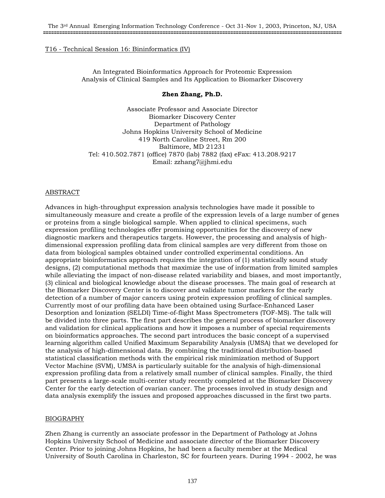An Integrated Bioinformatics Approach for Proteomic Expression Analysis of Clinical Samples and Its Application to Biomarker Discovery

# **Zhen Zhang, Ph.D.**

Associate Professor and Associate Director Biomarker Discovery Center Department of Pathology Johns Hopkins University School of Medicine 419 North Caroline Street, Rm 200 Baltimore, MD 21231 Tel: 410.502.7871 (office) 7870 (lab) 7882 (fax) eFax: 413.208.9217 Email: zzhang7@jhmi.edu

# ABSTRACT

Advances in high-throughput expression analysis technologies have made it possible to simultaneously measure and create a profile of the expression levels of a large number of genes or proteins from a single biological sample. When applied to clinical specimens, such expression profiling technologies offer promising opportunities for the discovery of new diagnostic markers and therapeutics targets. However, the processing and analysis of highdimensional expression profiling data from clinical samples are very different from those on data from biological samples obtained under controlled experimental conditions. An appropriate bioinformatics approach requires the integration of (1) statistically sound study designs, (2) computational methods that maximize the use of information from limited samples while alleviating the impact of non-disease related variability and biases, and most importantly, (3) clinical and biological knowledge about the disease processes. The main goal of research at the Biomarker Discovery Center is to discover and validate tumor markers for the early detection of a number of major cancers using protein expression profiling of clinical samples. Currently most of our profiling data have been obtained using Surface-Enhanced Laser Desorption and Ionization (SELDI) Time-of-flight Mass Spectrometers (TOF-MS). The talk will be divided into three parts. The first part describes the general process of biomarker discovery and validation for clinical applications and how it imposes a number of special requirements on bioinformatics approaches. The second part introduces the basic concept of a supervised learning algorithm called Unified Maximum Separability Analysis (UMSA) that we developed for the analysis of high-dimensional data. By combining the traditional distribution-based statistical classification methods with the empirical risk minimization method of Support Vector Machine (SVM), UMSA is particularly suitable for the analysis of high-dimensional expression profiling data from a relatively small number of clinical samples. Finally, the third part presents a large-scale multi-center study recently completed at the Biomarker Discovery Center for the early detection of ovarian cancer. The processes involved in study design and data analysis exemplify the issues and proposed approaches discussed in the first two parts.

# BIOGRAPHY

Zhen Zhang is currently an associate professor in the Department of Pathology at Johns Hopkins University School of Medicine and associate director of the Biomarker Discovery Center. Prior to joining Johns Hopkins, he had been a faculty member at the Medical University of South Carolina in Charleston, SC for fourteen years. During 1994 - 2002, he was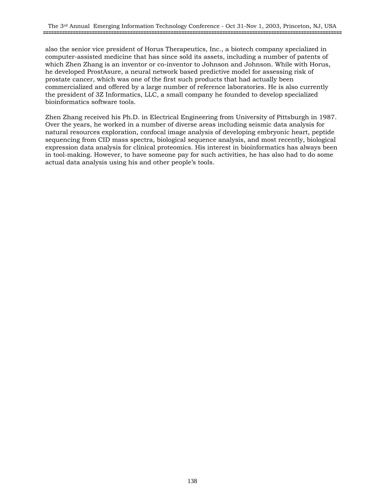also the senior vice president of Horus Therapeutics, Inc., a biotech company specialized in computer-assisted medicine that has since sold its assets, including a number of patents of which Zhen Zhang is an inventor or co-inventor to Johnson and Johnson. While with Horus, he developed ProstAsure, a neural network based predictive model for assessing risk of prostate cancer, which was one of the first such products that had actually been commercialized and offered by a large number of reference laboratories. He is also currently the president of 3Z Informatics, LLC, a small company he founded to develop specialized bioinformatics software tools.

Zhen Zhang received his Ph.D. in Electrical Engineering from University of Pittsburgh in 1987. Over the years, he worked in a number of diverse areas including seismic data analysis for natural resources exploration, confocal image analysis of developing embryonic heart, peptide sequencing from CID mass spectra, biological sequence analysis, and most recently, biological expression data analysis for clinical proteomics. His interest in bioinformatics has always been in tool-making. However, to have someone pay for such activities, he has also had to do some actual data analysis using his and other people's tools.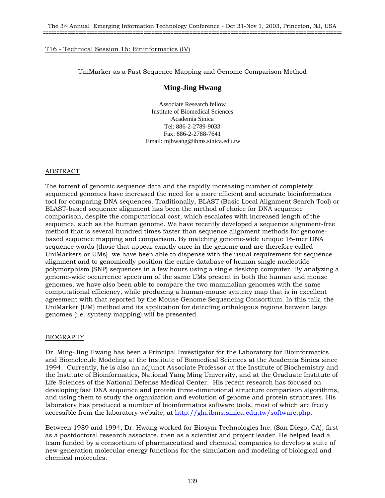# UniMarker as a Fast Sequence Mapping and Genome Comparison Method

# **Ming-Jing Hwang**

Associate Research fellow Institute of Biomedical Sciences Academia Sinica Tel: 886-2-2789-9033 Fax: 886-2-2788-7641 Email: mjhwang@ibms.sinica.edu.tw

# ABSTRACT

The torrent of genomic sequence data and the rapidly increasing number of completely sequenced genomes have increased the need for a more efficient and accurate bioinformatics tool for comparing DNA sequences. Traditionally, BLAST (Basic Local Alignment Search Tool) or BLAST-based sequence alignment has been the method of choice for DNA sequence comparison, despite the computational cost, which escalates with increased length of the sequence, such as the human genome. We have recently developed a sequence alignment-free method that is several hundred times faster than sequence alignment methods for genomebased sequence mapping and comparison. By matching genome-wide unique 16-mer DNA sequence words (those that appear exactly once in the genome and are therefore called UniMarkers or UMs), we have been able to dispense with the usual requirement for sequence alignment and to genomically position the entire database of human single nucleotide polymorphism (SNP) sequences in a few hours using a single desktop computer. By analyzing a genome-wide occurrence spectrum of the same UMs present in both the human and mouse genomes, we have also been able to compare the two mammalian genomes with the same computational efficiency, while producing a human-mouse synteny map that is in excellent agreement with that reported by the Mouse Genome Sequencing Consortium. In this talk, the UniMarker (UM) method and its application for detecting orthologous regions between large genomes (i.e. synteny mapping) will be presented.

# BIOGRAPHY

Dr. Ming-Jing Hwang has been a Principal Investigator for the Laboratory for Bioinformatics and Biomolecule Modeling at the Institute of Biomedical Sciences at the Academia Sinica since 1994. Currently, he is also an adjunct Associate Professor at the Institute of Biochemistry and the Institute of Bioinformatics, National Yang Ming University, and at the Graduate Institute of Life Sciences of the National Defense Medical Center. His recent research has focused on developing fast DNA sequence and protein three-dimensional structure comparison algorithms, and using them to study the organization and evolution of genome and protein structures. His laboratory has produced a number of bioinformatics software tools, most of which are freely accessible from the laboratory website, at http://gln.ibms.sinica.edu.tw/software.php.

Between 1989 and 1994, Dr. Hwang worked for Biosym Technologies Inc. (San Diego, CA), first as a postdoctoral research associate, then as a scientist and project leader. He helped lead a team funded by a consortium of pharmaceutical and chemical companies to develop a suite of new-generation molecular energy functions for the simulation and modeling of biological and chemical molecules.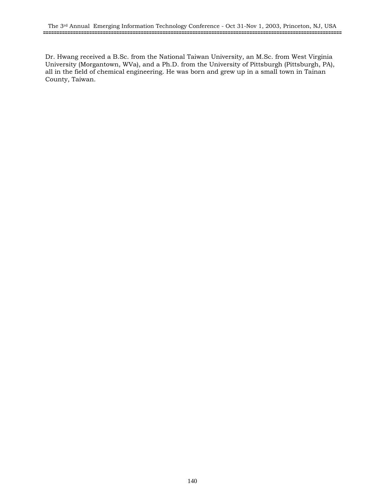Dr. Hwang received a B.Sc. from the National Taiwan University, an M.Sc. from West Virginia University (Morgantown, WVa), and a Ph.D. from the University of Pittsburgh (Pittsburgh, PA), all in the field of chemical engineering. He was born and grew up in a small town in Tainan County, Taiwan.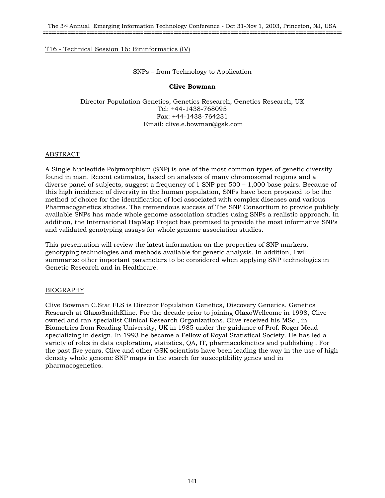SNPs – from Technology to Application

# **Clive Bowman**

Director Population Genetics, Genetics Research, Genetics Research, UK Tel: +44-1438-768095 Fax: +44-1438-764231 Email: clive.e.bowman@gsk.com

# ABSTRACT

A Single Nucleotide Polymorphism (SNP) is one of the most common types of genetic diversity found in man. Recent estimates, based on analysis of many chromosomal regions and a diverse panel of subjects, suggest a frequency of 1 SNP per 500 – 1,000 base pairs. Because of this high incidence of diversity in the human population, SNPs have been proposed to be the method of choice for the identification of loci associated with complex diseases and various Pharmacogenetics studies. The tremendous success of The SNP Consortium to provide publicly available SNPs has made whole genome association studies using SNPs a realistic approach. In addition, the International HapMap Project has promised to provide the most informative SNPs and validated genotyping assays for whole genome association studies.

This presentation will review the latest information on the properties of SNP markers, genotyping technologies and methods available for genetic analysis. In addition, I will summarize other important parameters to be considered when applying SNP technologies in Genetic Research and in Healthcare.

# BIOGRAPHY

Clive Bowman C.Stat FLS is Director Population Genetics, Discovery Genetics, Genetics Research at GlaxoSmithKline. For the decade prior to joining GlaxoWellcome in 1998, Clive owned and ran specialist Clinical Research Organizations. Clive received his MSc., in Biometrics from Reading University, UK in 1985 under the guidance of Prof. Roger Mead specializing in design. In 1993 he became a Fellow of Royal Statistical Society. He has led a variety of roles in data exploration, statistics, QA, IT, pharmacokinetics and publishing . For the past five years, Clive and other GSK scientists have been leading the way in the use of high density whole genome SNP maps in the search for susceptibility genes and in pharmacogenetics.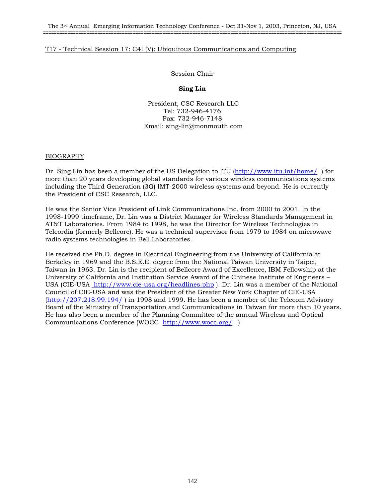# T17 - Technical Session 17: C4I (V): Ubiquitous Communications and Computing

Session Chair

# **Sing Lin**

 President, CSC Research LLC Tel: 732-946-4176 Fax: 732-946-7148 Email: sing-lin@monmouth.com

# BIOGRAPHY

Dr. Sing Lin has been a member of the US Delegation to ITU (http://www.itu.int/home/) for more than 20 years developing global standards for various wireless communications systems including the Third Generation (3G) IMT-2000 wireless systems and beyond. He is currently the President of CSC Research, LLC.

He was the Senior Vice President of Link Communications Inc. from 2000 to 2001. In the 1998-1999 timeframe, Dr. Lin was a District Manager for Wireless Standards Management in AT&T Laboratories. From 1984 to 1998, he was the Director for Wireless Technologies in Telcordia (formerly Bellcore). He was a technical supervisor from 1979 to 1984 on microwave radio systems technologies in Bell Laboratories.

He received the Ph.D. degree in Electrical Engineering from the University of California at Berkeley in 1969 and the B.S.E.E. degree from the National Taiwan University in Taipei, Taiwan in 1963. Dr. Lin is the recipient of Bellcore Award of Excellence, IBM Fellowship at the University of California and Institution Service Award of the Chinese Institute of Engineers – USA (CIE-USA http://www.cie-usa.org/headlines.php ). Dr. Lin was a member of the National Council of CIE-USA and was the President of the Greater New York Chapter of CIE-USA (http://207.218.99.194/ ) in 1998 and 1999. He has been a member of the Telecom Advisory Board of the Ministry of Transportation and Communications in Taiwan for more than 10 years. He has also been a member of the Planning Committee of the annual Wireless and Optical Communications Conference (WOCC http://www.wocc.org/ ).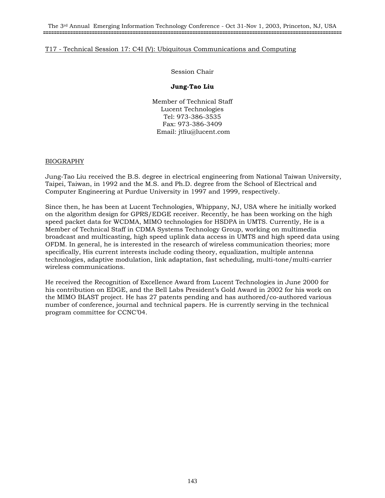The 3rd Annual Emerging Information Technology Conference - Oct 31-Nov 1, 2003, Princeton, NJ, USA **==============================================================================================================**

# T17 - Technical Session 17: C4I (V): Ubiquitous Communications and Computing

Session Chair

# **Jung-Tao Liu**

Member of Technical Staff Lucent Technologies Tel: 973-386-3535 Fax: 973-386-3409 Email: jtliu@lucent.com

# BIOGRAPHY

Jung-Tao Liu received the B.S. degree in electrical engineering from National Taiwan University, Taipei, Taiwan, in 1992 and the M.S. and Ph.D. degree from the School of Electrical and Computer Engineering at Purdue University in 1997 and 1999, respectively.

Since then, he has been at Lucent Technologies, Whippany, NJ, USA where he initially worked on the algorithm design for GPRS/EDGE receiver. Recently, he has been working on the high speed packet data for WCDMA, MIMO technologies for HSDPA in UMTS. Currently, He is a Member of Technical Staff in CDMA Systems Technology Group, working on multimedia broadcast and multicasting, high speed uplink data access in UMTS and high speed data using OFDM. In general, he is interested in the research of wireless communication theories; more specifically, His current interests include coding theory, equalization, multiple antenna technologies, adaptive modulation, link adaptation, fast scheduling, multi-tone/multi-carrier wireless communications.

He received the Recognition of Excellence Award from Lucent Technologies in June 2000 for his contribution on EDGE, and the Bell Labs President's Gold Award in 2002 for his work on the MIMO BLAST project. He has 27 patents pending and has authored/co-authored various number of conference, journal and technical papers. He is currently serving in the technical program committee for CCNC'04.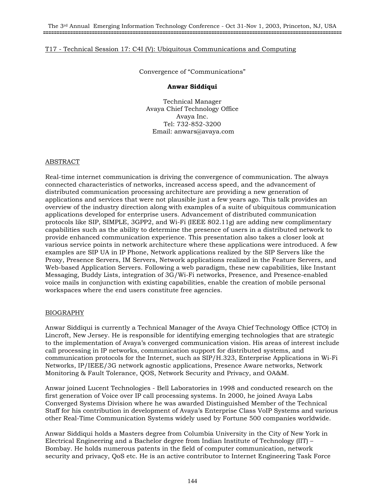# T17 - Technical Session 17: C4I (V): Ubiquitous Communications and Computing

Convergence of "Communications"

# **Anwar Siddiqui**

Technical Manager Avaya Chief Technology Office Avaya Inc. Tel: 732-852-3200 Email: anwars@avaya.com

#### ABSTRACT

Real-time internet communication is driving the convergence of communication. The always connected characteristics of networks, increased access speed, and the advancement of distributed communication processing architecture are providing a new generation of applications and services that were not plausible just a few years ago. This talk provides an overview of the industry direction along with examples of a suite of ubiquitous communication applications developed for enterprise users. Advancement of distributed communication protocols like SIP, SIMPLE, 3GPP2, and Wi-Fi (IEEE 802.11g) are adding new complimentary capabilities such as the ability to determine the presence of users in a distributed network to provide enhanced communication experience. This presentation also takes a closer look at various service points in network architecture where these applications were introduced. A few examples are SIP UA in IP Phone, Network applications realized by the SIP Servers like the Proxy, Presence Servers, IM Servers, Network applications realized in the Feature Servers, and Web-based Application Servers. Following a web paradigm, these new capabilities, like Instant Messaging, Buddy Lists, integration of 3G/Wi-Fi networks, Presence, and Presence-enabled voice mails in conjunction with existing capabilities, enable the creation of mobile personal workspaces where the end users constitute free agencies.

# BIOGRAPHY

Anwar Siddiqui is currently a Technical Manager of the Avaya Chief Technology Office (CTO) in Lincroft, New Jersey. He is responsible for identifying emerging technologies that are strategic to the implementation of Avaya's converged communication vision. His areas of interest include call processing in IP networks, communication support for distributed systems, and communication protocols for the Internet, such as SIP/H.323, Enterprise Applications in Wi-Fi Networks, IP/IEEE/3G network agnostic applications, Presence Aware networks, Network Monitoring & Fault Tolerance, QOS, Network Security and Privacy, and OA&M.

Anwar joined Lucent Technologies - Bell Laboratories in 1998 and conducted research on the first generation of Voice over IP call processing systems. In 2000, he joined Avaya Labs Converged Systems Division where he was awarded Distinguished Member of the Technical Staff for his contribution in development of Avaya's Enterprise Class VoIP Systems and various other Real-Time Communication Systems widely used by Fortune 500 companies worldwide.

Anwar Siddiqui holds a Masters degree from Columbia University in the City of New York in Electrical Engineering and a Bachelor degree from Indian Institute of Technology (IIT) – Bombay. He holds numerous patents in the field of computer communication, network security and privacy, QoS etc. He is an active contributor to Internet Engineering Task Force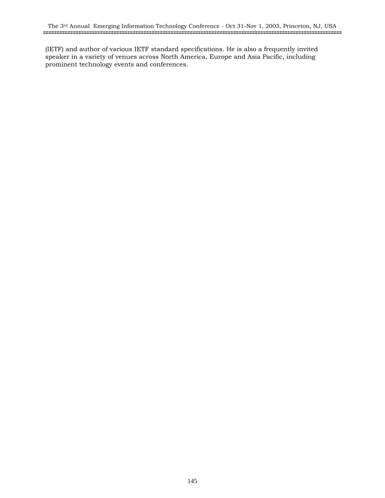(IETF) and author of various IETF standard specifications. He is also a frequently invited speaker in a variety of venues across North America, Europe and Asia Pacific, including prominent technology events and conferences.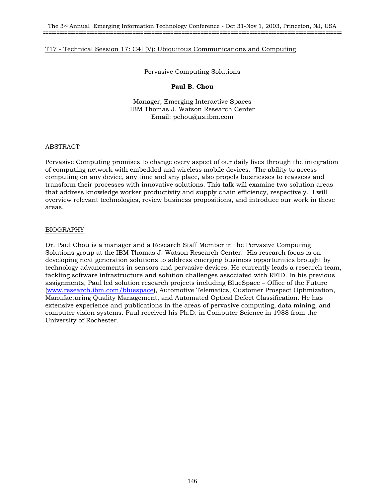Pervasive Computing Solutions

### **Paul B. Chou**

Manager, Emerging Interactive Spaces IBM Thomas J. Watson Research Center Email: pchou@us.ibm.com

#### ABSTRACT

Pervasive Computing promises to change every aspect of our daily lives through the integration of computing network with embedded and wireless mobile devices. The ability to access computing on any device, any time and any place, also propels businesses to reassess and transform their processes with innovative solutions. This talk will examine two solution areas that address knowledge worker productivity and supply chain efficiency, respectively. I will overview relevant technologies, review business propositions, and introduce our work in these areas.

## BIOGRAPHY

Dr. Paul Chou is a manager and a Research Staff Member in the Pervasive Computing Solutions group at the IBM Thomas J. Watson Research Center. His research focus is on developing next generation solutions to address emerging business opportunities brought by technology advancements in sensors and pervasive devices. He currently leads a research team, tackling software infrastructure and solution challenges associated with RFID. In his previous assignments, Paul led solution research projects including BlueSpace – Office of the Future (www.research.ibm.com/bluespace), Automotive Telematics, Customer Prospect Optimization, Manufacturing Quality Management, and Automated Optical Defect Classification. He has extensive experience and publications in the areas of pervasive computing, data mining, and computer vision systems. Paul received his Ph.D. in Computer Science in 1988 from the University of Rochester.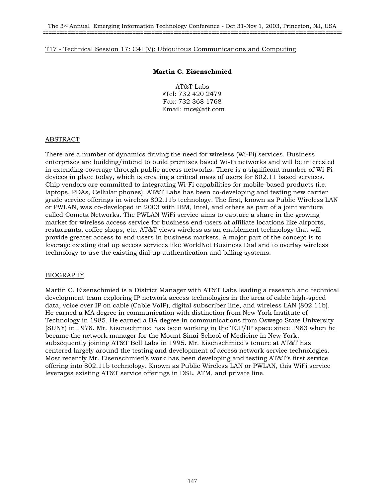#### **Martin C. Eisenschmied**

AT&T Labs **<sup>a</sup>**Tel: 732 420 2479 Fax: 732 368 1768 Email: mce@att.com

#### ABSTRACT

There are a number of dynamics driving the need for wireless (Wi-Fi) services. Business enterprises are building/intend to build premises based Wi-Fi networks and will be interested in extending coverage through public access networks. There is a significant number of Wi-Fi devices in place today, which is creating a critical mass of users for 802.11 based services. Chip vendors are committed to integrating Wi-Fi capabilities for mobile-based products (i.e. laptops, PDAs, Cellular phones). AT&T Labs has been co-developing and testing new carrier grade service offerings in wireless 802.11b technology. The first, known as Public Wireless LAN or PWLAN, was co-developed in 2003 with IBM, Intel, and others as part of a joint venture called Cometa Networks. The PWLAN WiFi service aims to capture a share in the growing market for wireless access service for business end-users at affiliate locations like airports, restaurants, coffee shops, etc. AT&T views wireless as an enablement technology that will provide greater access to end users in business markets. A major part of the concept is to leverage existing dial up access services like WorldNet Business Dial and to overlay wireless technology to use the existing dial up authentication and billing systems.

#### BIOGRAPHY

Martin C. Eisenschmied is a District Manager with AT&T Labs leading a research and technical development team exploring IP network access technologies in the area of cable high-speed data, voice over IP on cable (Cable VoIP), digital subscriber line, and wireless LAN (802.11b). He earned a MA degree in communication with distinction from New York Institute of Technology in 1985. He earned a BA degree in communications from Oswego State University (SUNY) in 1978. Mr. Eisenschmied has been working in the TCP/IP space since 1983 when he became the network manager for the Mount Sinai School of Medicine in New York, subsequently joining AT&T Bell Labs in 1995. Mr. Eisenschmied's tenure at AT&T has centered largely around the testing and development of access network service technologies. Most recently Mr. Eisenschmied's work has been developing and testing AT&T's first service offering into 802.11b technology. Known as Public Wireless LAN or PWLAN, this WiFi service leverages existing AT&T service offerings in DSL, ATM, and private line.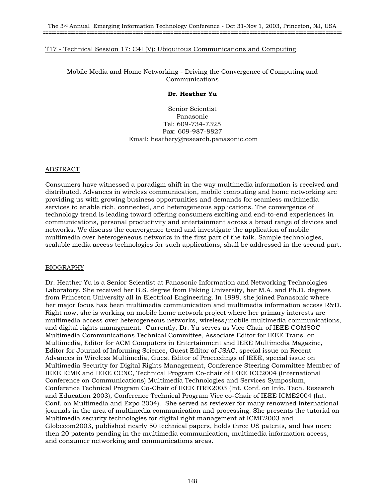Mobile Media and Home Networking - Driving the Convergence of Computing and Communications

#### **Dr. Heather Yu**

Senior Scientist Panasonic Tel: 609-734-7325 Fax: 609-987-8827 Email: heathery@research.panasonic.com

#### ABSTRACT

Consumers have witnessed a paradigm shift in the way multimedia information is received and distributed. Advances in wireless communication, mobile computing and home networking are providing us with growing business opportunities and demands for seamless multimedia services to enable rich, connected, and heterogeneous applications. The convergence of technology trend is leading toward offering consumers exciting and end-to-end experiences in communications, personal productivity and entertainment across a broad range of devices and networks. We discuss the convergence trend and investigate the application of mobile multimedia over heterogeneous networks in the first part of the talk. Sample technologies, scalable media access technologies for such applications, shall be addressed in the second part.

#### BIOGRAPHY

Dr. Heather Yu is a Senior Scientist at Panasonic Information and Networking Technologies Laboratory. She received her B.S. degree from Peking University, her M.A. and Ph.D. degrees from Princeton University all in Electrical Engineering. In 1998, she joined Panasonic where her major focus has been multimedia communication and multimedia information access R&D. Right now, she is working on mobile home network project where her primary interests are multimedia access over heterogeneous networks, wireless/mobile multimedia communications, and digital rights management. Currently, Dr. Yu serves as Vice Chair of IEEE COMSOC Multimedia Communications Technical Committee, Associate Editor for IEEE Trans. on Multimedia, Editor for ACM Computers in Entertainment and IEEE Multimedia Magazine, Editor for Journal of Informing Science, Guest Editor of JSAC, special issue on Recent Advances in Wireless Multimedia, Guest Editor of Proceedings of IEEE, special issue on Multimedia Security for Digital Rights Management, Conference Steering Committee Member of IEEE ICME and IEEE CCNC, Technical Program Co-chair of IEEE ICC2004 (International Conference on Communications) Multimedia Technologies and Services Symposium, Conference Technical Program Co-Chair of IEEE ITRE2003 (Int. Conf. on Info. Tech. Research and Education 2003), Conference Technical Program Vice co-Chair of IEEE ICME2004 (Int. Conf. on Multimedia and Expo 2004). She served as reviewer for many renowned international journals in the area of multimedia communication and processing. She presents the tutorial on Multimedia security technologies for digital right management at ICME2003 and Globecom2003, published nearly 50 technical papers, holds three US patents, and has more then 20 patents pending in the multimedia communication, multimedia information access, and consumer networking and communications areas.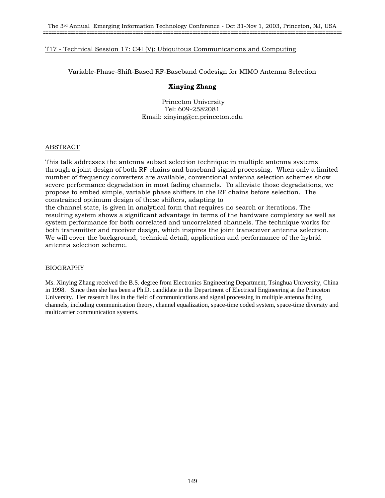Variable-Phase-Shift-Based RF-Baseband Codesign for MIMO Antenna Selection

### **Xinying Zhang**

 Princeton University Tel: 609-2582081 Email: xinying@ee.princeton.edu

## **ABSTRACT**

This talk addresses the antenna subset selection technique in multiple antenna systems through a joint design of both RF chains and baseband signal processing. When only a limited number of frequency converters are available, conventional antenna selection schemes show severe performance degradation in most fading channels. To alleviate those degradations, we propose to embed simple, variable phase shifters in the RF chains before selection. The constrained optimum design of these shifters, adapting to the channel state, is given in analytical form that requires no search or iterations. The resulting system shows a significant advantage in terms of the hardware complexity as well as

system performance for both correlated and uncorrelated channels. The technique works for both transmitter and receiver design, which inspires the joint transceiver antenna selection. We will cover the background, technical detail, application and performance of the hybrid antenna selection scheme.

#### BIOGRAPHY

Ms. Xinying Zhang received the B.S. degree from Electronics Engineering Department, Tsinghua University, China in 1998. Since then she has been a Ph.D. candidate in the Department of Electrical Engineering at the Princeton University. Her research lies in the field of communications and signal processing in multiple antenna fading channels, including communication theory, channel equalization, space-time coded system, space-time diversity and multicarrier communication systems.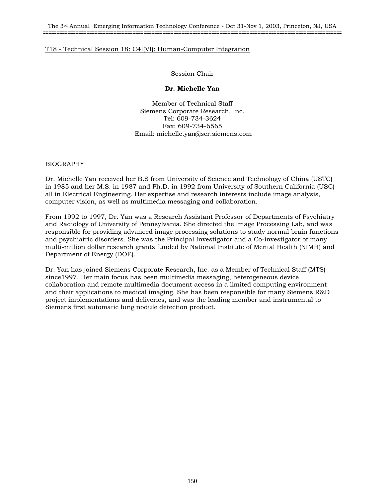Session Chair

## **Dr. Michelle Yan**

Member of Technical Staff Siemens Corporate Research, Inc. Tel: 609-734-3624 Fax: 609-734-6565 Email: michelle.yan@scr.siemens.com

## BIOGRAPHY

Dr. Michelle Yan received her B.S from University of Science and Technology of China (USTC) in 1985 and her M.S. in 1987 and Ph.D. in 1992 from University of Southern California (USC) all in Electrical Engineering. Her expertise and research interests include image analysis, computer vision, as well as multimedia messaging and collaboration.

From 1992 to 1997, Dr. Yan was a Research Assistant Professor of Departments of Psychiatry and Radiology of University of Pennsylvania. She directed the Image Processing Lab, and was responsible for providing advanced image processing solutions to study normal brain functions and psychiatric disorders. She was the Principal Investigator and a Co-investigator of many multi-million dollar research grants funded by National Institute of Mental Health (NIMH) and Department of Energy (DOE).

Dr. Yan has joined Siemens Corporate Research, Inc. as a Member of Technical Staff (MTS) since1997. Her main focus has been multimedia messaging, heterogeneous device collaboration and remote multimedia document access in a limited computing environment and their applications to medical imaging. She has been responsible for many Siemens R&D project implementations and deliveries, and was the leading member and instrumental to Siemens first automatic lung nodule detection product.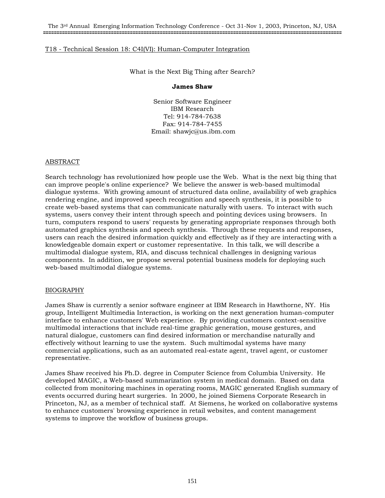What is the Next Big Thing after Search?

#### **James Shaw**

Senior Software Engineer IBM Research Tel: 914-784-7638 Fax: 914-784-7455 Email: shawjc@us.ibm.com

#### ABSTRACT

Search technology has revolutionized how people use the Web. What is the next big thing that can improve people's online experience? We believe the answer is web-based multimodal dialogue systems. With growing amount of structured data online, availability of web graphics rendering engine, and improved speech recognition and speech synthesis, it is possible to create web-based systems that can communicate naturally with users. To interact with such systems, users convey their intent through speech and pointing devices using browsers. In turn, computers respond to users' requests by generating appropriate responses through both automated graphics synthesis and speech synthesis. Through these requests and responses, users can reach the desired information quickly and effectively as if they are interacting with a knowledgeable domain expert or customer representative. In this talk, we will describe a multimodal dialogue system, RIA, and discuss technical challenges in designing various components. In addition, we propose several potential business models for deploying such web-based multimodal dialogue systems.

#### BIOGRAPHY

James Shaw is currently a senior software engineer at IBM Research in Hawthorne, NY. His group, Intelligent Multimedia Interaction, is working on the next generation human-computer interface to enhance customers' Web experience. By providing customers context-sensitive multimodal interactions that include real-time graphic generation, mouse gestures, and natural dialogue, customers can find desired information or merchandise naturally and effectively without learning to use the system. Such multimodal systems have many commercial applications, such as an automated real-estate agent, travel agent, or customer representative.

James Shaw received his Ph.D. degree in Computer Science from Columbia University. He developed MAGIC, a Web-based summarization system in medical domain. Based on data collected from monitoring machines in operating rooms, MAGIC generated English summary of events occurred during heart surgeries. In 2000, he joined Siemens Corporate Research in Princeton, NJ, as a member of technical staff. At Siemens, he worked on collaborative systems to enhance customers' browsing experience in retail websites, and content management systems to improve the workflow of business groups.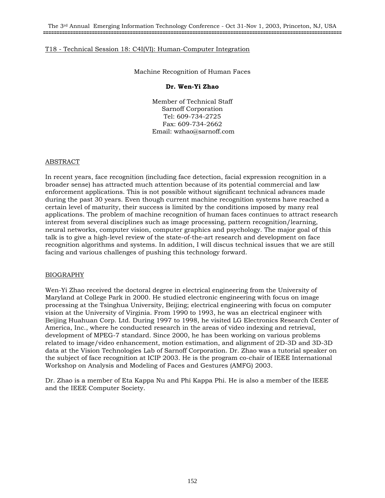Machine Recognition of Human Faces

### **Dr. Wen-Yi Zhao**

Member of Technical Staff Sarnoff Corporation Tel: 609-734-2725 Fax: 609-734-2662 Email: wzhao@sarnoff.com

#### ABSTRACT

In recent years, face recognition (including face detection, facial expression recognition in a broader sense) has attracted much attention because of its potential commercial and law enforcement applications. This is not possible without significant technical advances made during the past 30 years. Even though current machine recognition systems have reached a certain level of maturity, their success is limited by the conditions imposed by many real applications. The problem of machine recognition of human faces continues to attract research interest from several disciplines such as image processing, pattern recognition/learning, neural networks, computer vision, computer graphics and psychology. The major goal of this talk is to give a high-level review of the state-of-the-art research and development on face recognition algorithms and systems. In addition, I will discus technical issues that we are still facing and various challenges of pushing this technology forward.

#### BIOGRAPHY

Wen-Yi Zhao received the doctoral degree in electrical engineering from the University of Maryland at College Park in 2000. He studied electronic engineering with focus on image processing at the Tsinghua University, Beijing; electrical engineering with focus on computer vision at the University of Virginia. From 1990 to 1993, he was an electrical engineer with Beijing Huahuan Corp. Ltd. During 1997 to 1998, he visited LG Electronics Research Center of America, Inc., where he conducted research in the areas of video indexing and retrieval, development of MPEG-7 standard. Since 2000, he has been working on various problems related to image/video enhancement, motion estimation, and alignment of 2D-3D and 3D-3D data at the Vision Technologies Lab of Sarnoff Corporation. Dr. Zhao was a tutorial speaker on the subject of face recognition at ICIP 2003. He is the program co-chair of IEEE International Workshop on Analysis and Modeling of Faces and Gestures (AMFG) 2003.

Dr. Zhao is a member of Eta Kappa Nu and Phi Kappa Phi. He is also a member of the IEEE and the IEEE Computer Society.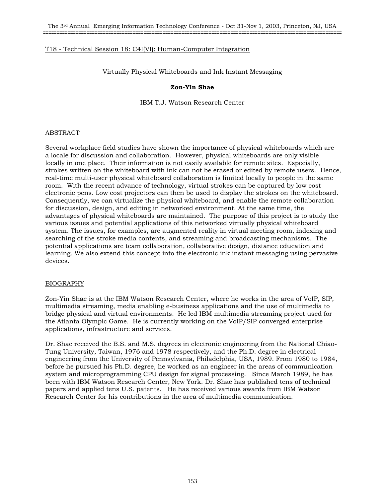Virtually Physical Whiteboards and Ink Instant Messaging

#### **Zon-Yin Shae**

IBM T.J. Watson Research Center

#### ABSTRACT

Several workplace field studies have shown the importance of physical whiteboards which are a locale for discussion and collaboration. However, physical whiteboards are only visible locally in one place. Their information is not easily available for remote sites. Especially, strokes written on the whiteboard with ink can not be erased or edited by remote users. Hence, real-time multi-user physical whiteboard collaboration is limited locally to people in the same room. With the recent advance of technology, virtual strokes can be captured by low cost electronic pens. Low cost projectors can then be used to display the strokes on the whiteboard. Consequently, we can virtualize the physical whiteboard, and enable the remote collaboration for discussion, design, and editing in networked environment. At the same time, the advantages of physical whiteboards are maintained. The purpose of this project is to study the various issues and potential applications of this networked virtually physical whiteboard system. The issues, for examples, are augmented reality in virtual meeting room, indexing and searching of the stroke media contents, and streaming and broadcasting mechanisms. The potential applications are team collaboration, collaborative design, distance education and learning. We also extend this concept into the electronic ink instant messaging using pervasive devices.

# BIOGRAPHY

Zon-Yin Shae is at the IBM Watson Research Center, where he works in the area of VoIP, SIP, multimedia streaming, media enabling e-business applications and the use of multimedia to bridge physical and virtual environments. He led IBM multimedia streaming project used for the Atlanta Olympic Game. He is currently working on the VoIP/SIP converged enterprise applications, infrastructure and services.

Dr. Shae received the B.S. and M.S. degrees in electronic engineering from the National Chiao-Tung University, Taiwan, 1976 and 1978 respectively, and the Ph.D. degree in electrical engineering from the University of Pennsylvania, Philadelphia, USA, 1989. From 1980 to 1984, before he pursued his Ph.D. degree, he worked as an engineer in the areas of communication system and microprogramming CPU design for signal processing. Since March 1989, he has been with IBM Watson Research Center, New York. Dr. Shae has published tens of technical papers and applied tens U.S. patents. He has received various awards from IBM Watson Research Center for his contributions in the area of multimedia communication.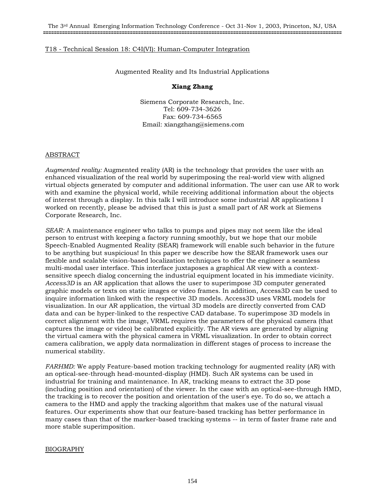Augmented Reality and Its Industrial Applications

## **Xiang Zhang**

Siemens Corporate Research, Inc. Tel: 609-734-3626 Fax: 609-734-6565 Email: xiangzhang@siemens.com

## ABSTRACT

*Augmented reality:* Augmented reality (AR) is the technology that provides the user with an enhanced visualization of the real world by superimposing the real-world view with aligned virtual objects generated by computer and additional information. The user can use AR to work with and examine the physical world, while receiving additional information about the objects of interest through a display. In this talk I will introduce some industrial AR applications I worked on recently, please be advised that this is just a small part of AR work at Siemens Corporate Research, Inc.

*SEAR:* A maintenance engineer who talks to pumps and pipes may not seem like the ideal person to entrust with keeping a factory running smoothly, but we hope that our mobile Speech-Enabled Augmented Reality (SEAR) framework will enable such behavior in the future to be anything but suspicious! In this paper we describe how the SEAR framework uses our flexible and scalable vision-based localization techniques to offer the engineer a seamless multi-modal user interface. This interface juxtaposes a graphical AR view with a contextsensitive speech dialog concerning the industrial equipment located in his immediate vicinity. *Access3D* is an AR application that allows the user to superimpose 3D computer generated graphic models or texts on static images or video frames. In addition, Access3D can be used to inquire information linked with the respective 3D models. Access3D uses VRML models for visualization. In our AR application, the virtual 3D models are directly converted from CAD data and can be hyper-linked to the respective CAD database. To superimpose 3D models in correct alignment with the image, VRML requires the parameters of the physical camera (that captures the image or video) be calibrated explicitly. The AR views are generated by aligning the virtual camera with the physical camera in VRML visualization. In order to obtain correct camera calibration, we apply data normalization in different stages of process to increase the numerical stability.

*FARHMD:* We apply Feature-based motion tracking technology for augmented reality (AR) with an optical-see-through head-mounted-display (HMD). Such AR systems can be used in industrial for training and maintenance. In AR, tracking means to extract the 3D pose (including position and orientation) of the viewer. In the case with an optical-see-through HMD, the tracking is to recover the position and orientation of the user's eye. To do so, we attach a camera to the HMD and apply the tracking algorithm that makes use of the natural visual features. Our experiments show that our feature-based tracking has better performance in many cases than that of the marker-based tracking systems -- in term of faster frame rate and more stable superimposition.

# BIOGRAPHY